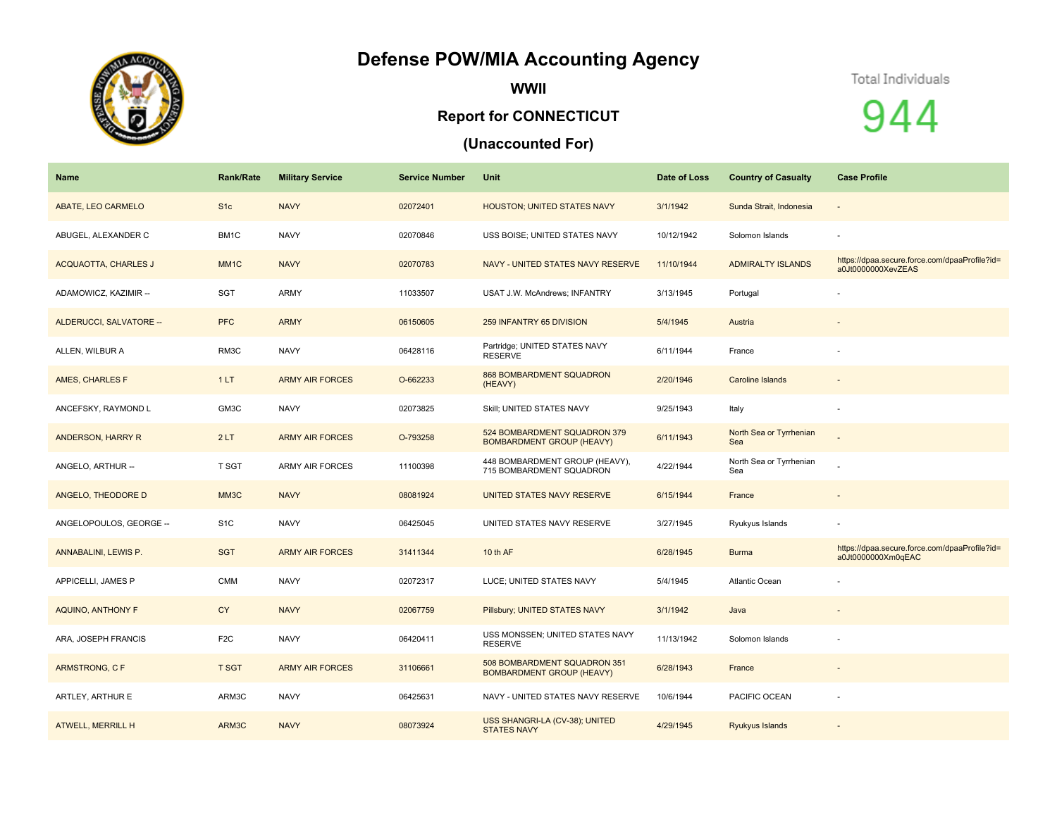## **Defense POW/MIA Accounting Agency**



**WWII**

## **Report for CONNECTICUT**

## **(Unaccounted For)**



944

| <b>Name</b>                 | Rank/Rate        | <b>Military Service</b> | <b>Service Number</b> | <b>Unit</b>                                                      | Date of Loss | <b>Country of Casualty</b>     | <b>Case Profile</b>                                                 |
|-----------------------------|------------------|-------------------------|-----------------------|------------------------------------------------------------------|--------------|--------------------------------|---------------------------------------------------------------------|
| ABATE, LEO CARMELO          | S <sub>1c</sub>  | <b>NAVY</b>             | 02072401              | HOUSTON; UNITED STATES NAVY                                      | 3/1/1942     | Sunda Strait, Indonesia        |                                                                     |
| ABUGEL, ALEXANDER C         | BM1C             | <b>NAVY</b>             | 02070846              | USS BOISE; UNITED STATES NAVY                                    | 10/12/1942   | Solomon Islands                |                                                                     |
| <b>ACQUAOTTA, CHARLES J</b> | MM <sub>1C</sub> | <b>NAVY</b>             | 02070783              | NAVY - UNITED STATES NAVY RESERVE                                | 11/10/1944   | <b>ADMIRALTY ISLANDS</b>       | https://dpaa.secure.force.com/dpaaProfile?id=<br>a0Jt0000000XevZEAS |
| ADAMOWICZ, KAZIMIR --       | SGT              | <b>ARMY</b>             | 11033507              | USAT J.W. McAndrews; INFANTRY                                    | 3/13/1945    | Portugal                       |                                                                     |
| ALDERUCCI, SALVATORE --     | <b>PFC</b>       | <b>ARMY</b>             | 06150605              | 259 INFANTRY 65 DIVISION                                         | 5/4/1945     | Austria                        |                                                                     |
| ALLEN, WILBUR A             | RM3C             | <b>NAVY</b>             | 06428116              | Partridge; UNITED STATES NAVY<br><b>RESERVE</b>                  | 6/11/1944    | France                         |                                                                     |
| AMES, CHARLES F             | 1LT              | <b>ARMY AIR FORCES</b>  | O-662233              | 868 BOMBARDMENT SQUADRON<br>(HEAVY)                              | 2/20/1946    | Caroline Islands               |                                                                     |
| ANCEFSKY, RAYMOND L         | GM3C             | <b>NAVY</b>             | 02073825              | Skill; UNITED STATES NAVY                                        | 9/25/1943    | Italy                          |                                                                     |
| ANDERSON, HARRY R           | 2LT              | <b>ARMY AIR FORCES</b>  | O-793258              | 524 BOMBARDMENT SQUADRON 379<br><b>BOMBARDMENT GROUP (HEAVY)</b> | 6/11/1943    | North Sea or Tyrrhenian<br>Sea |                                                                     |
| ANGELO, ARTHUR --           | T SGT            | <b>ARMY AIR FORCES</b>  | 11100398              | 448 BOMBARDMENT GROUP (HEAVY),<br>715 BOMBARDMENT SQUADRON       | 4/22/1944    | North Sea or Tyrrhenian<br>Sea |                                                                     |
| ANGELO, THEODORE D          | MM3C             | <b>NAVY</b>             | 08081924              | UNITED STATES NAVY RESERVE                                       | 6/15/1944    | France                         |                                                                     |
| ANGELOPOULOS, GEORGE --     | S <sub>1</sub> C | <b>NAVY</b>             | 06425045              | UNITED STATES NAVY RESERVE                                       | 3/27/1945    | Ryukyus Islands                |                                                                     |
| ANNABALINI, LEWIS P.        | <b>SGT</b>       | <b>ARMY AIR FORCES</b>  | 31411344              | 10 th AF                                                         | 6/28/1945    | <b>Burma</b>                   | https://dpaa.secure.force.com/dpaaProfile?id=<br>a0Jt0000000Xm0qEAC |
| APPICELLI, JAMES P          | <b>CMM</b>       | <b>NAVY</b>             | 02072317              | LUCE; UNITED STATES NAVY                                         | 5/4/1945     | Atlantic Ocean                 |                                                                     |
| AQUINO, ANTHONY F           | <b>CY</b>        | <b>NAVY</b>             | 02067759              | Pillsbury; UNITED STATES NAVY                                    | 3/1/1942     | Java                           |                                                                     |
| ARA, JOSEPH FRANCIS         | F <sub>2</sub> C | <b>NAVY</b>             | 06420411              | USS MONSSEN; UNITED STATES NAVY<br><b>RESERVE</b>                | 11/13/1942   | Solomon Islands                |                                                                     |
| ARMSTRONG, C F              | T SGT            | <b>ARMY AIR FORCES</b>  | 31106661              | 508 BOMBARDMENT SQUADRON 351<br><b>BOMBARDMENT GROUP (HEAVY)</b> | 6/28/1943    | France                         | $\sim$                                                              |
| ARTLEY, ARTHUR E            | ARM3C            | <b>NAVY</b>             | 06425631              | NAVY - UNITED STATES NAVY RESERVE                                | 10/6/1944    | PACIFIC OCEAN                  |                                                                     |
| <b>ATWELL, MERRILL H</b>    | ARM3C            | <b>NAVY</b>             | 08073924              | USS SHANGRI-LA (CV-38); UNITED<br><b>STATES NAVY</b>             | 4/29/1945    | Ryukyus Islands                |                                                                     |
|                             |                  |                         |                       |                                                                  |              |                                |                                                                     |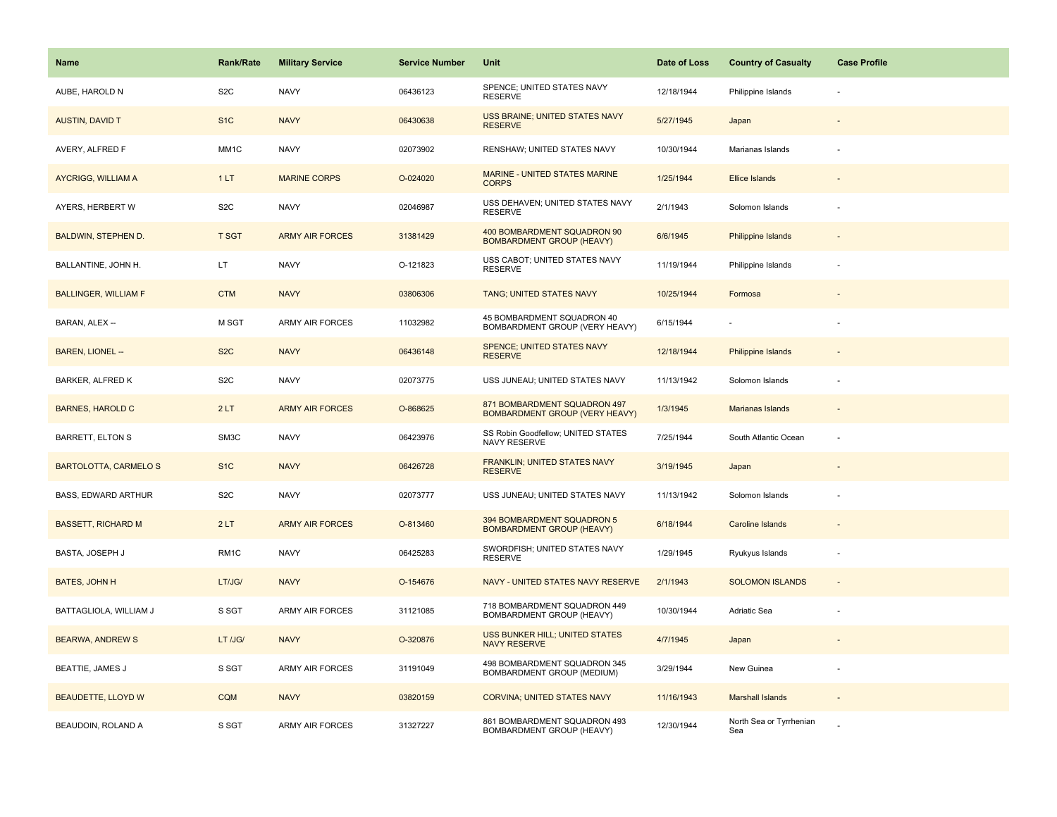| Name                         | <b>Rank/Rate</b>  | <b>Military Service</b> | <b>Service Number</b> | Unit                                                            | Date of Loss | <b>Country of Casualty</b>     | <b>Case Profile</b> |
|------------------------------|-------------------|-------------------------|-----------------------|-----------------------------------------------------------------|--------------|--------------------------------|---------------------|
| AUBE, HAROLD N               | S <sub>2</sub> C  | <b>NAVY</b>             | 06436123              | SPENCE; UNITED STATES NAVY<br><b>RESERVE</b>                    | 12/18/1944   | Philippine Islands             |                     |
| <b>AUSTIN, DAVID T</b>       | S <sub>1C</sub>   | <b>NAVY</b>             | 06430638              | USS BRAINE; UNITED STATES NAVY<br><b>RESERVE</b>                | 5/27/1945    | Japan                          |                     |
| AVERY, ALFRED F              | MM <sub>1</sub> C | <b>NAVY</b>             | 02073902              | RENSHAW; UNITED STATES NAVY                                     | 10/30/1944   | Marianas Islands               |                     |
| <b>AYCRIGG, WILLIAM A</b>    | 1LT               | <b>MARINE CORPS</b>     | O-024020              | MARINE - UNITED STATES MARINE<br><b>CORPS</b>                   | 1/25/1944    | <b>Ellice Islands</b>          |                     |
| AYERS, HERBERT W             | S <sub>2</sub> C  | <b>NAVY</b>             | 02046987              | USS DEHAVEN; UNITED STATES NAVY<br><b>RESERVE</b>               | 2/1/1943     | Solomon Islands                |                     |
| <b>BALDWIN, STEPHEN D.</b>   | <b>T SGT</b>      | <b>ARMY AIR FORCES</b>  | 31381429              | 400 BOMBARDMENT SQUADRON 90<br><b>BOMBARDMENT GROUP (HEAVY)</b> | 6/6/1945     | Philippine Islands             |                     |
| BALLANTINE, JOHN H.          | LT.               | <b>NAVY</b>             | O-121823              | USS CABOT; UNITED STATES NAVY<br><b>RESERVE</b>                 | 11/19/1944   | Philippine Islands             |                     |
| <b>BALLINGER, WILLIAM F</b>  | <b>CTM</b>        | <b>NAVY</b>             | 03806306              | TANG; UNITED STATES NAVY                                        | 10/25/1944   | Formosa                        |                     |
| BARAN, ALEX --               | M SGT             | <b>ARMY AIR FORCES</b>  | 11032982              | 45 BOMBARDMENT SQUADRON 40<br>BOMBARDMENT GROUP (VERY HEAVY)    | 6/15/1944    |                                |                     |
| <b>BAREN, LIONEL --</b>      | S <sub>2</sub> C  | <b>NAVY</b>             | 06436148              | SPENCE; UNITED STATES NAVY<br><b>RESERVE</b>                    | 12/18/1944   | <b>Philippine Islands</b>      |                     |
| BARKER, ALFRED K             | S <sub>2</sub> C  | <b>NAVY</b>             | 02073775              | USS JUNEAU; UNITED STATES NAVY                                  | 11/13/1942   | Solomon Islands                |                     |
| <b>BARNES, HAROLD C</b>      | 2LT               | <b>ARMY AIR FORCES</b>  | O-868625              | 871 BOMBARDMENT SQUADRON 497<br>BOMBARDMENT GROUP (VERY HEAVY)  | 1/3/1945     | <b>Marianas Islands</b>        |                     |
| BARRETT, ELTON S             | SM3C              | <b>NAVY</b>             | 06423976              | SS Robin Goodfellow; UNITED STATES<br>NAVY RESERVE              | 7/25/1944    | South Atlantic Ocean           |                     |
| <b>BARTOLOTTA, CARMELO S</b> | S <sub>1</sub> C  | <b>NAVY</b>             | 06426728              | FRANKLIN; UNITED STATES NAVY<br><b>RESERVE</b>                  | 3/19/1945    | Japan                          |                     |
| <b>BASS, EDWARD ARTHUR</b>   | S <sub>2</sub> C  | <b>NAVY</b>             | 02073777              | USS JUNEAU; UNITED STATES NAVY                                  | 11/13/1942   | Solomon Islands                |                     |
| <b>BASSETT, RICHARD M</b>    | 2LT               | <b>ARMY AIR FORCES</b>  | O-813460              | 394 BOMBARDMENT SQUADRON 5<br><b>BOMBARDMENT GROUP (HEAVY)</b>  | 6/18/1944    | <b>Caroline Islands</b>        |                     |
| BASTA, JOSEPH J              | RM <sub>1</sub> C | <b>NAVY</b>             | 06425283              | SWORDFISH; UNITED STATES NAVY<br><b>RESERVE</b>                 | 1/29/1945    | Ryukyus Islands                |                     |
| <b>BATES, JOHN H</b>         | LT/JG/            | <b>NAVY</b>             | O-154676              | NAVY - UNITED STATES NAVY RESERVE                               | 2/1/1943     | <b>SOLOMON ISLANDS</b>         |                     |
| BATTAGLIOLA, WILLIAM J       | S SGT             | <b>ARMY AIR FORCES</b>  | 31121085              | 718 BOMBARDMENT SQUADRON 449<br>BOMBARDMENT GROUP (HEAVY)       | 10/30/1944   | <b>Adriatic Sea</b>            |                     |
| <b>BEARWA, ANDREW S</b>      | LT /JG/           | <b>NAVY</b>             | O-320876              | USS BUNKER HILL; UNITED STATES<br><b>NAVY RESERVE</b>           | 4/7/1945     | Japan                          |                     |
| BEATTIE, JAMES J             | S SGT             | <b>ARMY AIR FORCES</b>  | 31191049              | 498 BOMBARDMENT SQUADRON 345<br>BOMBARDMENT GROUP (MEDIUM)      | 3/29/1944    | New Guinea                     |                     |
| <b>BEAUDETTE, LLOYD W</b>    | <b>CQM</b>        | <b>NAVY</b>             | 03820159              | <b>CORVINA: UNITED STATES NAVY</b>                              | 11/16/1943   | <b>Marshall Islands</b>        |                     |
| BEAUDOIN, ROLAND A           | S SGT             | <b>ARMY AIR FORCES</b>  | 31327227              | 861 BOMBARDMENT SQUADRON 493<br>BOMBARDMENT GROUP (HEAVY)       | 12/30/1944   | North Sea or Tyrrhenian<br>Sea |                     |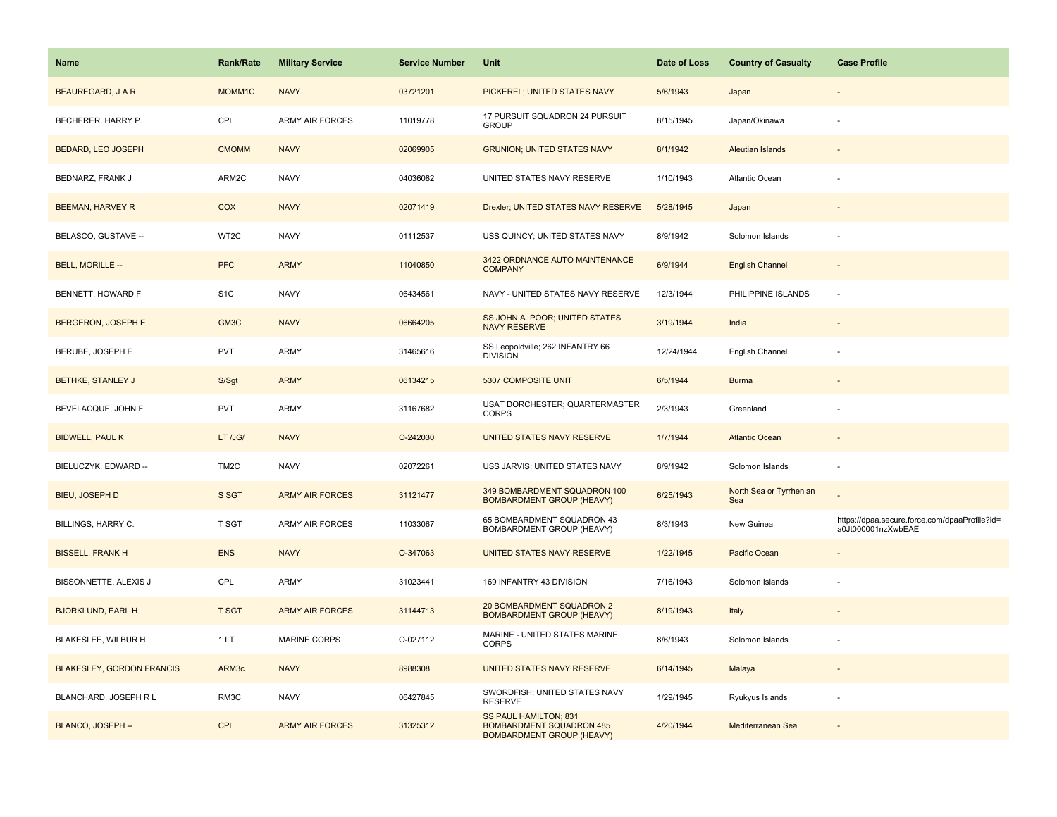| Name                             | <b>Rank/Rate</b>  | <b>Military Service</b> | <b>Service Number</b> | Unit                                                                                         | Date of Loss | <b>Country of Casualty</b>     | <b>Case Profile</b>                                                 |
|----------------------------------|-------------------|-------------------------|-----------------------|----------------------------------------------------------------------------------------------|--------------|--------------------------------|---------------------------------------------------------------------|
| <b>BEAUREGARD, J A R</b>         | MOMM1C            | <b>NAVY</b>             | 03721201              | PICKEREL; UNITED STATES NAVY                                                                 | 5/6/1943     | Japan                          |                                                                     |
| BECHERER, HARRY P.               | CPL               | ARMY AIR FORCES         | 11019778              | 17 PURSUIT SQUADRON 24 PURSUIT<br><b>GROUP</b>                                               | 8/15/1945    | Japan/Okinawa                  |                                                                     |
| <b>BEDARD, LEO JOSEPH</b>        | <b>CMOMM</b>      | <b>NAVY</b>             | 02069905              | <b>GRUNION; UNITED STATES NAVY</b>                                                           | 8/1/1942     | <b>Aleutian Islands</b>        |                                                                     |
| BEDNARZ, FRANK J                 | ARM2C             | <b>NAVY</b>             | 04036082              | UNITED STATES NAVY RESERVE                                                                   | 1/10/1943    | <b>Atlantic Ocean</b>          |                                                                     |
| <b>BEEMAN, HARVEY R</b>          | COX               | <b>NAVY</b>             | 02071419              | Drexler; UNITED STATES NAVY RESERVE                                                          | 5/28/1945    | Japan                          |                                                                     |
| BELASCO, GUSTAVE --              | WT2C              | <b>NAVY</b>             | 01112537              | USS QUINCY; UNITED STATES NAVY                                                               | 8/9/1942     | Solomon Islands                |                                                                     |
| BELL, MORILLE --                 | <b>PFC</b>        | <b>ARMY</b>             | 11040850              | 3422 ORDNANCE AUTO MAINTENANCE<br><b>COMPANY</b>                                             | 6/9/1944     | <b>English Channel</b>         | $\sim$                                                              |
| BENNETT, HOWARD F                | S <sub>1</sub> C  | <b>NAVY</b>             | 06434561              | NAVY - UNITED STATES NAVY RESERVE                                                            | 12/3/1944    | PHILIPPINE ISLANDS             | ÷.                                                                  |
| <b>BERGERON, JOSEPH E</b>        | GM3C              | <b>NAVY</b>             | 06664205              | SS JOHN A. POOR; UNITED STATES<br><b>NAVY RESERVE</b>                                        | 3/19/1944    | India                          |                                                                     |
| BERUBE, JOSEPH E                 | <b>PVT</b>        | ARMY                    | 31465616              | SS Leopoldville; 262 INFANTRY 66<br><b>DIVISION</b>                                          | 12/24/1944   | English Channel                |                                                                     |
| <b>BETHKE, STANLEY J</b>         | S/Sgt             | <b>ARMY</b>             | 06134215              | 5307 COMPOSITE UNIT                                                                          | 6/5/1944     | <b>Burma</b>                   |                                                                     |
| BEVELACQUE, JOHN F               | <b>PVT</b>        | ARMY                    | 31167682              | USAT DORCHESTER; QUARTERMASTER<br><b>CORPS</b>                                               | 2/3/1943     | Greenland                      |                                                                     |
| <b>BIDWELL, PAUL K</b>           | LT /JG/           | <b>NAVY</b>             | O-242030              | UNITED STATES NAVY RESERVE                                                                   | 1/7/1944     | <b>Atlantic Ocean</b>          |                                                                     |
| BIELUCZYK, EDWARD --             | TM <sub>2</sub> C | <b>NAVY</b>             | 02072261              | USS JARVIS; UNITED STATES NAVY                                                               | 8/9/1942     | Solomon Islands                |                                                                     |
| <b>BIEU, JOSEPH D</b>            | S SGT             | <b>ARMY AIR FORCES</b>  | 31121477              | 349 BOMBARDMENT SQUADRON 100<br><b>BOMBARDMENT GROUP (HEAVY)</b>                             | 6/25/1943    | North Sea or Tyrrhenian<br>Sea |                                                                     |
| BILLINGS, HARRY C.               | <b>T SGT</b>      | ARMY AIR FORCES         | 11033067              | 65 BOMBARDMENT SQUADRON 43<br>BOMBARDMENT GROUP (HEAVY)                                      | 8/3/1943     | New Guinea                     | https://dpaa.secure.force.com/dpaaProfile?id=<br>a0Jt000001nzXwbEAE |
| <b>BISSELL, FRANK H</b>          | <b>ENS</b>        | <b>NAVY</b>             | O-347063              | UNITED STATES NAVY RESERVE                                                                   | 1/22/1945    | Pacific Ocean                  |                                                                     |
| BISSONNETTE, ALEXIS J            | CPL               | ARMY                    | 31023441              | 169 INFANTRY 43 DIVISION                                                                     | 7/16/1943    | Solomon Islands                |                                                                     |
| <b>BJORKLUND, EARL H</b>         | <b>T SGT</b>      | <b>ARMY AIR FORCES</b>  | 31144713              | 20 BOMBARDMENT SQUADRON 2<br><b>BOMBARDMENT GROUP (HEAVY)</b>                                | 8/19/1943    | Italy                          |                                                                     |
| BLAKESLEE, WILBUR H              | 1LT               | <b>MARINE CORPS</b>     | O-027112              | MARINE - UNITED STATES MARINE<br><b>CORPS</b>                                                | 8/6/1943     | Solomon Islands                |                                                                     |
| <b>BLAKESLEY, GORDON FRANCIS</b> | ARM3c             | <b>NAVY</b>             | 8988308               | UNITED STATES NAVY RESERVE                                                                   | 6/14/1945    | Malaya                         |                                                                     |
| BLANCHARD, JOSEPH R L            | RM3C              | <b>NAVY</b>             | 06427845              | SWORDFISH; UNITED STATES NAVY<br><b>RESERVE</b>                                              | 1/29/1945    | Ryukyus Islands                |                                                                     |
| BLANCO, JOSEPH --                | <b>CPL</b>        | <b>ARMY AIR FORCES</b>  | 31325312              | SS PAUL HAMILTON; 831<br><b>BOMBARDMENT SQUADRON 485</b><br><b>BOMBARDMENT GROUP (HEAVY)</b> | 4/20/1944    | Mediterranean Sea              |                                                                     |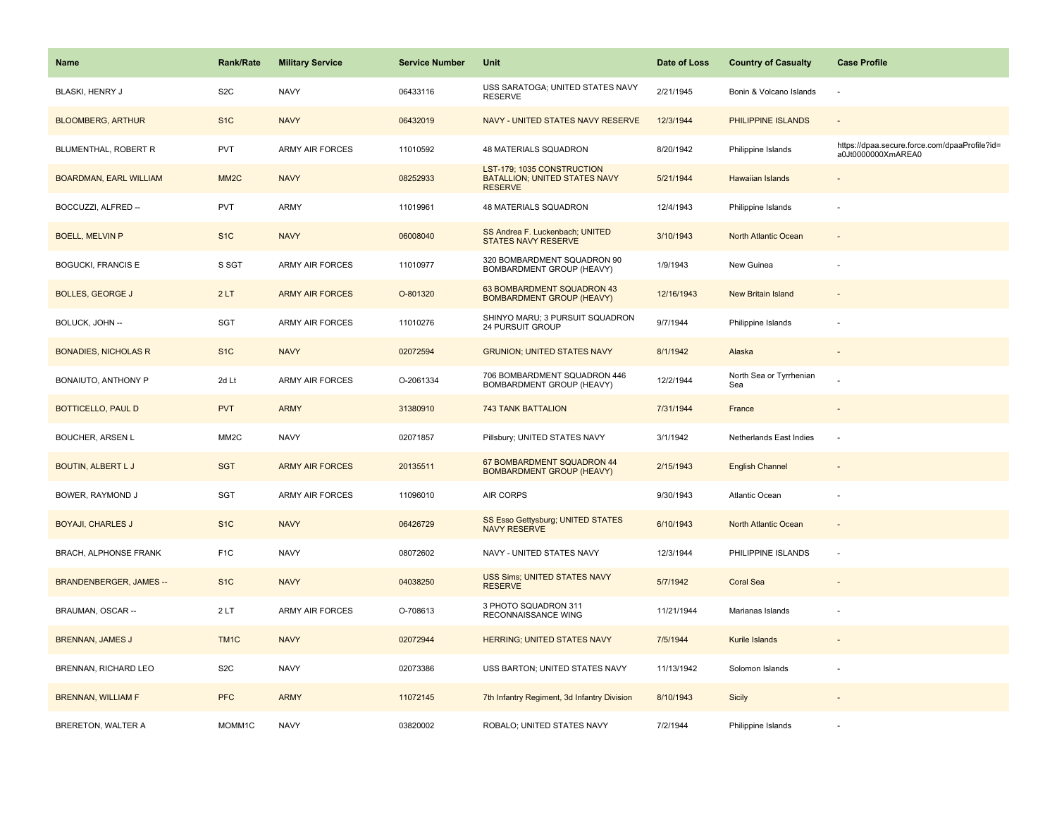| Name                           | <b>Rank/Rate</b>  | <b>Military Service</b> | <b>Service Number</b> | Unit                                                                          | Date of Loss | <b>Country of Casualty</b>     | <b>Case Profile</b>                                                 |
|--------------------------------|-------------------|-------------------------|-----------------------|-------------------------------------------------------------------------------|--------------|--------------------------------|---------------------------------------------------------------------|
| BLASKI, HENRY J                | S <sub>2</sub> C  | <b>NAVY</b>             | 06433116              | USS SARATOGA; UNITED STATES NAVY<br><b>RESERVE</b>                            | 2/21/1945    | Bonin & Volcano Islands        | $\sim$                                                              |
| <b>BLOOMBERG, ARTHUR</b>       | S <sub>1C</sub>   | <b>NAVY</b>             | 06432019              | NAVY - UNITED STATES NAVY RESERVE                                             | 12/3/1944    | PHILIPPINE ISLANDS             | $\sim$                                                              |
| BLUMENTHAL, ROBERT R           | <b>PVT</b>        | <b>ARMY AIR FORCES</b>  | 11010592              | 48 MATERIALS SQUADRON                                                         | 8/20/1942    | Philippine Islands             | https://dpaa.secure.force.com/dpaaProfile?id=<br>a0Jt0000000XmAREA0 |
| <b>BOARDMAN, EARL WILLIAM</b>  | MM <sub>2</sub> C | <b>NAVY</b>             | 08252933              | LST-179; 1035 CONSTRUCTION<br>BATALLION; UNITED STATES NAVY<br><b>RESERVE</b> | 5/21/1944    | Hawaiian Islands               |                                                                     |
| BOCCUZZI, ALFRED --            | <b>PVT</b>        | ARMY                    | 11019961              | 48 MATERIALS SQUADRON                                                         | 12/4/1943    | Philippine Islands             |                                                                     |
| <b>BOELL, MELVIN P</b>         | S <sub>1</sub> C  | <b>NAVY</b>             | 06008040              | SS Andrea F. Luckenbach; UNITED<br>STATES NAVY RESERVE                        | 3/10/1943    | North Atlantic Ocean           |                                                                     |
| <b>BOGUCKI, FRANCIS E</b>      | S SGT             | <b>ARMY AIR FORCES</b>  | 11010977              | 320 BOMBARDMENT SQUADRON 90<br>BOMBARDMENT GROUP (HEAVY)                      | 1/9/1943     | New Guinea                     |                                                                     |
| <b>BOLLES, GEORGE J</b>        | 2LT               | <b>ARMY AIR FORCES</b>  | O-801320              | 63 BOMBARDMENT SQUADRON 43<br><b>BOMBARDMENT GROUP (HEAVY)</b>                | 12/16/1943   | <b>New Britain Island</b>      |                                                                     |
| BOLUCK, JOHN --                | SGT               | <b>ARMY AIR FORCES</b>  | 11010276              | SHINYO MARU; 3 PURSUIT SQUADRON<br>24 PURSUIT GROUP                           | 9/7/1944     | Philippine Islands             |                                                                     |
| <b>BONADIES, NICHOLAS R</b>    | S <sub>1C</sub>   | <b>NAVY</b>             | 02072594              | <b>GRUNION; UNITED STATES NAVY</b>                                            | 8/1/1942     | Alaska                         |                                                                     |
| BONAIUTO, ANTHONY P            | 2d Lt             | ARMY AIR FORCES         | O-2061334             | 706 BOMBARDMENT SQUADRON 446<br>BOMBARDMENT GROUP (HEAVY)                     | 12/2/1944    | North Sea or Tyrrhenian<br>Sea |                                                                     |
| <b>BOTTICELLO, PAUL D</b>      | <b>PVT</b>        | <b>ARMY</b>             | 31380910              | <b>743 TANK BATTALION</b>                                                     | 7/31/1944    | France                         | $\sim$                                                              |
| <b>BOUCHER, ARSEN L</b>        | MM <sub>2</sub> C | <b>NAVY</b>             | 02071857              | Pillsbury; UNITED STATES NAVY                                                 | 3/1/1942     | Netherlands East Indies        | ÷.                                                                  |
| BOUTIN, ALBERT L J             | <b>SGT</b>        | <b>ARMY AIR FORCES</b>  | 20135511              | 67 BOMBARDMENT SQUADRON 44<br><b>BOMBARDMENT GROUP (HEAVY)</b>                | 2/15/1943    | <b>English Channel</b>         |                                                                     |
| <b>BOWER, RAYMOND J</b>        | SGT               | <b>ARMY AIR FORCES</b>  | 11096010              | <b>AIR CORPS</b>                                                              | 9/30/1943    | Atlantic Ocean                 |                                                                     |
| <b>BOYAJI, CHARLES J</b>       | S <sub>1</sub> C  | <b>NAVY</b>             | 06426729              | SS Esso Gettysburg; UNITED STATES<br>NAVY RESERVE                             | 6/10/1943    | North Atlantic Ocean           |                                                                     |
| <b>BRACH, ALPHONSE FRANK</b>   | F <sub>1</sub> C  | <b>NAVY</b>             | 08072602              | NAVY - UNITED STATES NAVY                                                     | 12/3/1944    | PHILIPPINE ISLANDS             |                                                                     |
| <b>BRANDENBERGER, JAMES --</b> | S <sub>1</sub> C  | <b>NAVY</b>             | 04038250              | USS Sims; UNITED STATES NAVY<br><b>RESERVE</b>                                | 5/7/1942     | <b>Coral Sea</b>               |                                                                     |
| BRAUMAN, OSCAR --              | 2LT               | ARMY AIR FORCES         | O-708613              | 3 PHOTO SQUADRON 311<br>RECONNAISSANCE WING                                   | 11/21/1944   | Marianas Islands               |                                                                     |
| <b>BRENNAN, JAMES J</b>        | TM <sub>1C</sub>  | <b>NAVY</b>             | 02072944              | HERRING; UNITED STATES NAVY                                                   | 7/5/1944     | Kurile Islands                 |                                                                     |
| BRENNAN, RICHARD LEO           | S <sub>2</sub> C  | <b>NAVY</b>             | 02073386              | USS BARTON; UNITED STATES NAVY                                                | 11/13/1942   | Solomon Islands                |                                                                     |
| <b>BRENNAN, WILLIAM F</b>      | <b>PFC</b>        | <b>ARMY</b>             | 11072145              | 7th Infantry Regiment, 3d Infantry Division                                   | 8/10/1943    | <b>Sicily</b>                  |                                                                     |
| BRERETON, WALTER A             | MOMM1C            | <b>NAVY</b>             | 03820002              | ROBALO; UNITED STATES NAVY                                                    | 7/2/1944     | Philippine Islands             |                                                                     |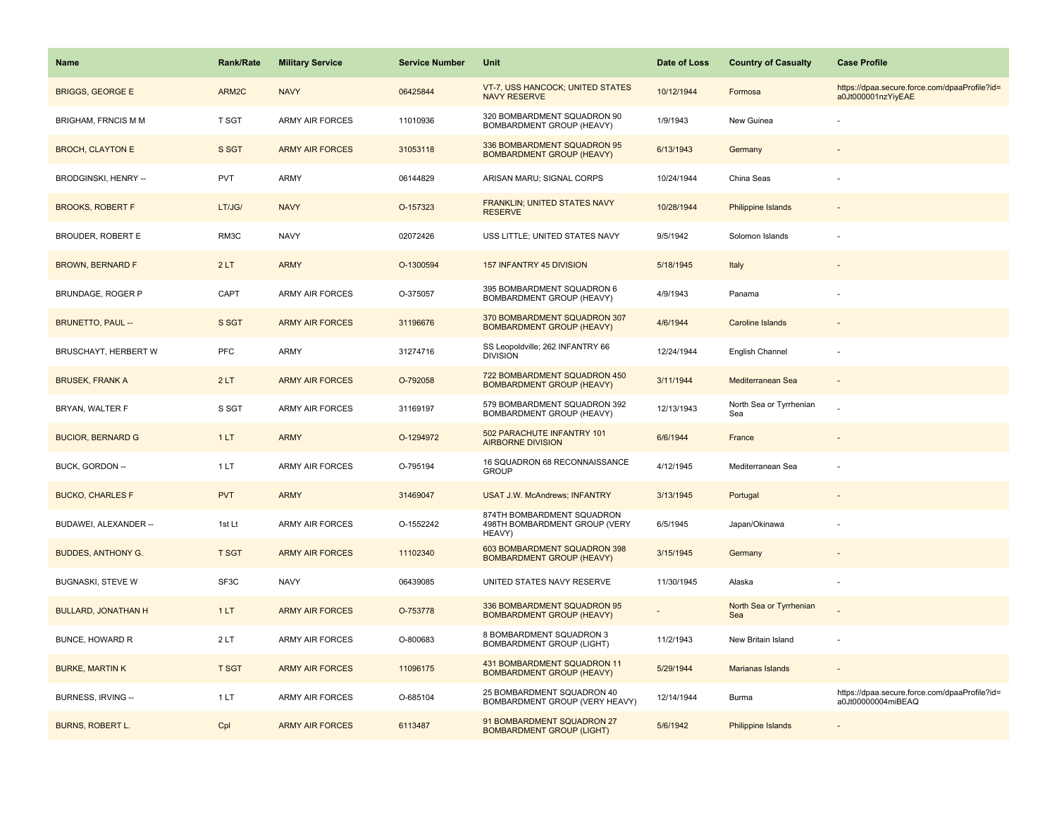| Name                       | <b>Rank/Rate</b> | <b>Military Service</b> | <b>Service Number</b> | <b>Unit</b>                                                           | Date of Loss | <b>Country of Casualty</b>     | <b>Case Profile</b>                                                 |
|----------------------------|------------------|-------------------------|-----------------------|-----------------------------------------------------------------------|--------------|--------------------------------|---------------------------------------------------------------------|
| <b>BRIGGS, GEORGE E</b>    | ARM2C            | <b>NAVY</b>             | 06425844              | VT-7, USS HANCOCK; UNITED STATES<br><b>NAVY RESERVE</b>               | 10/12/1944   | Formosa                        | https://dpaa.secure.force.com/dpaaProfile?id=<br>a0Jt000001nzYiyEAE |
| BRIGHAM, FRNCIS M M        | <b>T SGT</b>     | ARMY AIR FORCES         | 11010936              | 320 BOMBARDMENT SQUADRON 90<br>BOMBARDMENT GROUP (HEAVY)              | 1/9/1943     | New Guinea                     |                                                                     |
| <b>BROCH, CLAYTON E</b>    | S SGT            | <b>ARMY AIR FORCES</b>  | 31053118              | 336 BOMBARDMENT SQUADRON 95<br><b>BOMBARDMENT GROUP (HEAVY)</b>       | 6/13/1943    | Germany                        |                                                                     |
| BRODGINSKI, HENRY --       | <b>PVT</b>       | <b>ARMY</b>             | 06144829              | ARISAN MARU; SIGNAL CORPS                                             | 10/24/1944   | China Seas                     |                                                                     |
| <b>BROOKS, ROBERT F</b>    | LT/JG/           | <b>NAVY</b>             | O-157323              | FRANKLIN; UNITED STATES NAVY<br><b>RESERVE</b>                        | 10/28/1944   | <b>Philippine Islands</b>      |                                                                     |
| <b>BROUDER, ROBERT E</b>   | RM3C             | <b>NAVY</b>             | 02072426              | USS LITTLE; UNITED STATES NAVY                                        | 9/5/1942     | Solomon Islands                |                                                                     |
| <b>BROWN, BERNARD F</b>    | 2LT              | <b>ARMY</b>             | O-1300594             | 157 INFANTRY 45 DIVISION                                              | 5/18/1945    | Italy                          |                                                                     |
| <b>BRUNDAGE, ROGER P</b>   | CAPT             | <b>ARMY AIR FORCES</b>  | O-375057              | 395 BOMBARDMENT SQUADRON 6<br>BOMBARDMENT GROUP (HEAVY)               | 4/9/1943     | Panama                         |                                                                     |
| <b>BRUNETTO, PAUL --</b>   | S SGT            | <b>ARMY AIR FORCES</b>  | 31196676              | 370 BOMBARDMENT SQUADRON 307<br><b>BOMBARDMENT GROUP (HEAVY)</b>      | 4/6/1944     | <b>Caroline Islands</b>        |                                                                     |
| BRUSCHAYT, HERBERT W       | PFC              | <b>ARMY</b>             | 31274716              | SS Leopoldville; 262 INFANTRY 66<br><b>DIVISION</b>                   | 12/24/1944   | English Channel                |                                                                     |
| <b>BRUSEK, FRANK A</b>     | 2LT              | <b>ARMY AIR FORCES</b>  | O-792058              | 722 BOMBARDMENT SQUADRON 450<br><b>BOMBARDMENT GROUP (HEAVY)</b>      | 3/11/1944    | Mediterranean Sea              |                                                                     |
| BRYAN, WALTER F            | S SGT            | <b>ARMY AIR FORCES</b>  | 31169197              | 579 BOMBARDMENT SQUADRON 392<br>BOMBARDMENT GROUP (HEAVY)             | 12/13/1943   | North Sea or Tyrrhenian<br>Sea |                                                                     |
| <b>BUCIOR, BERNARD G</b>   | 1LT              | <b>ARMY</b>             | O-1294972             | 502 PARACHUTE INFANTRY 101<br><b>AIRBORNE DIVISION</b>                | 6/6/1944     | France                         |                                                                     |
| BUCK, GORDON --            | 1 LT             | ARMY AIR FORCES         | O-795194              | 16 SQUADRON 68 RECONNAISSANCE<br><b>GROUP</b>                         | 4/12/1945    | Mediterranean Sea              |                                                                     |
| <b>BUCKO, CHARLES F</b>    | <b>PVT</b>       | <b>ARMY</b>             | 31469047              | <b>USAT J.W. McAndrews; INFANTRY</b>                                  | 3/13/1945    | Portugal                       |                                                                     |
| BUDAWEI, ALEXANDER --      | 1st Lt           | <b>ARMY AIR FORCES</b>  | O-1552242             | 874TH BOMBARDMENT SQUADRON<br>498TH BOMBARDMENT GROUP (VERY<br>HEAVY) | 6/5/1945     | Japan/Okinawa                  |                                                                     |
| <b>BUDDES, ANTHONY G.</b>  | <b>T SGT</b>     | <b>ARMY AIR FORCES</b>  | 11102340              | 603 BOMBARDMENT SQUADRON 398<br><b>BOMBARDMENT GROUP (HEAVY)</b>      | 3/15/1945    | Germany                        |                                                                     |
| <b>BUGNASKI, STEVE W</b>   | SF3C             | <b>NAVY</b>             | 06439085              | UNITED STATES NAVY RESERVE                                            | 11/30/1945   | Alaska                         |                                                                     |
| <b>BULLARD, JONATHAN H</b> | 1LT              | <b>ARMY AIR FORCES</b>  | O-753778              | 336 BOMBARDMENT SQUADRON 95<br><b>BOMBARDMENT GROUP (HEAVY)</b>       |              | North Sea or Tyrrhenian<br>Sea |                                                                     |
| <b>BUNCE, HOWARD R</b>     | 2LT              | <b>ARMY AIR FORCES</b>  | O-800683              | 8 BOMBARDMENT SQUADRON 3<br><b>BOMBARDMENT GROUP (LIGHT)</b>          | 11/2/1943    | New Britain Island             |                                                                     |
| <b>BURKE, MARTIN K</b>     | <b>T SGT</b>     | <b>ARMY AIR FORCES</b>  | 11096175              | 431 BOMBARDMENT SQUADRON 11<br><b>BOMBARDMENT GROUP (HEAVY)</b>       | 5/29/1944    | Marianas Islands               |                                                                     |
| BURNESS, IRVING --         | 1LT              | <b>ARMY AIR FORCES</b>  | O-685104              | 25 BOMBARDMENT SQUADRON 40<br>BOMBARDMENT GROUP (VERY HEAVY)          | 12/14/1944   | Burma                          | https://dpaa.secure.force.com/dpaaProfile?id=<br>a0Jt00000004miBEAQ |
| <b>BURNS, ROBERT L.</b>    | Cpl              | <b>ARMY AIR FORCES</b>  | 6113487               | 91 BOMBARDMENT SQUADRON 27<br><b>BOMBARDMENT GROUP (LIGHT)</b>        | 5/6/1942     | <b>Philippine Islands</b>      |                                                                     |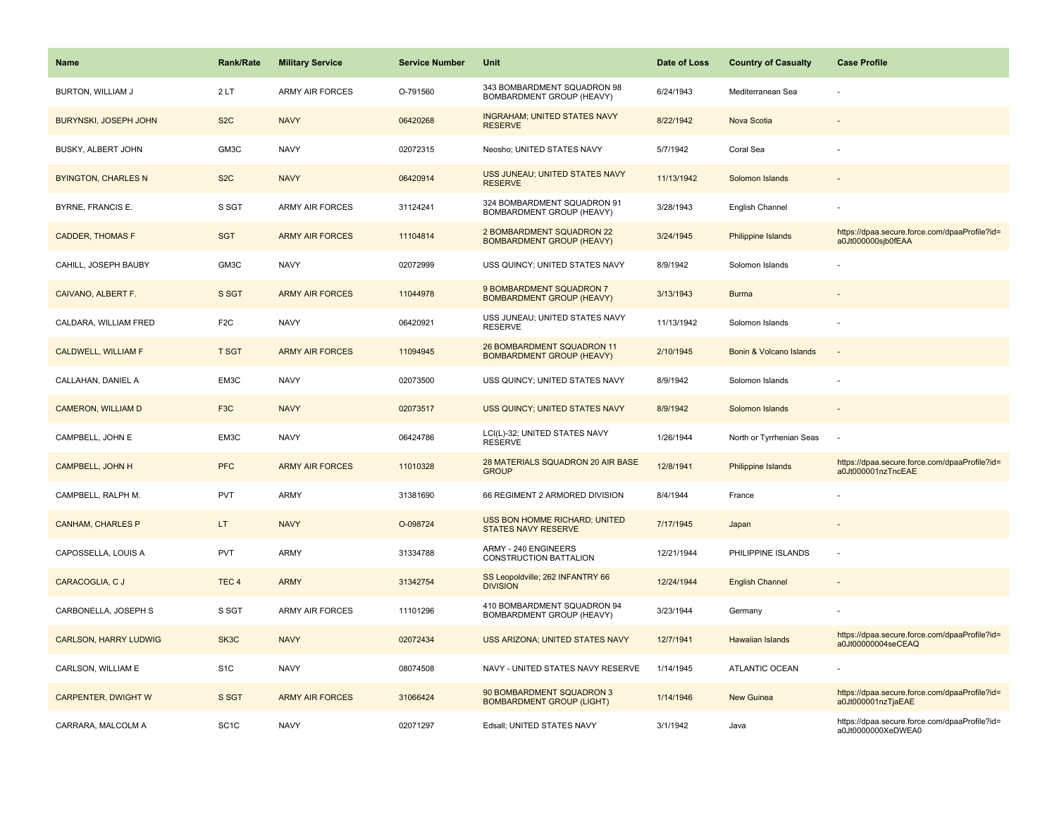| Name                         | <b>Rank/Rate</b>  | <b>Military Service</b> | <b>Service Number</b> | Unit                                                               | Date of Loss | <b>Country of Casualty</b> | <b>Case Profile</b>                                                 |
|------------------------------|-------------------|-------------------------|-----------------------|--------------------------------------------------------------------|--------------|----------------------------|---------------------------------------------------------------------|
| BURTON, WILLIAM J            | 2LT               | <b>ARMY AIR FORCES</b>  | O-791560              | 343 BOMBARDMENT SQUADRON 98<br>BOMBARDMENT GROUP (HEAVY)           | 6/24/1943    | Mediterranean Sea          |                                                                     |
| <b>BURYNSKI, JOSEPH JOHN</b> | S <sub>2</sub> C  | <b>NAVY</b>             | 06420268              | <b>INGRAHAM; UNITED STATES NAVY</b><br><b>RESERVE</b>              | 8/22/1942    | Nova Scotia                |                                                                     |
| BUSKY, ALBERT JOHN           | GM3C              | <b>NAVY</b>             | 02072315              | Neosho; UNITED STATES NAVY                                         | 5/7/1942     | Coral Sea                  |                                                                     |
| <b>BYINGTON, CHARLES N</b>   | S <sub>2</sub> C  | <b>NAVY</b>             | 06420914              | USS JUNEAU; UNITED STATES NAVY<br><b>RESERVE</b>                   | 11/13/1942   | Solomon Islands            |                                                                     |
| BYRNE, FRANCIS E.            | S SGT             | ARMY AIR FORCES         | 31124241              | 324 BOMBARDMENT SQUADRON 91<br>BOMBARDMENT GROUP (HEAVY)           | 3/28/1943    | English Channel            |                                                                     |
| <b>CADDER, THOMAS F</b>      | <b>SGT</b>        | <b>ARMY AIR FORCES</b>  | 11104814              | 2 BOMBARDMENT SQUADRON 22<br><b>BOMBARDMENT GROUP (HEAVY)</b>      | 3/24/1945    | Philippine Islands         | https://dpaa.secure.force.com/dpaaProfile?id=<br>a0Jt000000sjb0fEAA |
| CAHILL, JOSEPH BAUBY         | GM3C              | <b>NAVY</b>             | 02072999              | USS QUINCY; UNITED STATES NAVY                                     | 8/9/1942     | Solomon Islands            |                                                                     |
| CAIVANO, ALBERT F.           | S SGT             | <b>ARMY AIR FORCES</b>  | 11044978              | 9 BOMBARDMENT SQUADRON 7<br><b>BOMBARDMENT GROUP (HEAVY)</b>       | 3/13/1943    | <b>Burma</b>               |                                                                     |
| CALDARA, WILLIAM FRED        | F <sub>2C</sub>   | <b>NAVY</b>             | 06420921              | USS JUNEAU; UNITED STATES NAVY<br><b>RESERVE</b>                   | 11/13/1942   | Solomon Islands            |                                                                     |
| <b>CALDWELL, WILLIAM F</b>   | <b>T SGT</b>      | <b>ARMY AIR FORCES</b>  | 11094945              | 26 BOMBARDMENT SQUADRON 11<br><b>BOMBARDMENT GROUP (HEAVY)</b>     | 2/10/1945    | Bonin & Volcano Islands    |                                                                     |
| CALLAHAN, DANIEL A           | EM3C              | <b>NAVY</b>             | 02073500              | USS QUINCY; UNITED STATES NAVY                                     | 8/9/1942     | Solomon Islands            |                                                                     |
| CAMERON, WILLIAM D           | F <sub>3</sub> C  | <b>NAVY</b>             | 02073517              | USS QUINCY; UNITED STATES NAVY                                     | 8/9/1942     | Solomon Islands            |                                                                     |
| CAMPBELL, JOHN E             | EM3C              | <b>NAVY</b>             | 06424786              | LCI(L)-32; UNITED STATES NAVY<br><b>RESERVE</b>                    | 1/26/1944    | North or Tyrrhenian Seas   |                                                                     |
| <b>CAMPBELL, JOHN H</b>      | <b>PFC</b>        | <b>ARMY AIR FORCES</b>  | 11010328              | 28 MATERIALS SQUADRON 20 AIR BASE<br><b>GROUP</b>                  | 12/8/1941    | Philippine Islands         | https://dpaa.secure.force.com/dpaaProfile?id=<br>a0Jt000001nzTncEAE |
| CAMPBELL, RALPH M.           | <b>PVT</b>        | <b>ARMY</b>             | 31381690              | 66 REGIMENT 2 ARMORED DIVISION                                     | 8/4/1944     | France                     |                                                                     |
| <b>CANHAM, CHARLES P</b>     | LT.               | <b>NAVY</b>             | O-098724              | <b>USS BON HOMME RICHARD; UNITED</b><br><b>STATES NAVY RESERVE</b> | 7/17/1945    | Japan                      |                                                                     |
| CAPOSSELLA, LOUIS A          | PVT               | <b>ARMY</b>             | 31334788              | ARMY - 240 ENGINEERS<br>CONSTRUCTION BATTALION                     | 12/21/1944   | PHILIPPINE ISLANDS         |                                                                     |
| CARACOGLIA, C J              | TEC <sub>4</sub>  | <b>ARMY</b>             | 31342754              | SS Leopoldville; 262 INFANTRY 66<br><b>DIVISION</b>                | 12/24/1944   | <b>English Channel</b>     |                                                                     |
| CARBONELLA, JOSEPH S         | S SGT             | ARMY AIR FORCES         | 11101296              | 410 BOMBARDMENT SQUADRON 94<br>BOMBARDMENT GROUP (HEAVY)           | 3/23/1944    | Germany                    |                                                                     |
| <b>CARLSON, HARRY LUDWIG</b> | SK3C              | <b>NAVY</b>             | 02072434              | <b>USS ARIZONA; UNITED STATES NAVY</b>                             | 12/7/1941    | <b>Hawaiian Islands</b>    | https://dpaa.secure.force.com/dpaaProfile?id=<br>a0Jt00000004seCEAQ |
| CARLSON, WILLIAM E           | S <sub>1</sub> C  | <b>NAVY</b>             | 08074508              | NAVY - UNITED STATES NAVY RESERVE                                  | 1/14/1945    | <b>ATLANTIC OCEAN</b>      |                                                                     |
| <b>CARPENTER, DWIGHT W</b>   | S SGT             | <b>ARMY AIR FORCES</b>  | 31066424              | 90 BOMBARDMENT SQUADRON 3<br><b>BOMBARDMENT GROUP (LIGHT)</b>      | 1/14/1946    | New Guinea                 | https://dpaa.secure.force.com/dpaaProfile?id=<br>a0Jt000001nzTjaEAE |
| CARRARA, MALCOLM A           | SC <sub>1</sub> C | <b>NAVY</b>             | 02071297              | Edsall; UNITED STATES NAVY                                         | 3/1/1942     | Java                       | https://dpaa.secure.force.com/dpaaProfile?id=<br>a0Jt0000000XeDWEA0 |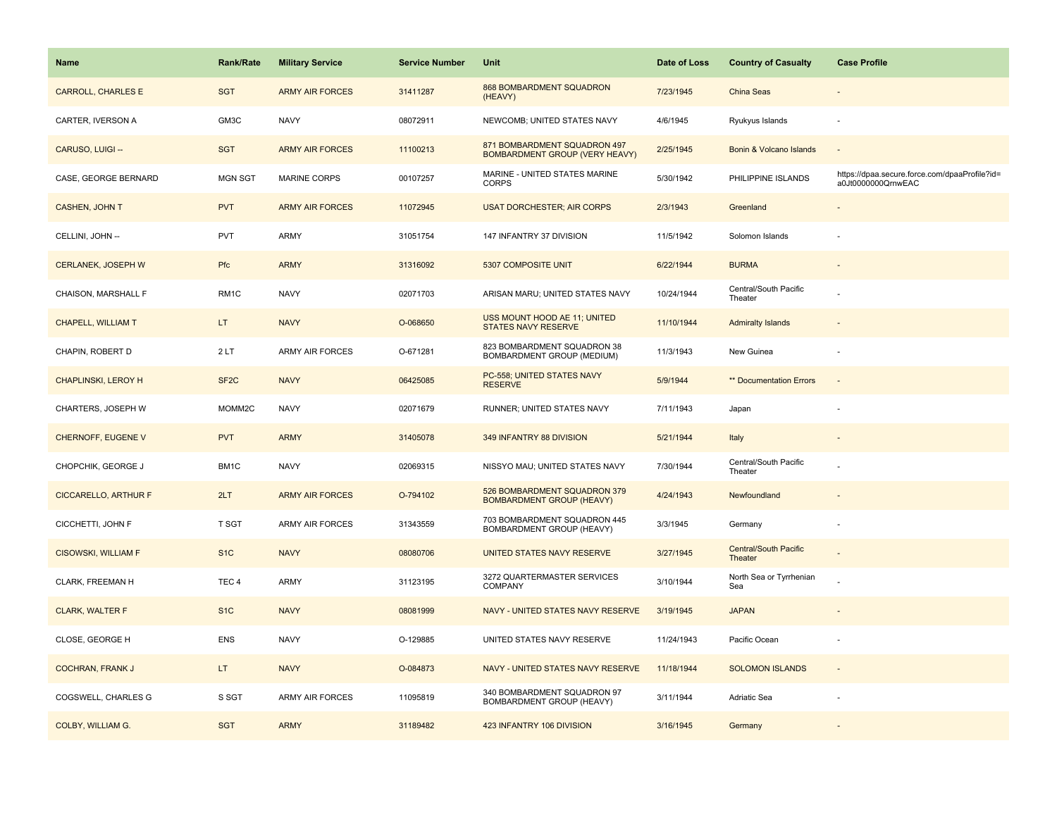| <b>Name</b>                 | Rank/Rate         | <b>Military Service</b> | <b>Service Number</b> | Unit                                                                  | Date of Loss | <b>Country of Casualty</b>              | <b>Case Profile</b>                                                 |
|-----------------------------|-------------------|-------------------------|-----------------------|-----------------------------------------------------------------------|--------------|-----------------------------------------|---------------------------------------------------------------------|
| <b>CARROLL, CHARLES E</b>   | <b>SGT</b>        | <b>ARMY AIR FORCES</b>  | 31411287              | 868 BOMBARDMENT SQUADRON<br>(HEAVY)                                   | 7/23/1945    | <b>China Seas</b>                       |                                                                     |
| CARTER, IVERSON A           | GM3C              | <b>NAVY</b>             | 08072911              | NEWCOMB; UNITED STATES NAVY                                           | 4/6/1945     | Ryukyus Islands                         | $\sim$                                                              |
| CARUSO, LUIGI --            | <b>SGT</b>        | <b>ARMY AIR FORCES</b>  | 11100213              | 871 BOMBARDMENT SQUADRON 497<br><b>BOMBARDMENT GROUP (VERY HEAVY)</b> | 2/25/1945    | Bonin & Volcano Islands                 |                                                                     |
| CASE, GEORGE BERNARD        | <b>MGN SGT</b>    | <b>MARINE CORPS</b>     | 00107257              | MARINE - UNITED STATES MARINE<br><b>CORPS</b>                         | 5/30/1942    | PHILIPPINE ISLANDS                      | https://dpaa.secure.force.com/dpaaProfile?id=<br>a0Jt0000000QrnwEAC |
| <b>CASHEN, JOHN T</b>       | <b>PVT</b>        | <b>ARMY AIR FORCES</b>  | 11072945              | <b>USAT DORCHESTER; AIR CORPS</b>                                     | 2/3/1943     | Greenland                               |                                                                     |
| CELLINI, JOHN --            | <b>PVT</b>        | ARMY                    | 31051754              | 147 INFANTRY 37 DIVISION                                              | 11/5/1942    | Solomon Islands                         |                                                                     |
| CERLANEK, JOSEPH W          | Pfc               | <b>ARMY</b>             | 31316092              | 5307 COMPOSITE UNIT                                                   | 6/22/1944    | <b>BURMA</b>                            | $\sim$                                                              |
| CHAISON, MARSHALL F         | RM1C              | <b>NAVY</b>             | 02071703              | ARISAN MARU; UNITED STATES NAVY                                       | 10/24/1944   | Central/South Pacific<br>Theater        |                                                                     |
| <b>CHAPELL, WILLIAM T</b>   | LT.               | <b>NAVY</b>             | O-068650              | USS MOUNT HOOD AE 11; UNITED<br>STATES NAVY RESERVE                   | 11/10/1944   | <b>Admiralty Islands</b>                |                                                                     |
| CHAPIN, ROBERT D            | 2LT               | <b>ARMY AIR FORCES</b>  | O-671281              | 823 BOMBARDMENT SQUADRON 38<br>BOMBARDMENT GROUP (MEDIUM)             | 11/3/1943    | New Guinea                              | ÷,                                                                  |
| <b>CHAPLINSKI, LEROY H</b>  | SF <sub>2</sub> C | <b>NAVY</b>             | 06425085              | PC-558; UNITED STATES NAVY<br><b>RESERVE</b>                          | 5/9/1944     | ** Documentation Errors                 |                                                                     |
| CHARTERS, JOSEPH W          | MOMM2C            | <b>NAVY</b>             | 02071679              | RUNNER; UNITED STATES NAVY                                            | 7/11/1943    | Japan                                   |                                                                     |
| CHERNOFF, EUGENE V          | <b>PVT</b>        | <b>ARMY</b>             | 31405078              | 349 INFANTRY 88 DIVISION                                              | 5/21/1944    | Italy                                   |                                                                     |
| CHOPCHIK, GEORGE J          | BM1C              | <b>NAVY</b>             | 02069315              | NISSYO MAU; UNITED STATES NAVY                                        | 7/30/1944    | Central/South Pacific<br>Theater        |                                                                     |
| <b>CICCARELLO, ARTHUR F</b> | 2LT               | <b>ARMY AIR FORCES</b>  | O-794102              | 526 BOMBARDMENT SQUADRON 379<br><b>BOMBARDMENT GROUP (HEAVY)</b>      | 4/24/1943    | Newfoundland                            |                                                                     |
| CICCHETTI, JOHN F           | T SGT             | <b>ARMY AIR FORCES</b>  | 31343559              | 703 BOMBARDMENT SQUADRON 445<br>BOMBARDMENT GROUP (HEAVY)             | 3/3/1945     | Germany                                 |                                                                     |
| <b>CISOWSKI, WILLIAM F</b>  | S <sub>1</sub> C  | <b>NAVY</b>             | 08080706              | UNITED STATES NAVY RESERVE                                            | 3/27/1945    | <b>Central/South Pacific</b><br>Theater |                                                                     |
| CLARK, FREEMAN H            | TEC <sub>4</sub>  | ARMY                    | 31123195              | 3272 QUARTERMASTER SERVICES<br>COMPANY                                | 3/10/1944    | North Sea or Tyrrhenian<br>Sea          |                                                                     |
| <b>CLARK, WALTER F</b>      | S <sub>1</sub> C  | <b>NAVY</b>             | 08081999              | NAVY - UNITED STATES NAVY RESERVE                                     | 3/19/1945    | <b>JAPAN</b>                            |                                                                     |
| CLOSE, GEORGE H             | <b>ENS</b>        | <b>NAVY</b>             | O-129885              | UNITED STATES NAVY RESERVE                                            | 11/24/1943   | Pacific Ocean                           |                                                                     |
| <b>COCHRAN, FRANK J</b>     | LT.               | <b>NAVY</b>             | O-084873              | NAVY - UNITED STATES NAVY RESERVE                                     | 11/18/1944   | <b>SOLOMON ISLANDS</b>                  |                                                                     |
| COGSWELL, CHARLES G         | S SGT             | <b>ARMY AIR FORCES</b>  | 11095819              | 340 BOMBARDMENT SQUADRON 97<br>BOMBARDMENT GROUP (HEAVY)              | 3/11/1944    | Adriatic Sea                            |                                                                     |
| <b>COLBY, WILLIAM G.</b>    | <b>SGT</b>        | <b>ARMY</b>             | 31189482              | 423 INFANTRY 106 DIVISION                                             | 3/16/1945    | Germany                                 |                                                                     |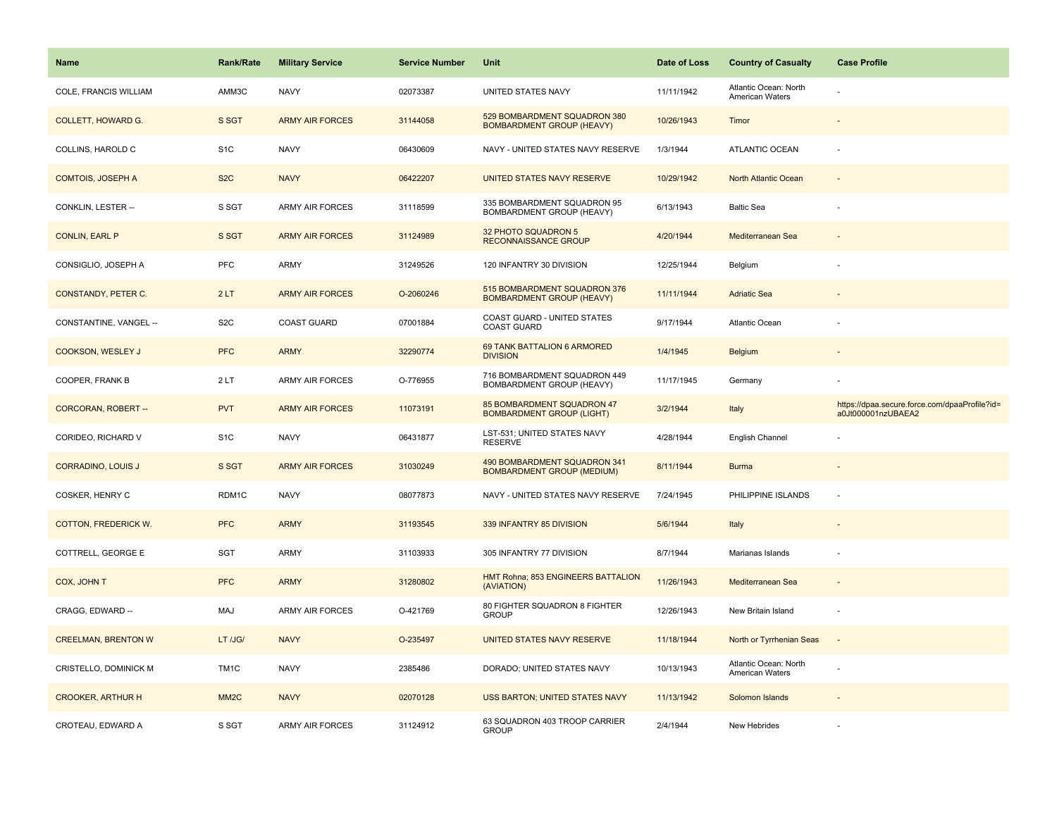| Name                        | <b>Rank/Rate</b>  | <b>Military Service</b> | <b>Service Number</b> | Unit                                                                  | Date of Loss | <b>Country of Casualty</b>                      | <b>Case Profile</b>                                                 |
|-----------------------------|-------------------|-------------------------|-----------------------|-----------------------------------------------------------------------|--------------|-------------------------------------------------|---------------------------------------------------------------------|
| COLE, FRANCIS WILLIAM       | AMM3C             | <b>NAVY</b>             | 02073387              | UNITED STATES NAVY                                                    | 11/11/1942   | Atlantic Ocean: North<br><b>American Waters</b> |                                                                     |
| <b>COLLETT, HOWARD G.</b>   | S SGT             | <b>ARMY AIR FORCES</b>  | 31144058              | 529 BOMBARDMENT SQUADRON 380<br><b>BOMBARDMENT GROUP (HEAVY)</b>      | 10/26/1943   | Timor                                           |                                                                     |
| COLLINS, HAROLD C           | S <sub>1</sub> C  | <b>NAVY</b>             | 06430609              | NAVY - UNITED STATES NAVY RESERVE                                     | 1/3/1944     | <b>ATLANTIC OCEAN</b>                           |                                                                     |
| <b>COMTOIS, JOSEPH A</b>    | S <sub>2</sub> C  | <b>NAVY</b>             | 06422207              | UNITED STATES NAVY RESERVE                                            | 10/29/1942   | North Atlantic Ocean                            |                                                                     |
| CONKLIN, LESTER --          | S SGT             | <b>ARMY AIR FORCES</b>  | 31118599              | 335 BOMBARDMENT SQUADRON 95<br>BOMBARDMENT GROUP (HEAVY)              | 6/13/1943    | <b>Baltic Sea</b>                               |                                                                     |
| <b>CONLIN, EARL P</b>       | S SGT             | <b>ARMY AIR FORCES</b>  | 31124989              | 32 PHOTO SQUADRON 5<br><b>RECONNAISSANCE GROUP</b>                    | 4/20/1944    | Mediterranean Sea                               |                                                                     |
| CONSIGLIO, JOSEPH A         | PFC               | <b>ARMY</b>             | 31249526              | 120 INFANTRY 30 DIVISION                                              | 12/25/1944   | Belgium                                         |                                                                     |
| CONSTANDY, PETER C.         | 2LT               | <b>ARMY AIR FORCES</b>  | O-2060246             | 515 BOMBARDMENT SQUADRON 376<br><b>BOMBARDMENT GROUP (HEAVY)</b>      | 11/11/1944   | <b>Adriatic Sea</b>                             |                                                                     |
| CONSTANTINE, VANGEL --      | S <sub>2</sub> C  | COAST GUARD             | 07001884              | COAST GUARD - UNITED STATES<br><b>COAST GUARD</b>                     | 9/17/1944    | Atlantic Ocean                                  |                                                                     |
| COOKSON, WESLEY J           | <b>PFC</b>        | <b>ARMY</b>             | 32290774              | 69 TANK BATTALION 6 ARMORED<br><b>DIVISION</b>                        | 1/4/1945     | Belgium                                         |                                                                     |
| COOPER, FRANK B             | 2LT               | <b>ARMY AIR FORCES</b>  | O-776955              | 716 BOMBARDMENT SQUADRON 449<br><b>BOMBARDMENT GROUP (HEAVY)</b>      | 11/17/1945   | Germany                                         |                                                                     |
| CORCORAN, ROBERT --         | <b>PVT</b>        | <b>ARMY AIR FORCES</b>  | 11073191              | <b>85 BOMBARDMENT SQUADRON 47</b><br><b>BOMBARDMENT GROUP (LIGHT)</b> | 3/2/1944     | Italy                                           | https://dpaa.secure.force.com/dpaaProfile?id=<br>a0Jt000001nzUBAEA2 |
| CORIDEO, RICHARD V          | S <sub>1</sub> C  | <b>NAVY</b>             | 06431877              | LST-531; UNITED STATES NAVY<br><b>RESERVE</b>                         | 4/28/1944    | English Channel                                 |                                                                     |
| <b>CORRADINO, LOUIS J</b>   | S SGT             | <b>ARMY AIR FORCES</b>  | 31030249              | 490 BOMBARDMENT SQUADRON 341<br><b>BOMBARDMENT GROUP (MEDIUM)</b>     | 8/11/1944    | <b>Burma</b>                                    |                                                                     |
| COSKER, HENRY C             | RDM1C             | <b>NAVY</b>             | 08077873              | NAVY - UNITED STATES NAVY RESERVE                                     | 7/24/1945    | PHILIPPINE ISLANDS                              | $\sim$                                                              |
| <b>COTTON, FREDERICK W.</b> | <b>PFC</b>        | <b>ARMY</b>             | 31193545              | 339 INFANTRY 85 DIVISION                                              | 5/6/1944     | Italy                                           |                                                                     |
| COTTRELL, GEORGE E          | SGT               | <b>ARMY</b>             | 31103933              | 305 INFANTRY 77 DIVISION                                              | 8/7/1944     | Marianas Islands                                |                                                                     |
| COX, JOHN T                 | <b>PFC</b>        | <b>ARMY</b>             | 31280802              | HMT Rohna; 853 ENGINEERS BATTALION<br>(AVIATION)                      | 11/26/1943   | Mediterranean Sea                               |                                                                     |
| CRAGG, EDWARD --            | MAJ               | ARMY AIR FORCES         | O-421769              | 80 FIGHTER SQUADRON 8 FIGHTER<br><b>GROUP</b>                         | 12/26/1943   | New Britain Island                              | $\sim$                                                              |
| <b>CREELMAN, BRENTON W</b>  | LT /JG/           | <b>NAVY</b>             | O-235497              | UNITED STATES NAVY RESERVE                                            | 11/18/1944   | North or Tyrrhenian Seas                        | $\sim$                                                              |
| CRISTELLO, DOMINICK M       | TM <sub>1</sub> C | <b>NAVY</b>             | 2385486               | DORADO; UNITED STATES NAVY                                            | 10/13/1943   | Atlantic Ocean: North<br><b>American Waters</b> |                                                                     |
| <b>CROOKER, ARTHUR H</b>    | MM <sub>2</sub> C | <b>NAVY</b>             | 02070128              | USS BARTON; UNITED STATES NAVY                                        | 11/13/1942   | Solomon Islands                                 |                                                                     |
| CROTEAU, EDWARD A           | S SGT             | ARMY AIR FORCES         | 31124912              | 63 SQUADRON 403 TROOP CARRIER<br><b>GROUP</b>                         | 2/4/1944     | New Hebrides                                    |                                                                     |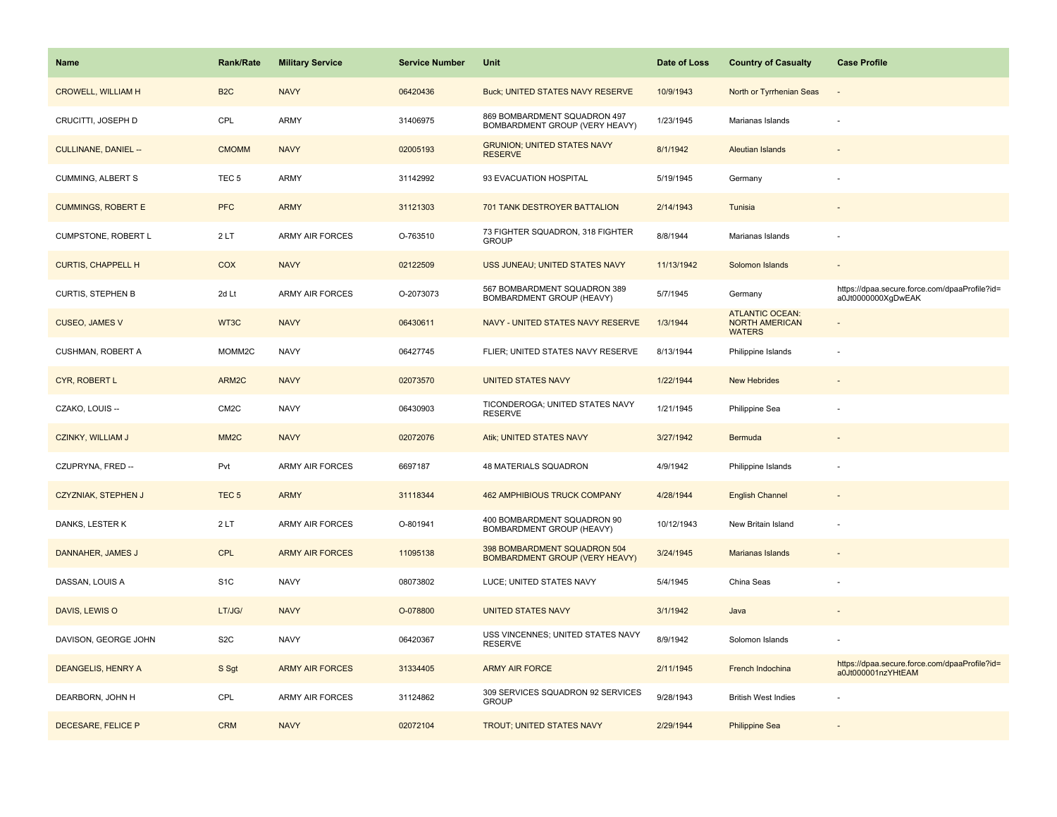| Name                        | <b>Rank/Rate</b>  | <b>Military Service</b> | <b>Service Number</b> | Unit                                                           | Date of Loss | <b>Country of Casualty</b>                                       | <b>Case Profile</b>                                                 |
|-----------------------------|-------------------|-------------------------|-----------------------|----------------------------------------------------------------|--------------|------------------------------------------------------------------|---------------------------------------------------------------------|
| <b>CROWELL, WILLIAM H</b>   | B <sub>2</sub> C  | <b>NAVY</b>             | 06420436              | <b>Buck; UNITED STATES NAVY RESERVE</b>                        | 10/9/1943    | North or Tyrrhenian Seas                                         |                                                                     |
| CRUCITTI, JOSEPH D          | CPL               | ARMY                    | 31406975              | 869 BOMBARDMENT SQUADRON 497<br>BOMBARDMENT GROUP (VERY HEAVY) | 1/23/1945    | Marianas Islands                                                 |                                                                     |
| <b>CULLINANE, DANIEL --</b> | <b>CMOMM</b>      | <b>NAVY</b>             | 02005193              | <b>GRUNION; UNITED STATES NAVY</b><br><b>RESERVE</b>           | 8/1/1942     | <b>Aleutian Islands</b>                                          |                                                                     |
| <b>CUMMING, ALBERT S</b>    | TEC <sub>5</sub>  | ARMY                    | 31142992              | 93 EVACUATION HOSPITAL                                         | 5/19/1945    | Germany                                                          |                                                                     |
| <b>CUMMINGS, ROBERT E</b>   | <b>PFC</b>        | <b>ARMY</b>             | 31121303              | 701 TANK DESTROYER BATTALION                                   | 2/14/1943    | Tunisia                                                          |                                                                     |
| CUMPSTONE, ROBERT L         | 2LT               | <b>ARMY AIR FORCES</b>  | O-763510              | 73 FIGHTER SQUADRON, 318 FIGHTER<br><b>GROUP</b>               | 8/8/1944     | Marianas Islands                                                 |                                                                     |
| <b>CURTIS, CHAPPELL H</b>   | COX               | <b>NAVY</b>             | 02122509              | USS JUNEAU; UNITED STATES NAVY                                 | 11/13/1942   | Solomon Islands                                                  |                                                                     |
| <b>CURTIS, STEPHEN B</b>    | 2d Lt             | <b>ARMY AIR FORCES</b>  | O-2073073             | 567 BOMBARDMENT SQUADRON 389<br>BOMBARDMENT GROUP (HEAVY)      | 5/7/1945     | Germany                                                          | https://dpaa.secure.force.com/dpaaProfile?id=<br>a0Jt0000000XgDwEAK |
| <b>CUSEO, JAMES V</b>       | WT3C              | <b>NAVY</b>             | 06430611              | NAVY - UNITED STATES NAVY RESERVE                              | 1/3/1944     | <b>ATLANTIC OCEAN:</b><br><b>NORTH AMERICAN</b><br><b>WATERS</b> |                                                                     |
| CUSHMAN, ROBERT A           | MOMM2C            | <b>NAVY</b>             | 06427745              | FLIER; UNITED STATES NAVY RESERVE                              | 8/13/1944    | Philippine Islands                                               |                                                                     |
| CYR, ROBERT L               | ARM2C             | <b>NAVY</b>             | 02073570              | <b>UNITED STATES NAVY</b>                                      | 1/22/1944    | <b>New Hebrides</b>                                              |                                                                     |
| CZAKO, LOUIS --             | CM2C              | <b>NAVY</b>             | 06430903              | TICONDEROGA; UNITED STATES NAVY<br><b>RESERVE</b>              | 1/21/1945    | Philippine Sea                                                   |                                                                     |
| <b>CZINKY, WILLIAM J</b>    | MM <sub>2</sub> C | <b>NAVY</b>             | 02072076              | Atik; UNITED STATES NAVY                                       | 3/27/1942    | Bermuda                                                          |                                                                     |
| CZUPRYNA, FRED --           | Pvt               | ARMY AIR FORCES         | 6697187               | 48 MATERIALS SQUADRON                                          | 4/9/1942     | Philippine Islands                                               |                                                                     |
| <b>CZYZNIAK, STEPHEN J</b>  | TEC <sub>5</sub>  | <b>ARMY</b>             | 31118344              | <b>462 AMPHIBIOUS TRUCK COMPANY</b>                            | 4/28/1944    | <b>English Channel</b>                                           |                                                                     |
| DANKS, LESTER K             | 2LT               | ARMY AIR FORCES         | O-801941              | 400 BOMBARDMENT SQUADRON 90<br>BOMBARDMENT GROUP (HEAVY)       | 10/12/1943   | New Britain Island                                               |                                                                     |
| DANNAHER, JAMES J           | <b>CPL</b>        | <b>ARMY AIR FORCES</b>  | 11095138              | 398 BOMBARDMENT SQUADRON 504<br>BOMBARDMENT GROUP (VERY HEAVY) | 3/24/1945    | <b>Marianas Islands</b>                                          |                                                                     |
| DASSAN, LOUIS A             | S <sub>1</sub> C  | <b>NAVY</b>             | 08073802              | LUCE; UNITED STATES NAVY                                       | 5/4/1945     | China Seas                                                       |                                                                     |
| DAVIS, LEWIS O              | LT/JG/            | <b>NAVY</b>             | O-078800              | <b>UNITED STATES NAVY</b>                                      | 3/1/1942     | Java                                                             |                                                                     |
| DAVISON, GEORGE JOHN        | S <sub>2</sub> C  | <b>NAVY</b>             | 06420367              | USS VINCENNES; UNITED STATES NAVY<br><b>RESERVE</b>            | 8/9/1942     | Solomon Islands                                                  |                                                                     |
| DEANGELIS, HENRY A          | S Sgt             | <b>ARMY AIR FORCES</b>  | 31334405              | <b>ARMY AIR FORCE</b>                                          | 2/11/1945    | French Indochina                                                 | https://dpaa.secure.force.com/dpaaProfile?id=<br>a0Jt000001nzYHtEAM |
| DEARBORN, JOHN H            | CPL               | <b>ARMY AIR FORCES</b>  | 31124862              | 309 SERVICES SQUADRON 92 SERVICES<br><b>GROUP</b>              | 9/28/1943    | <b>British West Indies</b>                                       |                                                                     |
| DECESARE, FELICE P          | <b>CRM</b>        | <b>NAVY</b>             | 02072104              | <b>TROUT; UNITED STATES NAVY</b>                               | 2/29/1944    | <b>Philippine Sea</b>                                            |                                                                     |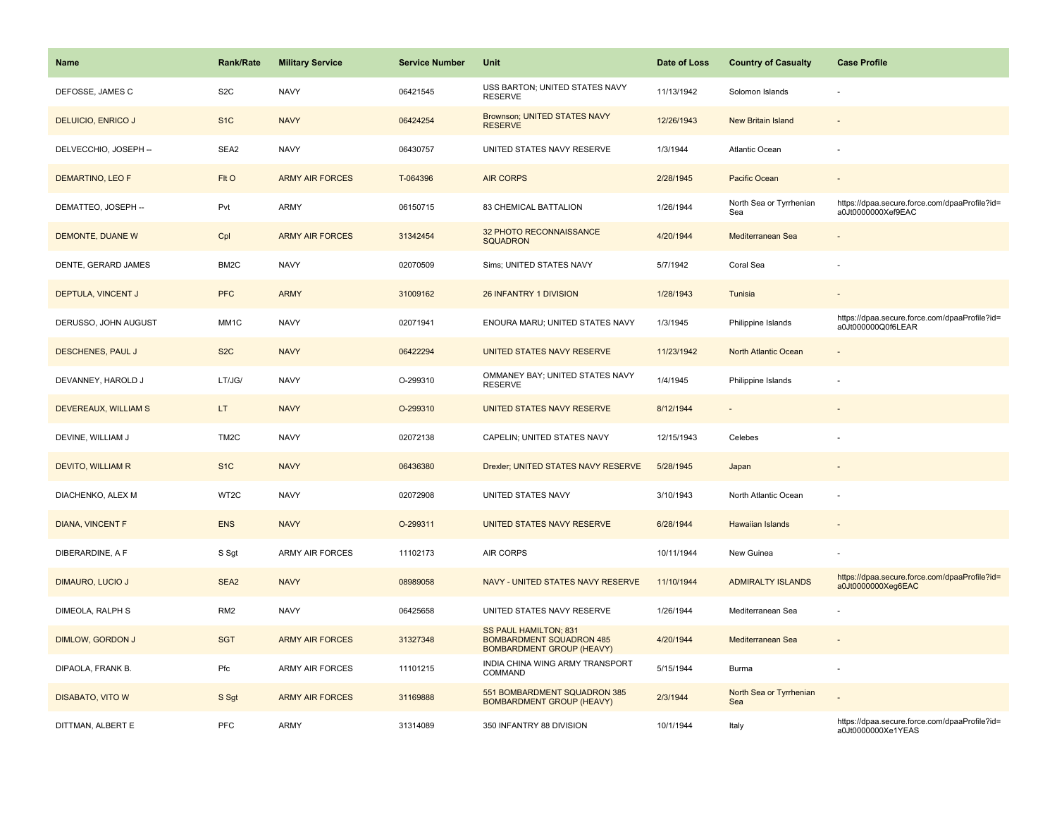| <b>Name</b>               | Rank/Rate         | <b>Military Service</b> | <b>Service Number</b> | Unit                                                                                                | Date of Loss | <b>Country of Casualty</b>     | <b>Case Profile</b>                                                 |
|---------------------------|-------------------|-------------------------|-----------------------|-----------------------------------------------------------------------------------------------------|--------------|--------------------------------|---------------------------------------------------------------------|
| DEFOSSE, JAMES C          | S <sub>2</sub> C  | <b>NAVY</b>             | 06421545              | USS BARTON; UNITED STATES NAVY<br><b>RESERVE</b>                                                    | 11/13/1942   | Solomon Islands                |                                                                     |
| <b>DELUICIO, ENRICO J</b> | S <sub>1</sub> C  | <b>NAVY</b>             | 06424254              | Brownson; UNITED STATES NAVY<br><b>RESERVE</b>                                                      | 12/26/1943   | <b>New Britain Island</b>      |                                                                     |
| DELVECCHIO, JOSEPH --     | SEA2              | <b>NAVY</b>             | 06430757              | UNITED STATES NAVY RESERVE                                                                          | 1/3/1944     | Atlantic Ocean                 |                                                                     |
| DEMARTINO, LEO F          | FIt O             | <b>ARMY AIR FORCES</b>  | T-064396              | <b>AIR CORPS</b>                                                                                    | 2/28/1945    | Pacific Ocean                  |                                                                     |
| DEMATTEO, JOSEPH --       | Pvt               | <b>ARMY</b>             | 06150715              | 83 CHEMICAL BATTALION                                                                               | 1/26/1944    | North Sea or Tyrrhenian<br>Sea | https://dpaa.secure.force.com/dpaaProfile?id=<br>a0Jt0000000Xef9EAC |
| DEMONTE, DUANE W          | Cpl               | <b>ARMY AIR FORCES</b>  | 31342454              | 32 PHOTO RECONNAISSANCE<br><b>SQUADRON</b>                                                          | 4/20/1944    | Mediterranean Sea              |                                                                     |
| DENTE, GERARD JAMES       | BM <sub>2</sub> C | <b>NAVY</b>             | 02070509              | Sims; UNITED STATES NAVY                                                                            | 5/7/1942     | Coral Sea                      |                                                                     |
| DEPTULA, VINCENT J        | <b>PFC</b>        | <b>ARMY</b>             | 31009162              | 26 INFANTRY 1 DIVISION                                                                              | 1/28/1943    | Tunisia                        |                                                                     |
| DERUSSO, JOHN AUGUST      | MM1C              | <b>NAVY</b>             | 02071941              | ENOURA MARU; UNITED STATES NAVY                                                                     | 1/3/1945     | Philippine Islands             | https://dpaa.secure.force.com/dpaaProfile?id=<br>a0Jt000000Q0f6LEAR |
| <b>DESCHENES, PAUL J</b>  | S <sub>2</sub> C  | <b>NAVY</b>             | 06422294              | UNITED STATES NAVY RESERVE                                                                          | 11/23/1942   | <b>North Atlantic Ocean</b>    |                                                                     |
| DEVANNEY, HAROLD J        | LT/JG/            | <b>NAVY</b>             | O-299310              | OMMANEY BAY; UNITED STATES NAVY<br><b>RESERVE</b>                                                   | 1/4/1945     | Philippine Islands             |                                                                     |
| DEVEREAUX, WILLIAM S      | LT.               | <b>NAVY</b>             | O-299310              | UNITED STATES NAVY RESERVE                                                                          | 8/12/1944    |                                |                                                                     |
| DEVINE, WILLIAM J         | TM <sub>2</sub> C | <b>NAVY</b>             | 02072138              | CAPELIN; UNITED STATES NAVY                                                                         | 12/15/1943   | Celebes                        |                                                                     |
| <b>DEVITO, WILLIAM R</b>  | S <sub>1</sub> C  | <b>NAVY</b>             | 06436380              | Drexler; UNITED STATES NAVY RESERVE                                                                 | 5/28/1945    | Japan                          | $\overline{a}$                                                      |
| DIACHENKO, ALEX M         | WT2C              | <b>NAVY</b>             | 02072908              | UNITED STATES NAVY                                                                                  | 3/10/1943    | North Atlantic Ocean           | ÷,                                                                  |
| <b>DIANA, VINCENT F</b>   | <b>ENS</b>        | <b>NAVY</b>             | O-299311              | UNITED STATES NAVY RESERVE                                                                          | 6/28/1944    | <b>Hawaiian Islands</b>        | $\sim$                                                              |
| DIBERARDINE, A F          | S Sgt             | <b>ARMY AIR FORCES</b>  | 11102173              | <b>AIR CORPS</b>                                                                                    | 10/11/1944   | New Guinea                     |                                                                     |
| <b>DIMAURO, LUCIO J</b>   | SEA2              | <b>NAVY</b>             | 08989058              | NAVY - UNITED STATES NAVY RESERVE                                                                   | 11/10/1944   | <b>ADMIRALTY ISLANDS</b>       | https://dpaa.secure.force.com/dpaaProfile?id=<br>a0Jt0000000Xeg6EAC |
| DIMEOLA, RALPH S          | RM <sub>2</sub>   | <b>NAVY</b>             | 06425658              | UNITED STATES NAVY RESERVE                                                                          | 1/26/1944    | Mediterranean Sea              |                                                                     |
| DIMLOW, GORDON J          | <b>SGT</b>        | <b>ARMY AIR FORCES</b>  | 31327348              | <b>SS PAUL HAMILTON; 831</b><br><b>BOMBARDMENT SQUADRON 485</b><br><b>BOMBARDMENT GROUP (HEAVY)</b> | 4/20/1944    | Mediterranean Sea              | $\sim$                                                              |
| DIPAOLA, FRANK B.         | Pfc               | <b>ARMY AIR FORCES</b>  | 11101215              | INDIA CHINA WING ARMY TRANSPORT<br>COMMAND                                                          | 5/15/1944    | Burma                          |                                                                     |
| <b>DISABATO, VITO W</b>   | S Sgt             | <b>ARMY AIR FORCES</b>  | 31169888              | 551 BOMBARDMENT SQUADRON 385<br><b>BOMBARDMENT GROUP (HEAVY)</b>                                    | 2/3/1944     | North Sea or Tyrrhenian<br>Sea |                                                                     |
| DITTMAN, ALBERT E         | PFC               | <b>ARMY</b>             | 31314089              | 350 INFANTRY 88 DIVISION                                                                            | 10/1/1944    | Italy                          | https://dpaa.secure.force.com/dpaaProfile?id=<br>a0Jt0000000Xe1YEAS |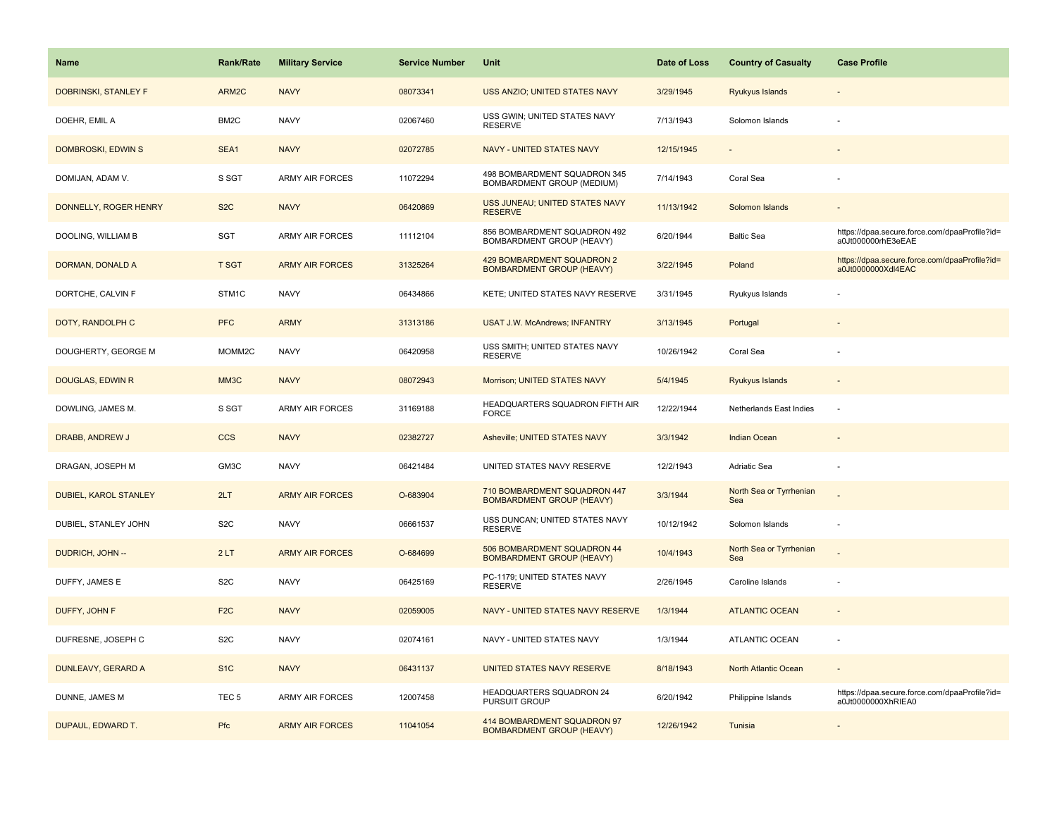| <b>Name</b>             | <b>Rank/Rate</b> | <b>Military Service</b> | <b>Service Number</b> | Unit                                                             | Date of Loss | <b>Country of Casualty</b>     | <b>Case Profile</b>                                                 |
|-------------------------|------------------|-------------------------|-----------------------|------------------------------------------------------------------|--------------|--------------------------------|---------------------------------------------------------------------|
| DOBRINSKI, STANLEY F    | ARM2C            | <b>NAVY</b>             | 08073341              | USS ANZIO; UNITED STATES NAVY                                    | 3/29/1945    | Ryukyus Islands                |                                                                     |
| DOEHR, EMIL A           | BM2C             | <b>NAVY</b>             | 02067460              | USS GWIN; UNITED STATES NAVY<br><b>RESERVE</b>                   | 7/13/1943    | Solomon Islands                |                                                                     |
| DOMBROSKI, EDWIN S      | SEA1             | <b>NAVY</b>             | 02072785              | NAVY - UNITED STATES NAVY                                        | 12/15/1945   |                                |                                                                     |
| DOMIJAN, ADAM V.        | S SGT            | <b>ARMY AIR FORCES</b>  | 11072294              | 498 BOMBARDMENT SQUADRON 345<br>BOMBARDMENT GROUP (MEDIUM)       | 7/14/1943    | Coral Sea                      |                                                                     |
| DONNELLY, ROGER HENRY   | S <sub>2</sub> C | <b>NAVY</b>             | 06420869              | USS JUNEAU; UNITED STATES NAVY<br><b>RESERVE</b>                 | 11/13/1942   | Solomon Islands                |                                                                     |
| DOOLING, WILLIAM B      | SGT              | ARMY AIR FORCES         | 11112104              | 856 BOMBARDMENT SQUADRON 492<br>BOMBARDMENT GROUP (HEAVY)        | 6/20/1944    | <b>Baltic Sea</b>              | https://dpaa.secure.force.com/dpaaProfile?id=<br>a0Jt000000rhE3eEAE |
| DORMAN, DONALD A        | <b>T SGT</b>     | <b>ARMY AIR FORCES</b>  | 31325264              | 429 BOMBARDMENT SQUADRON 2<br><b>BOMBARDMENT GROUP (HEAVY)</b>   | 3/22/1945    | Poland                         | https://dpaa.secure.force.com/dpaaProfile?id=<br>a0Jt0000000Xdl4EAC |
| DORTCHE, CALVIN F       | STM1C            | <b>NAVY</b>             | 06434866              | KETE; UNITED STATES NAVY RESERVE                                 | 3/31/1945    | Ryukyus Islands                |                                                                     |
| DOTY, RANDOLPH C        | <b>PFC</b>       | <b>ARMY</b>             | 31313186              | <b>USAT J.W. McAndrews; INFANTRY</b>                             | 3/13/1945    | Portugal                       |                                                                     |
| DOUGHERTY, GEORGE M     | MOMM2C           | <b>NAVY</b>             | 06420958              | USS SMITH; UNITED STATES NAVY<br><b>RESERVE</b>                  | 10/26/1942   | Coral Sea                      |                                                                     |
| <b>DOUGLAS, EDWIN R</b> | MM3C             | <b>NAVY</b>             | 08072943              | Morrison; UNITED STATES NAVY                                     | 5/4/1945     | <b>Ryukyus Islands</b>         |                                                                     |
| DOWLING, JAMES M.       | S SGT            | <b>ARMY AIR FORCES</b>  | 31169188              | HEADQUARTERS SQUADRON FIFTH AIR<br><b>FORCE</b>                  | 12/22/1944   | Netherlands East Indies        |                                                                     |
| DRABB, ANDREW J         | <b>CCS</b>       | <b>NAVY</b>             | 02382727              | Asheville; UNITED STATES NAVY                                    | 3/3/1942     | <b>Indian Ocean</b>            |                                                                     |
| DRAGAN, JOSEPH M        | GM3C             | <b>NAVY</b>             | 06421484              | UNITED STATES NAVY RESERVE                                       | 12/2/1943    | Adriatic Sea                   |                                                                     |
| DUBIEL, KAROL STANLEY   | 2LT              | <b>ARMY AIR FORCES</b>  | O-683904              | 710 BOMBARDMENT SQUADRON 447<br><b>BOMBARDMENT GROUP (HEAVY)</b> | 3/3/1944     | North Sea or Tyrrhenian<br>Sea |                                                                     |
| DUBIEL, STANLEY JOHN    | S <sub>2</sub> C | <b>NAVY</b>             | 06661537              | USS DUNCAN; UNITED STATES NAVY<br>RESERVE                        | 10/12/1942   | Solomon Islands                | ÷.                                                                  |
| DUDRICH, JOHN --        | 2LT              | <b>ARMY AIR FORCES</b>  | O-684699              | 506 BOMBARDMENT SQUADRON 44<br><b>BOMBARDMENT GROUP (HEAVY)</b>  | 10/4/1943    | North Sea or Tyrrhenian<br>Sea |                                                                     |
| DUFFY, JAMES E          | S <sub>2</sub> C | <b>NAVY</b>             | 06425169              | PC-1179; UNITED STATES NAVY<br><b>RESERVE</b>                    | 2/26/1945    | Caroline Islands               |                                                                     |
| DUFFY, JOHN F           | F <sub>2</sub> C | <b>NAVY</b>             | 02059005              | NAVY - UNITED STATES NAVY RESERVE                                | 1/3/1944     | <b>ATLANTIC OCEAN</b>          |                                                                     |
| DUFRESNE, JOSEPH C      | S <sub>2</sub> C | <b>NAVY</b>             | 02074161              | NAVY - UNITED STATES NAVY                                        | 1/3/1944     | <b>ATLANTIC OCEAN</b>          |                                                                     |
| DUNLEAVY, GERARD A      | S <sub>1</sub> C | <b>NAVY</b>             | 06431137              | UNITED STATES NAVY RESERVE                                       | 8/18/1943    | North Atlantic Ocean           |                                                                     |
| DUNNE, JAMES M          | TEC <sub>5</sub> | <b>ARMY AIR FORCES</b>  | 12007458              | HEADQUARTERS SQUADRON 24<br>PURSUIT GROUP                        | 6/20/1942    | Philippine Islands             | https://dpaa.secure.force.com/dpaaProfile?id=<br>a0Jt0000000XhRIEA0 |
| DUPAUL, EDWARD T.       | Pfc              | <b>ARMY AIR FORCES</b>  | 11041054              | 414 BOMBARDMENT SQUADRON 97<br><b>BOMBARDMENT GROUP (HEAVY)</b>  | 12/26/1942   | Tunisia                        |                                                                     |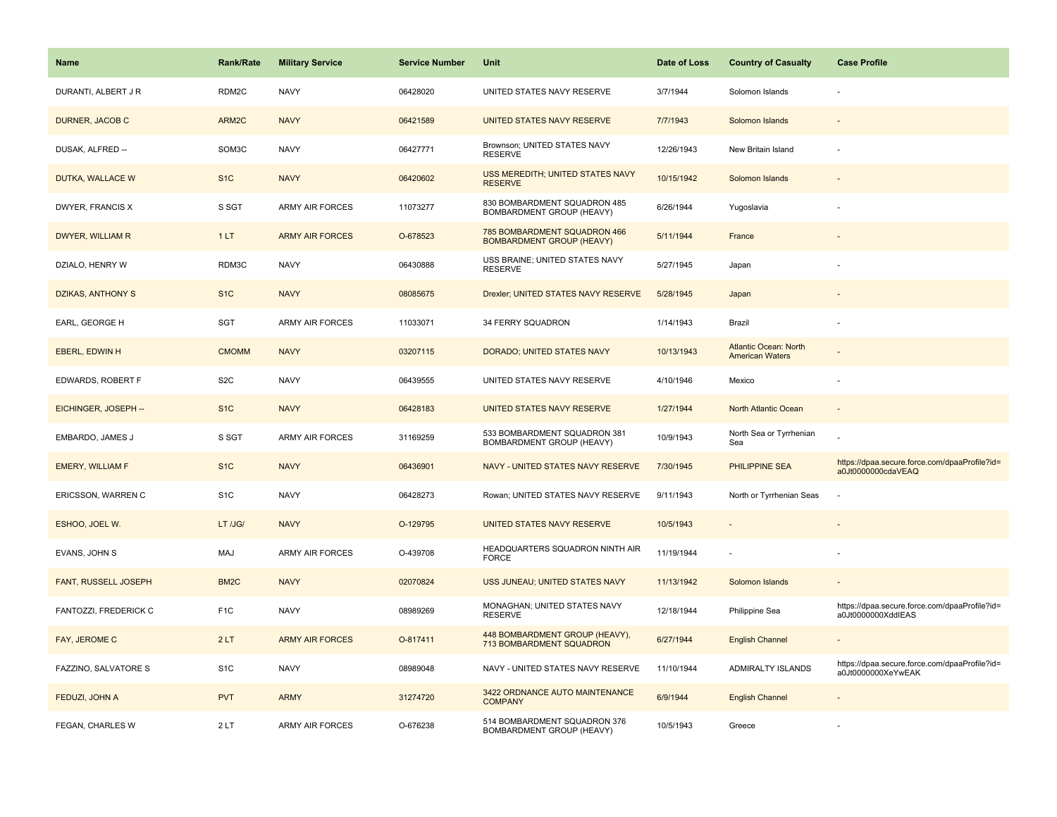| Name                        | <b>Rank/Rate</b>  | <b>Military Service</b> | <b>Service Number</b> | Unit                                                             | Date of Loss | <b>Country of Casualty</b>                             | <b>Case Profile</b>                                                 |
|-----------------------------|-------------------|-------------------------|-----------------------|------------------------------------------------------------------|--------------|--------------------------------------------------------|---------------------------------------------------------------------|
| DURANTI, ALBERT J R         | RDM2C             | <b>NAVY</b>             | 06428020              | UNITED STATES NAVY RESERVE                                       | 3/7/1944     | Solomon Islands                                        |                                                                     |
| DURNER, JACOB C             | ARM2C             | <b>NAVY</b>             | 06421589              | UNITED STATES NAVY RESERVE                                       | 7/7/1943     | Solomon Islands                                        |                                                                     |
| DUSAK, ALFRED --            | SOM3C             | <b>NAVY</b>             | 06427771              | Brownson; UNITED STATES NAVY<br><b>RESERVE</b>                   | 12/26/1943   | New Britain Island                                     |                                                                     |
| DUTKA, WALLACE W            | S <sub>1</sub> C  | <b>NAVY</b>             | 06420602              | USS MEREDITH; UNITED STATES NAVY<br><b>RESERVE</b>               | 10/15/1942   | Solomon Islands                                        |                                                                     |
| DWYER, FRANCIS X            | S SGT             | <b>ARMY AIR FORCES</b>  | 11073277              | 830 BOMBARDMENT SQUADRON 485<br>BOMBARDMENT GROUP (HEAVY)        | 6/26/1944    | Yugoslavia                                             |                                                                     |
| DWYER, WILLIAM R            | 1LT               | <b>ARMY AIR FORCES</b>  | O-678523              | 785 BOMBARDMENT SQUADRON 466<br><b>BOMBARDMENT GROUP (HEAVY)</b> | 5/11/1944    | France                                                 |                                                                     |
| DZIALO, HENRY W             | RDM3C             | <b>NAVY</b>             | 06430888              | USS BRAINE; UNITED STATES NAVY<br><b>RESERVE</b>                 | 5/27/1945    | Japan                                                  |                                                                     |
| DZIKAS, ANTHONY S           | S <sub>1C</sub>   | <b>NAVY</b>             | 08085675              | Drexler; UNITED STATES NAVY RESERVE                              | 5/28/1945    | Japan                                                  |                                                                     |
| EARL, GEORGE H              | SGT               | ARMY AIR FORCES         | 11033071              | 34 FERRY SQUADRON                                                | 1/14/1943    | Brazil                                                 |                                                                     |
| <b>EBERL, EDWIN H</b>       | <b>CMOMM</b>      | <b>NAVY</b>             | 03207115              | DORADO; UNITED STATES NAVY                                       | 10/13/1943   | <b>Atlantic Ocean: North</b><br><b>American Waters</b> |                                                                     |
| EDWARDS, ROBERT F           | S <sub>2</sub> C  | <b>NAVY</b>             | 06439555              | UNITED STATES NAVY RESERVE                                       | 4/10/1946    | Mexico                                                 |                                                                     |
| EICHINGER, JOSEPH --        | S <sub>1</sub> C  | <b>NAVY</b>             | 06428183              | UNITED STATES NAVY RESERVE                                       | 1/27/1944    | North Atlantic Ocean                                   | $\sim$                                                              |
| EMBARDO, JAMES J            | S SGT             | <b>ARMY AIR FORCES</b>  | 31169259              | 533 BOMBARDMENT SQUADRON 381<br>BOMBARDMENT GROUP (HEAVY)        | 10/9/1943    | North Sea or Tyrrhenian<br>Sea                         |                                                                     |
| <b>EMERY, WILLIAM F</b>     | S <sub>1</sub> C  | <b>NAVY</b>             | 06436901              | NAVY - UNITED STATES NAVY RESERVE                                | 7/30/1945    | PHILIPPINE SEA                                         | https://dpaa.secure.force.com/dpaaProfile?id=<br>a0Jt0000000cdaVEAQ |
| ERICSSON, WARREN C          | S <sub>1</sub> C  | <b>NAVY</b>             | 06428273              | Rowan; UNITED STATES NAVY RESERVE                                | 9/11/1943    | North or Tyrrhenian Seas                               |                                                                     |
| ESHOO, JOEL W.              | LT /JG/           | <b>NAVY</b>             | O-129795              | UNITED STATES NAVY RESERVE                                       | 10/5/1943    |                                                        |                                                                     |
| EVANS, JOHN S               | MAJ               | <b>ARMY AIR FORCES</b>  | O-439708              | HEADQUARTERS SQUADRON NINTH AIR<br><b>FORCE</b>                  | 11/19/1944   |                                                        |                                                                     |
| <b>FANT, RUSSELL JOSEPH</b> | BM <sub>2</sub> C | <b>NAVY</b>             | 02070824              | USS JUNEAU; UNITED STATES NAVY                                   | 11/13/1942   | Solomon Islands                                        |                                                                     |
| FANTOZZI, FREDERICK C       | F <sub>1</sub> C  | <b>NAVY</b>             | 08989269              | MONAGHAN; UNITED STATES NAVY<br><b>RESERVE</b>                   | 12/18/1944   | Philippine Sea                                         | https://dpaa.secure.force.com/dpaaProfile?id=<br>a0Jt0000000XddlEAS |
| FAY, JEROME C               | 2LT               | <b>ARMY AIR FORCES</b>  | O-817411              | 448 BOMBARDMENT GROUP (HEAVY),<br>713 BOMBARDMENT SQUADRON       | 6/27/1944    | <b>English Channel</b>                                 |                                                                     |
| FAZZINO, SALVATORE S        | S <sub>1</sub> C  | <b>NAVY</b>             | 08989048              | NAVY - UNITED STATES NAVY RESERVE                                | 11/10/1944   | ADMIRALTY ISLANDS                                      | https://dpaa.secure.force.com/dpaaProfile?id=<br>a0Jt0000000XeYwEAK |
| FEDUZI, JOHN A              | <b>PVT</b>        | <b>ARMY</b>             | 31274720              | 3422 ORDNANCE AUTO MAINTENANCE<br><b>COMPANY</b>                 | 6/9/1944     | <b>English Channel</b>                                 |                                                                     |
| FEGAN, CHARLES W            | 2LT               | <b>ARMY AIR FORCES</b>  | O-676238              | 514 BOMBARDMENT SQUADRON 376<br>BOMBARDMENT GROUP (HEAVY)        | 10/5/1943    | Greece                                                 |                                                                     |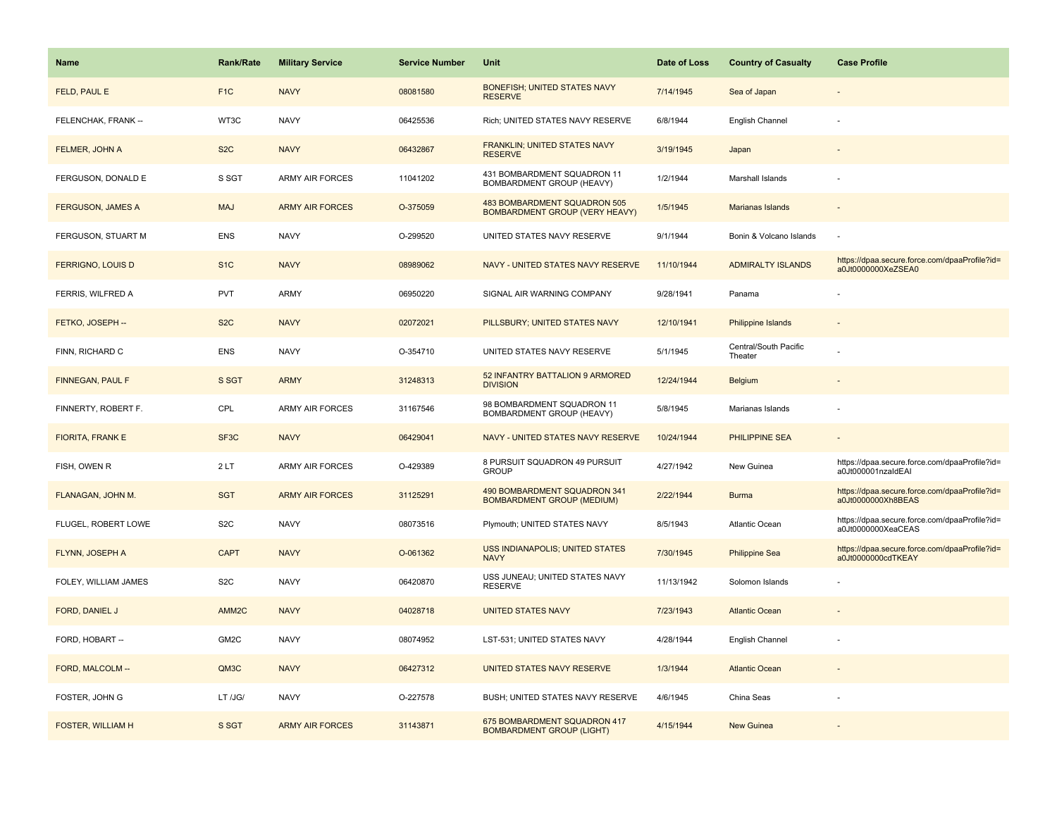| <b>Name</b>              | <b>Rank/Rate</b>  | <b>Military Service</b> | <b>Service Number</b> | Unit                                                              | Date of Loss | <b>Country of Casualty</b>       | <b>Case Profile</b>                                                 |
|--------------------------|-------------------|-------------------------|-----------------------|-------------------------------------------------------------------|--------------|----------------------------------|---------------------------------------------------------------------|
| FELD, PAUL E             | F <sub>1</sub> C  | <b>NAVY</b>             | 08081580              | BONEFISH; UNITED STATES NAVY<br><b>RESERVE</b>                    | 7/14/1945    | Sea of Japan                     |                                                                     |
| FELENCHAK, FRANK --      | WT3C              | <b>NAVY</b>             | 06425536              | Rich; UNITED STATES NAVY RESERVE                                  | 6/8/1944     | English Channel                  |                                                                     |
| FELMER, JOHN A           | S <sub>2</sub> C  | <b>NAVY</b>             | 06432867              | FRANKLIN; UNITED STATES NAVY<br><b>RESERVE</b>                    | 3/19/1945    | Japan                            |                                                                     |
| FERGUSON, DONALD E       | S SGT             | <b>ARMY AIR FORCES</b>  | 11041202              | 431 BOMBARDMENT SQUADRON 11<br>BOMBARDMENT GROUP (HEAVY)          | 1/2/1944     | Marshall Islands                 |                                                                     |
| <b>FERGUSON, JAMES A</b> | <b>MAJ</b>        | <b>ARMY AIR FORCES</b>  | O-375059              | 483 BOMBARDMENT SQUADRON 505<br>BOMBARDMENT GROUP (VERY HEAVY)    | 1/5/1945     | Marianas Islands                 |                                                                     |
| FERGUSON, STUART M       | <b>ENS</b>        | <b>NAVY</b>             | O-299520              | UNITED STATES NAVY RESERVE                                        | 9/1/1944     | Bonin & Volcano Islands          |                                                                     |
| <b>FERRIGNO, LOUIS D</b> | S <sub>1</sub> C  | <b>NAVY</b>             | 08989062              | NAVY - UNITED STATES NAVY RESERVE                                 | 11/10/1944   | <b>ADMIRALTY ISLANDS</b>         | https://dpaa.secure.force.com/dpaaProfile?id=<br>a0Jt0000000XeZSEA0 |
| FERRIS, WILFRED A        | <b>PVT</b>        | ARMY                    | 06950220              | SIGNAL AIR WARNING COMPANY                                        | 9/28/1941    | Panama                           |                                                                     |
| FETKO, JOSEPH --         | S <sub>2</sub> C  | <b>NAVY</b>             | 02072021              | PILLSBURY: UNITED STATES NAVY                                     | 12/10/1941   | <b>Philippine Islands</b>        |                                                                     |
| FINN, RICHARD C          | <b>ENS</b>        | <b>NAVY</b>             | O-354710              | UNITED STATES NAVY RESERVE                                        | 5/1/1945     | Central/South Pacific<br>Theater |                                                                     |
| FINNEGAN, PAUL F         | S SGT             | <b>ARMY</b>             | 31248313              | 52 INFANTRY BATTALION 9 ARMORED<br><b>DIVISION</b>                | 12/24/1944   | <b>Belgium</b>                   |                                                                     |
| FINNERTY, ROBERT F.      | CPL               | <b>ARMY AIR FORCES</b>  | 31167546              | 98 BOMBARDMENT SQUADRON 11<br>BOMBARDMENT GROUP (HEAVY)           | 5/8/1945     | Marianas Islands                 |                                                                     |
| <b>FIORITA, FRANK E</b>  | SF <sub>3</sub> C | <b>NAVY</b>             | 06429041              | NAVY - UNITED STATES NAVY RESERVE                                 | 10/24/1944   | <b>PHILIPPINE SEA</b>            |                                                                     |
| FISH, OWEN R             | 2LT               | ARMY AIR FORCES         | O-429389              | 8 PURSUIT SQUADRON 49 PURSUIT<br><b>GROUP</b>                     | 4/27/1942    | New Guinea                       | https://dpaa.secure.force.com/dpaaProfile?id=<br>a0Jt000001nzaldEAI |
| FLANAGAN, JOHN M.        | <b>SGT</b>        | <b>ARMY AIR FORCES</b>  | 31125291              | 490 BOMBARDMENT SQUADRON 341<br><b>BOMBARDMENT GROUP (MEDIUM)</b> | 2/22/1944    | <b>Burma</b>                     | https://dpaa.secure.force.com/dpaaProfile?id=<br>a0Jt0000000Xh8BEAS |
| FLUGEL, ROBERT LOWE      | S <sub>2</sub> C  | <b>NAVY</b>             | 08073516              | Plymouth; UNITED STATES NAVY                                      | 8/5/1943     | Atlantic Ocean                   | https://dpaa.secure.force.com/dpaaProfile?id=<br>a0Jt0000000XeaCEAS |
| FLYNN, JOSEPH A          | <b>CAPT</b>       | <b>NAVY</b>             | O-061362              | <b>USS INDIANAPOLIS; UNITED STATES</b><br><b>NAVY</b>             | 7/30/1945    | <b>Philippine Sea</b>            | https://dpaa.secure.force.com/dpaaProfile?id=<br>a0Jt0000000cdTKEAY |
| FOLEY, WILLIAM JAMES     | S <sub>2</sub> C  | <b>NAVY</b>             | 06420870              | USS JUNEAU; UNITED STATES NAVY<br><b>RESERVE</b>                  | 11/13/1942   | Solomon Islands                  |                                                                     |
| FORD, DANIEL J           | AMM <sub>2C</sub> | <b>NAVY</b>             | 04028718              | <b>UNITED STATES NAVY</b>                                         | 7/23/1943    | <b>Atlantic Ocean</b>            |                                                                     |
| FORD, HOBART --          | GM2C              | <b>NAVY</b>             | 08074952              | LST-531; UNITED STATES NAVY                                       | 4/28/1944    | English Channel                  |                                                                     |
| FORD, MALCOLM --         | QM3C              | <b>NAVY</b>             | 06427312              | UNITED STATES NAVY RESERVE                                        | 1/3/1944     | <b>Atlantic Ocean</b>            |                                                                     |
| FOSTER, JOHN G           | LT /JG/           | <b>NAVY</b>             | O-227578              | BUSH; UNITED STATES NAVY RESERVE                                  | 4/6/1945     | China Seas                       |                                                                     |
| <b>FOSTER, WILLIAM H</b> | S SGT             | <b>ARMY AIR FORCES</b>  | 31143871              | 675 BOMBARDMENT SQUADRON 417<br><b>BOMBARDMENT GROUP (LIGHT)</b>  | 4/15/1944    | <b>New Guinea</b>                |                                                                     |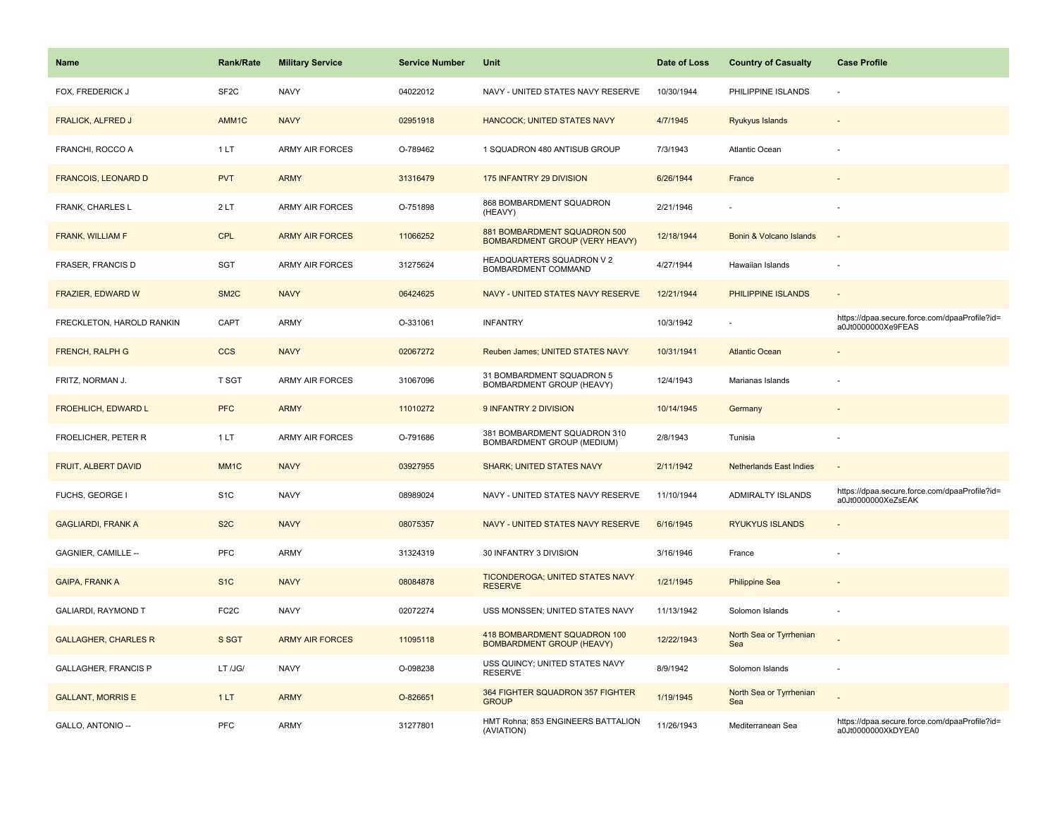| Name                        | <b>Rank/Rate</b>  | <b>Military Service</b> | <b>Service Number</b> | Unit                                                                  | Date of Loss | <b>Country of Casualty</b>     | <b>Case Profile</b>                                                 |
|-----------------------------|-------------------|-------------------------|-----------------------|-----------------------------------------------------------------------|--------------|--------------------------------|---------------------------------------------------------------------|
| FOX, FREDERICK J            | SF <sub>2C</sub>  | <b>NAVY</b>             | 04022012              | NAVY - UNITED STATES NAVY RESERVE                                     | 10/30/1944   | PHILIPPINE ISLANDS             | ÷.                                                                  |
| <b>FRALICK, ALFRED J</b>    | AMM1C             | <b>NAVY</b>             | 02951918              | <b>HANCOCK; UNITED STATES NAVY</b>                                    | 4/7/1945     | Ryukyus Islands                |                                                                     |
| FRANCHI, ROCCO A            | 1LT               | ARMY AIR FORCES         | O-789462              | 1 SQUADRON 480 ANTISUB GROUP                                          | 7/3/1943     | Atlantic Ocean                 |                                                                     |
| <b>FRANCOIS, LEONARD D</b>  | <b>PVT</b>        | <b>ARMY</b>             | 31316479              | 175 INFANTRY 29 DIVISION                                              | 6/26/1944    | France                         |                                                                     |
| FRANK, CHARLES L            | 2LT               | <b>ARMY AIR FORCES</b>  | O-751898              | 868 BOMBARDMENT SQUADRON<br>(HEAVY)                                   | 2/21/1946    |                                |                                                                     |
| FRANK, WILLIAM F            | <b>CPL</b>        | <b>ARMY AIR FORCES</b>  | 11066252              | 881 BOMBARDMENT SQUADRON 500<br><b>BOMBARDMENT GROUP (VERY HEAVY)</b> | 12/18/1944   | Bonin & Volcano Islands        | $\overline{\phantom{a}}$                                            |
| FRASER, FRANCIS D           | SGT               | <b>ARMY AIR FORCES</b>  | 31275624              | HEADQUARTERS SQUADRON V 2<br>BOMBARDMENT COMMAND                      | 4/27/1944    | Hawaiian Islands               | ÷,                                                                  |
| FRAZIER, EDWARD W           | SM <sub>2</sub> C | <b>NAVY</b>             | 06424625              | NAVY - UNITED STATES NAVY RESERVE                                     | 12/21/1944   | PHILIPPINE ISLANDS             | $\sim$                                                              |
| FRECKLETON, HAROLD RANKIN   | CAPT              | <b>ARMY</b>             | O-331061              | <b>INFANTRY</b>                                                       | 10/3/1942    |                                | https://dpaa.secure.force.com/dpaaProfile?id=<br>a0Jt0000000Xe9FEAS |
| FRENCH, RALPH G             | <b>CCS</b>        | <b>NAVY</b>             | 02067272              | Reuben James; UNITED STATES NAVY                                      | 10/31/1941   | <b>Atlantic Ocean</b>          |                                                                     |
| FRITZ, NORMAN J.            | T SGT             | <b>ARMY AIR FORCES</b>  | 31067096              | 31 BOMBARDMENT SQUADRON 5<br>BOMBARDMENT GROUP (HEAVY)                | 12/4/1943    | Marianas Islands               |                                                                     |
| <b>FROEHLICH, EDWARD L</b>  | <b>PFC</b>        | <b>ARMY</b>             | 11010272              | 9 INFANTRY 2 DIVISION                                                 | 10/14/1945   | Germany                        |                                                                     |
| FROELICHER, PETER R         | 1LT               | <b>ARMY AIR FORCES</b>  | O-791686              | 381 BOMBARDMENT SQUADRON 310<br>BOMBARDMENT GROUP (MEDIUM)            | 2/8/1943     | Tunisia                        |                                                                     |
| FRUIT, ALBERT DAVID         | MM <sub>1</sub> C | <b>NAVY</b>             | 03927955              | <b>SHARK: UNITED STATES NAVY</b>                                      | 2/11/1942    | <b>Netherlands East Indies</b> | $\blacksquare$                                                      |
| FUCHS, GEORGE I             | S <sub>1C</sub>   | <b>NAVY</b>             | 08989024              | NAVY - UNITED STATES NAVY RESERVE                                     | 11/10/1944   | ADMIRALTY ISLANDS              | https://dpaa.secure.force.com/dpaaProfile?id=<br>a0Jt0000000XeZsEAK |
| <b>GAGLIARDI, FRANK A</b>   | S <sub>2</sub> C  | <b>NAVY</b>             | 08075357              | NAVY - UNITED STATES NAVY RESERVE                                     | 6/16/1945    | <b>RYUKYUS ISLANDS</b>         |                                                                     |
| GAGNIER, CAMILLE --         | PFC               | <b>ARMY</b>             | 31324319              | 30 INFANTRY 3 DIVISION                                                | 3/16/1946    | France                         |                                                                     |
| <b>GAIPA, FRANK A</b>       | S <sub>1</sub> C  | <b>NAVY</b>             | 08084878              | <b>TICONDEROGA; UNITED STATES NAVY</b><br><b>RESERVE</b>              | 1/21/1945    | <b>Philippine Sea</b>          |                                                                     |
| GALIARDI, RAYMOND T         | FC <sub>2</sub> C | <b>NAVY</b>             | 02072274              | USS MONSSEN; UNITED STATES NAVY                                       | 11/13/1942   | Solomon Islands                |                                                                     |
| <b>GALLAGHER, CHARLES R</b> | S SGT             | <b>ARMY AIR FORCES</b>  | 11095118              | 418 BOMBARDMENT SQUADRON 100<br><b>BOMBARDMENT GROUP (HEAVY)</b>      | 12/22/1943   | North Sea or Tyrrhenian<br>Sea |                                                                     |
| <b>GALLAGHER, FRANCIS P</b> | LT /JG/           | <b>NAVY</b>             | O-098238              | USS QUINCY; UNITED STATES NAVY<br><b>RESERVE</b>                      | 8/9/1942     | Solomon Islands                | ÷,                                                                  |
| <b>GALLANT, MORRIS E</b>    | 1LT               | <b>ARMY</b>             | O-826651              | 364 FIGHTER SQUADRON 357 FIGHTER<br><b>GROUP</b>                      | 1/19/1945    | North Sea or Tyrrhenian<br>Sea |                                                                     |
| GALLO, ANTONIO --           | PFC               | <b>ARMY</b>             | 31277801              | HMT Rohna; 853 ENGINEERS BATTALION<br>(AVIATION)                      | 11/26/1943   | Mediterranean Sea              | https://dpaa.secure.force.com/dpaaProfile?id=<br>a0Jt0000000XkDYEA0 |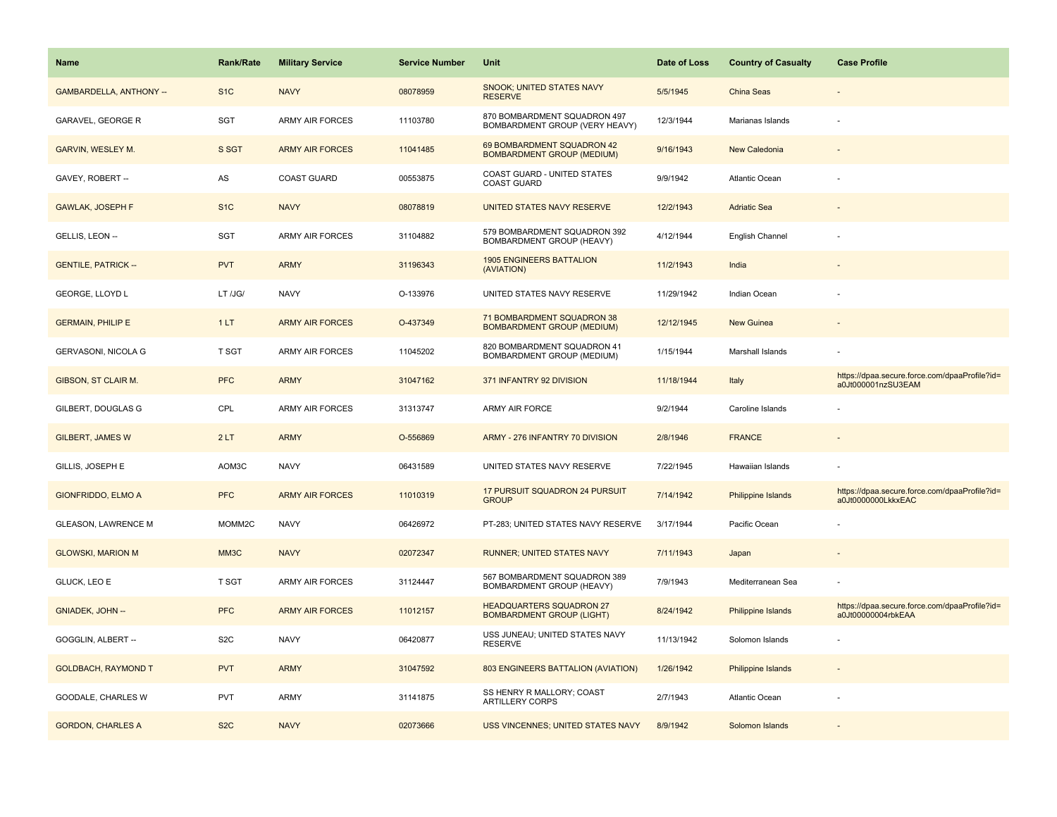| <b>Name</b>                    | <b>Rank/Rate</b> | <b>Military Service</b> | <b>Service Number</b> | Unit                                                                  | Date of Loss | <b>Country of Casualty</b> | <b>Case Profile</b>                                                 |
|--------------------------------|------------------|-------------------------|-----------------------|-----------------------------------------------------------------------|--------------|----------------------------|---------------------------------------------------------------------|
| <b>GAMBARDELLA, ANTHONY --</b> | S <sub>1</sub> C | <b>NAVY</b>             | 08078959              | SNOOK; UNITED STATES NAVY<br><b>RESERVE</b>                           | 5/5/1945     | China Seas                 |                                                                     |
| <b>GARAVEL, GEORGE R</b>       | <b>SGT</b>       | <b>ARMY AIR FORCES</b>  | 11103780              | 870 BOMBARDMENT SQUADRON 497<br><b>BOMBARDMENT GROUP (VERY HEAVY)</b> | 12/3/1944    | Marianas Islands           |                                                                     |
| GARVIN, WESLEY M.              | S SGT            | <b>ARMY AIR FORCES</b>  | 11041485              | 69 BOMBARDMENT SQUADRON 42<br><b>BOMBARDMENT GROUP (MEDIUM)</b>       | 9/16/1943    | New Caledonia              |                                                                     |
| GAVEY, ROBERT --               | AS               | <b>COAST GUARD</b>      | 00553875              | COAST GUARD - UNITED STATES<br><b>COAST GUARD</b>                     | 9/9/1942     | Atlantic Ocean             |                                                                     |
| <b>GAWLAK, JOSEPH F</b>        | S <sub>1</sub> C | <b>NAVY</b>             | 08078819              | UNITED STATES NAVY RESERVE                                            | 12/2/1943    | <b>Adriatic Sea</b>        |                                                                     |
| GELLIS, LEON --                | <b>SGT</b>       | <b>ARMY AIR FORCES</b>  | 31104882              | 579 BOMBARDMENT SQUADRON 392<br>BOMBARDMENT GROUP (HEAVY)             | 4/12/1944    | English Channel            |                                                                     |
| <b>GENTILE, PATRICK --</b>     | <b>PVT</b>       | <b>ARMY</b>             | 31196343              | <b>1905 ENGINEERS BATTALION</b><br>(AVIATION)                         | 11/2/1943    | India                      |                                                                     |
| GEORGE, LLOYD L                | LT /JG/          | <b>NAVY</b>             | O-133976              | UNITED STATES NAVY RESERVE                                            | 11/29/1942   | Indian Ocean               |                                                                     |
| <b>GERMAIN, PHILIP E</b>       | 1LT              | <b>ARMY AIR FORCES</b>  | O-437349              | 71 BOMBARDMENT SQUADRON 38<br><b>BOMBARDMENT GROUP (MEDIUM)</b>       | 12/12/1945   | <b>New Guinea</b>          |                                                                     |
| GERVASONI, NICOLA G            | T SGT            | <b>ARMY AIR FORCES</b>  | 11045202              | 820 BOMBARDMENT SQUADRON 41<br>BOMBARDMENT GROUP (MEDIUM)             | 1/15/1944    | Marshall Islands           |                                                                     |
| GIBSON, ST CLAIR M.            | <b>PFC</b>       | <b>ARMY</b>             | 31047162              | 371 INFANTRY 92 DIVISION                                              | 11/18/1944   | Italy                      | https://dpaa.secure.force.com/dpaaProfile?id=<br>a0Jt000001nzSU3EAM |
| GILBERT, DOUGLAS G             | CPL              | <b>ARMY AIR FORCES</b>  | 31313747              | ARMY AIR FORCE                                                        | 9/2/1944     | Caroline Islands           |                                                                     |
| <b>GILBERT, JAMES W</b>        | 2LT              | <b>ARMY</b>             | O-556869              | ARMY - 276 INFANTRY 70 DIVISION                                       | 2/8/1946     | <b>FRANCE</b>              |                                                                     |
| GILLIS, JOSEPH E               | AOM3C            | <b>NAVY</b>             | 06431589              | UNITED STATES NAVY RESERVE                                            | 7/22/1945    | Hawaiian Islands           |                                                                     |
| GIONFRIDDO, ELMO A             | <b>PFC</b>       | <b>ARMY AIR FORCES</b>  | 11010319              | 17 PURSUIT SQUADRON 24 PURSUIT<br><b>GROUP</b>                        | 7/14/1942    | Philippine Islands         | https://dpaa.secure.force.com/dpaaProfile?id=<br>a0Jt0000000LkkxEAC |
| <b>GLEASON, LAWRENCE M</b>     | MOMM2C           | <b>NAVY</b>             | 06426972              | PT-283; UNITED STATES NAVY RESERVE                                    | 3/17/1944    | Pacific Ocean              |                                                                     |
| <b>GLOWSKI, MARION M</b>       | MM3C             | <b>NAVY</b>             | 02072347              | RUNNER; UNITED STATES NAVY                                            | 7/11/1943    | Japan                      |                                                                     |
| GLUCK, LEO E                   | T SGT            | <b>ARMY AIR FORCES</b>  | 31124447              | 567 BOMBARDMENT SQUADRON 389<br>BOMBARDMENT GROUP (HEAVY)             | 7/9/1943     | Mediterranean Sea          |                                                                     |
| <b>GNIADEK, JOHN --</b>        | <b>PFC</b>       | <b>ARMY AIR FORCES</b>  | 11012157              | <b>HEADQUARTERS SQUADRON 27</b><br><b>BOMBARDMENT GROUP (LIGHT)</b>   | 8/24/1942    | Philippine Islands         | https://dpaa.secure.force.com/dpaaProfile?id=<br>a0Jt00000004rbkEAA |
| GOGGLIN, ALBERT --             | S <sub>2</sub> C | <b>NAVY</b>             | 06420877              | USS JUNEAU; UNITED STATES NAVY<br><b>RESERVE</b>                      | 11/13/1942   | Solomon Islands            |                                                                     |
| <b>GOLDBACH, RAYMOND T</b>     | <b>PVT</b>       | <b>ARMY</b>             | 31047592              | 803 ENGINEERS BATTALION (AVIATION)                                    | 1/26/1942    | <b>Philippine Islands</b>  |                                                                     |
| GOODALE, CHARLES W             | <b>PVT</b>       | <b>ARMY</b>             | 31141875              | SS HENRY R MALLORY; COAST<br><b>ARTILLERY CORPS</b>                   | 2/7/1943     | <b>Atlantic Ocean</b>      |                                                                     |
| <b>GORDON, CHARLES A</b>       | S <sub>2</sub> C | <b>NAVY</b>             | 02073666              | USS VINCENNES; UNITED STATES NAVY                                     | 8/9/1942     | Solomon Islands            |                                                                     |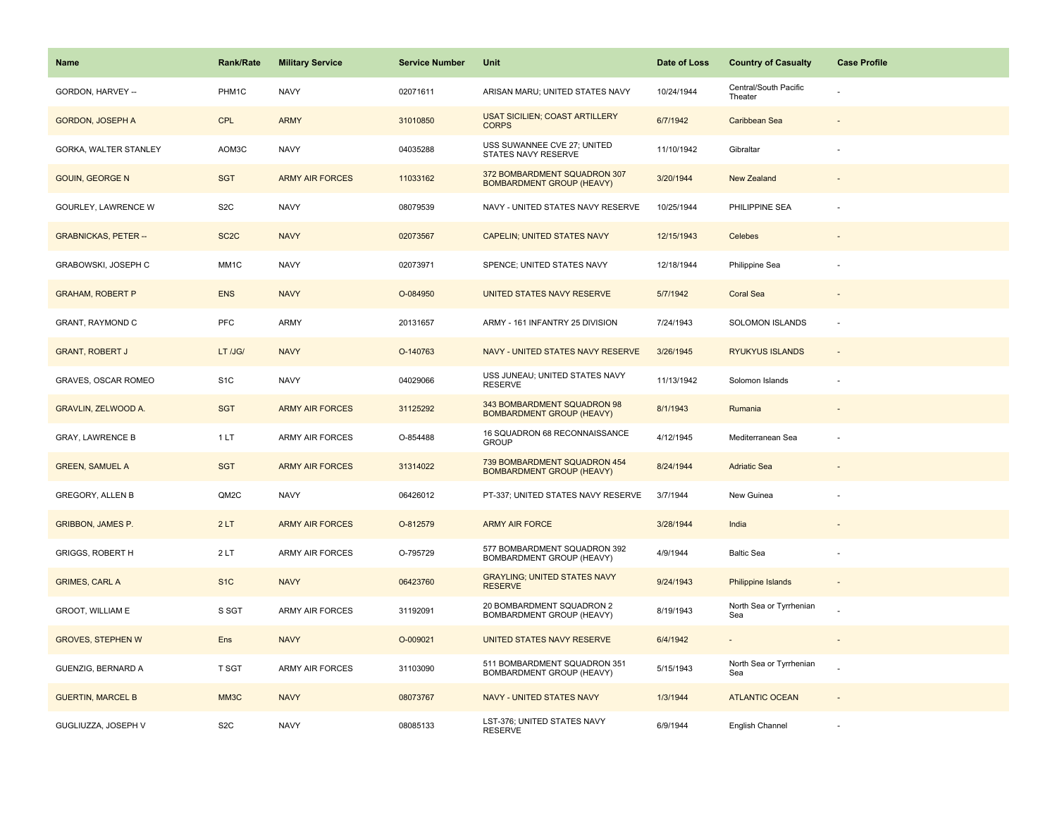| <b>Name</b>                 | <b>Rank/Rate</b>  | <b>Military Service</b> | <b>Service Number</b> | Unit                                                             | Date of Loss | <b>Country of Casualty</b>       | <b>Case Profile</b> |
|-----------------------------|-------------------|-------------------------|-----------------------|------------------------------------------------------------------|--------------|----------------------------------|---------------------|
| GORDON, HARVEY --           | PHM1C             | <b>NAVY</b>             | 02071611              | ARISAN MARU; UNITED STATES NAVY                                  | 10/24/1944   | Central/South Pacific<br>Theater |                     |
| <b>GORDON, JOSEPH A</b>     | <b>CPL</b>        | <b>ARMY</b>             | 31010850              | <b>USAT SICILIEN; COAST ARTILLERY</b><br><b>CORPS</b>            | 6/7/1942     | Caribbean Sea                    |                     |
| GORKA, WALTER STANLEY       | AOM3C             | <b>NAVY</b>             | 04035288              | USS SUWANNEE CVE 27; UNITED<br>STATES NAVY RESERVE               | 11/10/1942   | Gibraltar                        |                     |
| <b>GOUIN, GEORGE N</b>      | <b>SGT</b>        | <b>ARMY AIR FORCES</b>  | 11033162              | 372 BOMBARDMENT SQUADRON 307<br><b>BOMBARDMENT GROUP (HEAVY)</b> | 3/20/1944    | New Zealand                      |                     |
| GOURLEY, LAWRENCE W         | S <sub>2</sub> C  | <b>NAVY</b>             | 08079539              | NAVY - UNITED STATES NAVY RESERVE                                | 10/25/1944   | PHILIPPINE SEA                   |                     |
| <b>GRABNICKAS, PETER --</b> | SC <sub>2</sub> C | <b>NAVY</b>             | 02073567              | CAPELIN; UNITED STATES NAVY                                      | 12/15/1943   | Celebes                          |                     |
| GRABOWSKI, JOSEPH C         | MM1C              | <b>NAVY</b>             | 02073971              | SPENCE; UNITED STATES NAVY                                       | 12/18/1944   | Philippine Sea                   |                     |
| <b>GRAHAM, ROBERT P</b>     | <b>ENS</b>        | <b>NAVY</b>             | O-084950              | UNITED STATES NAVY RESERVE                                       | 5/7/1942     | <b>Coral Sea</b>                 |                     |
| <b>GRANT, RAYMOND C</b>     | PFC               | ARMY                    | 20131657              | ARMY - 161 INFANTRY 25 DIVISION                                  | 7/24/1943    | <b>SOLOMON ISLANDS</b>           | ×.                  |
| <b>GRANT, ROBERT J</b>      | LT /JG/           | <b>NAVY</b>             | O-140763              | NAVY - UNITED STATES NAVY RESERVE                                | 3/26/1945    | <b>RYUKYUS ISLANDS</b>           |                     |
| GRAVES, OSCAR ROMEO         | S <sub>1</sub> C  | <b>NAVY</b>             | 04029066              | USS JUNEAU; UNITED STATES NAVY<br><b>RESERVE</b>                 | 11/13/1942   | Solomon Islands                  |                     |
| <b>GRAVLIN, ZELWOOD A.</b>  | <b>SGT</b>        | <b>ARMY AIR FORCES</b>  | 31125292              | 343 BOMBARDMENT SQUADRON 98<br><b>BOMBARDMENT GROUP (HEAVY)</b>  | 8/1/1943     | Rumania                          |                     |
| <b>GRAY, LAWRENCE B</b>     | 1LT               | ARMY AIR FORCES         | O-854488              | 16 SQUADRON 68 RECONNAISSANCE<br><b>GROUP</b>                    | 4/12/1945    | Mediterranean Sea                |                     |
| <b>GREEN, SAMUEL A</b>      | <b>SGT</b>        | <b>ARMY AIR FORCES</b>  | 31314022              | 739 BOMBARDMENT SQUADRON 454<br><b>BOMBARDMENT GROUP (HEAVY)</b> | 8/24/1944    | <b>Adriatic Sea</b>              |                     |
| <b>GREGORY, ALLEN B</b>     | QM2C              | <b>NAVY</b>             | 06426012              | PT-337; UNITED STATES NAVY RESERVE                               | 3/7/1944     | New Guinea                       |                     |
| <b>GRIBBON, JAMES P.</b>    | 2LT               | <b>ARMY AIR FORCES</b>  | O-812579              | <b>ARMY AIR FORCE</b>                                            | 3/28/1944    | India                            |                     |
| <b>GRIGGS, ROBERT H</b>     | 2LT               | <b>ARMY AIR FORCES</b>  | O-795729              | 577 BOMBARDMENT SQUADRON 392<br>BOMBARDMENT GROUP (HEAVY)        | 4/9/1944     | <b>Baltic Sea</b>                |                     |
| <b>GRIMES, CARL A</b>       | S <sub>1</sub> C  | <b>NAVY</b>             | 06423760              | <b>GRAYLING; UNITED STATES NAVY</b><br><b>RESERVE</b>            | 9/24/1943    | Philippine Islands               |                     |
| GROOT, WILLIAM E            | S SGT             | <b>ARMY AIR FORCES</b>  | 31192091              | 20 BOMBARDMENT SQUADRON 2<br>BOMBARDMENT GROUP (HEAVY)           | 8/19/1943    | North Sea or Tyrrhenian<br>Sea   |                     |
| <b>GROVES, STEPHEN W</b>    | Ens               | <b>NAVY</b>             | O-009021              | UNITED STATES NAVY RESERVE                                       | 6/4/1942     | $\blacksquare$                   |                     |
| GUENZIG, BERNARD A          | T SGT             | <b>ARMY AIR FORCES</b>  | 31103090              | 511 BOMBARDMENT SQUADRON 351<br>BOMBARDMENT GROUP (HEAVY)        | 5/15/1943    | North Sea or Tyrrhenian<br>Sea   |                     |
| <b>GUERTIN, MARCEL B</b>    | MM3C              | <b>NAVY</b>             | 08073767              | NAVY - UNITED STATES NAVY                                        | 1/3/1944     | <b>ATLANTIC OCEAN</b>            |                     |
| GUGLIUZZA, JOSEPH V         | S <sub>2</sub> C  | <b>NAVY</b>             | 08085133              | LST-376; UNITED STATES NAVY<br><b>RESERVE</b>                    | 6/9/1944     | English Channel                  |                     |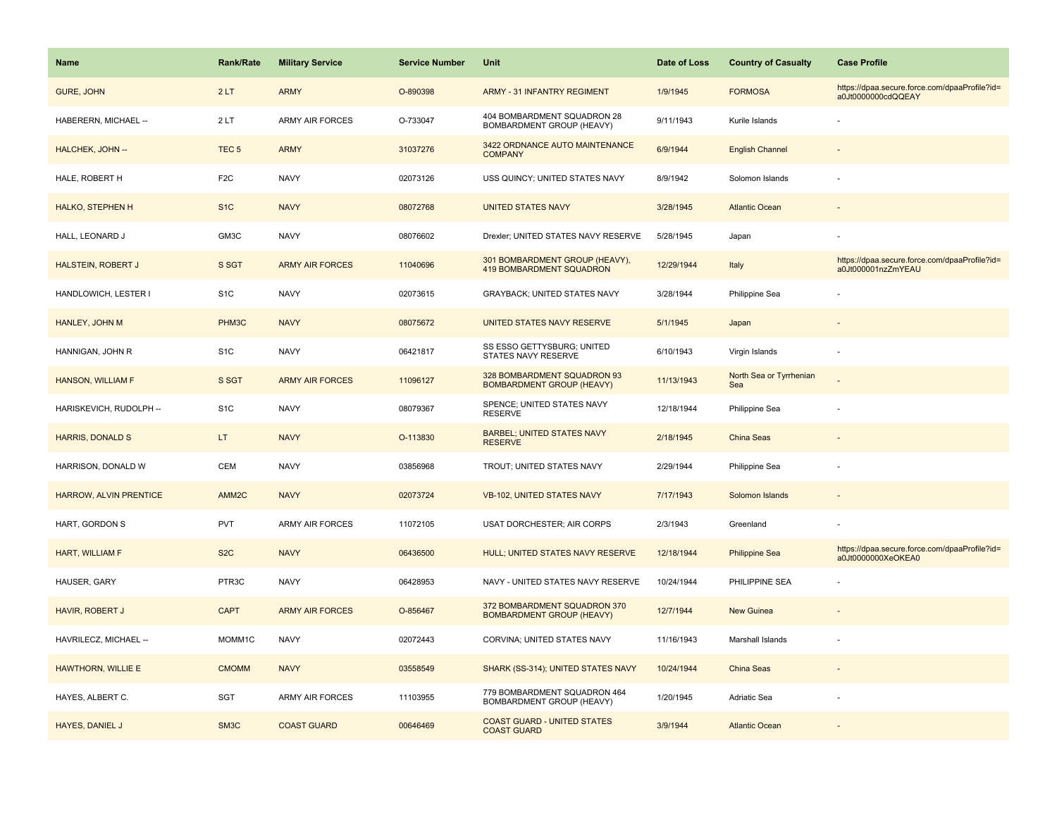| <b>Name</b>               | <b>Rank/Rate</b>  | <b>Military Service</b> | <b>Service Number</b> | Unit                                                              | Date of Loss | <b>Country of Casualty</b>     | <b>Case Profile</b>                                                 |
|---------------------------|-------------------|-------------------------|-----------------------|-------------------------------------------------------------------|--------------|--------------------------------|---------------------------------------------------------------------|
| <b>GURE, JOHN</b>         | 2LT               | <b>ARMY</b>             | O-890398              | <b>ARMY - 31 INFANTRY REGIMENT</b>                                | 1/9/1945     | <b>FORMOSA</b>                 | https://dpaa.secure.force.com/dpaaProfile?id=<br>a0Jt0000000cdQQEAY |
| HABERERN, MICHAEL --      | 2LT               | <b>ARMY AIR FORCES</b>  | O-733047              | 404 BOMBARDMENT SQUADRON 28<br>BOMBARDMENT GROUP (HEAVY)          | 9/11/1943    | Kurile Islands                 |                                                                     |
| HALCHEK, JOHN --          | TEC <sub>5</sub>  | <b>ARMY</b>             | 31037276              | 3422 ORDNANCE AUTO MAINTENANCE<br><b>COMPANY</b>                  | 6/9/1944     | <b>English Channel</b>         |                                                                     |
| HALE, ROBERT H            | F <sub>2</sub> C  | <b>NAVY</b>             | 02073126              | USS QUINCY; UNITED STATES NAVY                                    | 8/9/1942     | Solomon Islands                |                                                                     |
| <b>HALKO, STEPHEN H</b>   | S <sub>1</sub> C  | <b>NAVY</b>             | 08072768              | <b>UNITED STATES NAVY</b>                                         | 3/28/1945    | <b>Atlantic Ocean</b>          |                                                                     |
| HALL, LEONARD J           | GM3C              | <b>NAVY</b>             | 08076602              | Drexler; UNITED STATES NAVY RESERVE                               | 5/28/1945    | Japan                          |                                                                     |
| <b>HALSTEIN, ROBERT J</b> | S SGT             | <b>ARMY AIR FORCES</b>  | 11040696              | 301 BOMBARDMENT GROUP (HEAVY),<br><b>419 BOMBARDMENT SQUADRON</b> | 12/29/1944   | Italy                          | https://dpaa.secure.force.com/dpaaProfile?id=<br>a0Jt000001nzZmYEAU |
| HANDLOWICH, LESTER I      | S <sub>1</sub> C  | <b>NAVY</b>             | 02073615              | GRAYBACK; UNITED STATES NAVY                                      | 3/28/1944    | Philippine Sea                 |                                                                     |
| HANLEY, JOHN M            | PHM3C             | <b>NAVY</b>             | 08075672              | UNITED STATES NAVY RESERVE                                        | 5/1/1945     | Japan                          |                                                                     |
| HANNIGAN, JOHN R          | S <sub>1</sub> C  | <b>NAVY</b>             | 06421817              | SS ESSO GETTYSBURG; UNITED<br>STATES NAVY RESERVE                 | 6/10/1943    | Virgin Islands                 |                                                                     |
| <b>HANSON, WILLIAM F</b>  | S SGT             | <b>ARMY AIR FORCES</b>  | 11096127              | 328 BOMBARDMENT SQUADRON 93<br><b>BOMBARDMENT GROUP (HEAVY)</b>   | 11/13/1943   | North Sea or Tyrrhenian<br>Sea |                                                                     |
| HARISKEVICH, RUDOLPH --   | S <sub>1</sub> C  | <b>NAVY</b>             | 08079367              | SPENCE; UNITED STATES NAVY<br><b>RESERVE</b>                      | 12/18/1944   | Philippine Sea                 |                                                                     |
| <b>HARRIS, DONALD S</b>   | LT.               | <b>NAVY</b>             | O-113830              | <b>BARBEL; UNITED STATES NAVY</b><br><b>RESERVE</b>               | 2/18/1945    | China Seas                     |                                                                     |
| HARRISON, DONALD W        | CEM               | <b>NAVY</b>             | 03856968              | TROUT; UNITED STATES NAVY                                         | 2/29/1944    | Philippine Sea                 |                                                                     |
| HARROW, ALVIN PRENTICE    | AMM2C             | <b>NAVY</b>             | 02073724              | <b>VB-102, UNITED STATES NAVY</b>                                 | 7/17/1943    | Solomon Islands                |                                                                     |
| HART, GORDON S            | <b>PVT</b>        | ARMY AIR FORCES         | 11072105              | USAT DORCHESTER; AIR CORPS                                        | 2/3/1943     | Greenland                      |                                                                     |
| HART, WILLIAM F           | S <sub>2</sub> C  | <b>NAVY</b>             | 06436500              | HULL; UNITED STATES NAVY RESERVE                                  | 12/18/1944   | <b>Philippine Sea</b>          | https://dpaa.secure.force.com/dpaaProfile?id=<br>a0Jt0000000XeOKEA0 |
| HAUSER, GARY              | PTR3C             | <b>NAVY</b>             | 06428953              | NAVY - UNITED STATES NAVY RESERVE                                 | 10/24/1944   | PHILIPPINE SEA                 |                                                                     |
| <b>HAVIR, ROBERT J</b>    | <b>CAPT</b>       | <b>ARMY AIR FORCES</b>  | O-856467              | 372 BOMBARDMENT SQUADRON 370<br><b>BOMBARDMENT GROUP (HEAVY)</b>  | 12/7/1944    | <b>New Guinea</b>              |                                                                     |
| HAVRILECZ, MICHAEL --     | MOMM1C            | <b>NAVY</b>             | 02072443              | CORVINA; UNITED STATES NAVY                                       | 11/16/1943   | Marshall Islands               |                                                                     |
| HAWTHORN, WILLIE E        | <b>CMOMM</b>      | <b>NAVY</b>             | 03558549              | SHARK (SS-314); UNITED STATES NAVY                                | 10/24/1944   | China Seas                     |                                                                     |
| HAYES, ALBERT C.          | <b>SGT</b>        | ARMY AIR FORCES         | 11103955              | 779 BOMBARDMENT SQUADRON 464<br>BOMBARDMENT GROUP (HEAVY)         | 1/20/1945    | Adriatic Sea                   |                                                                     |
| HAYES, DANIEL J           | SM <sub>3</sub> C | <b>COAST GUARD</b>      | 00646469              | <b>COAST GUARD - UNITED STATES</b><br><b>COAST GUARD</b>          | 3/9/1944     | <b>Atlantic Ocean</b>          |                                                                     |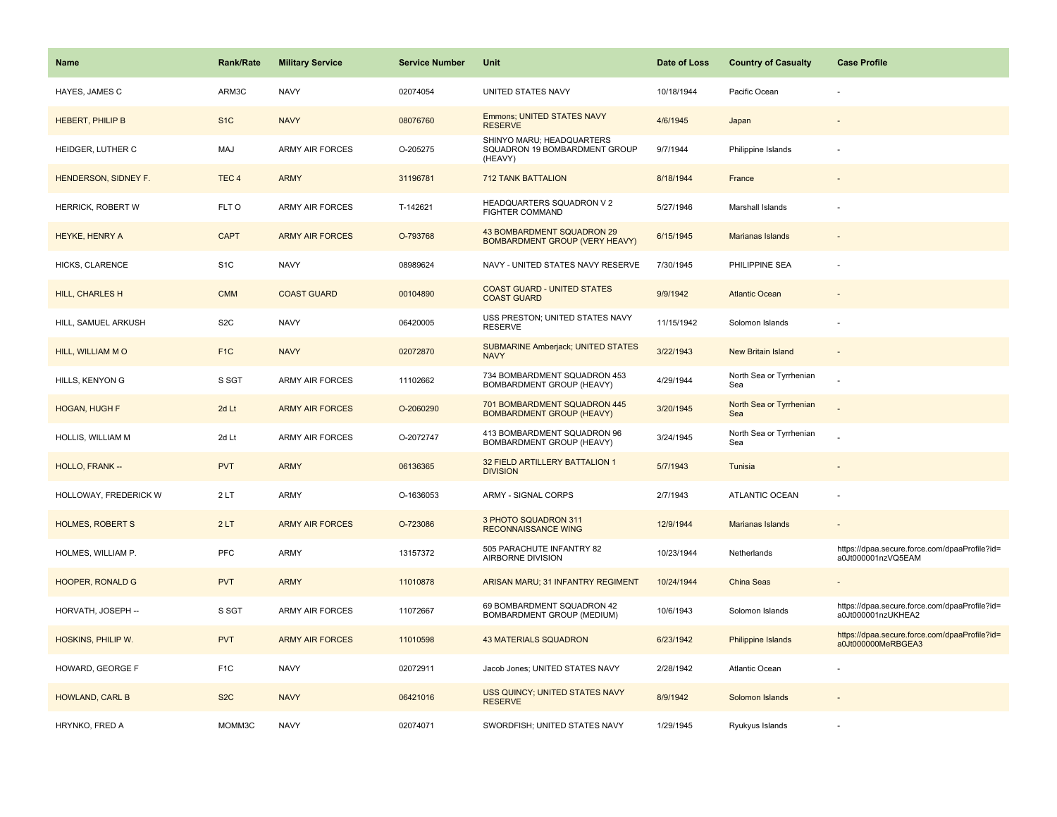| <b>Name</b>             | <b>Rank/Rate</b> | <b>Military Service</b> | <b>Service Number</b> | Unit                                                                  | Date of Loss | <b>Country of Casualty</b>     | <b>Case Profile</b>                                                 |
|-------------------------|------------------|-------------------------|-----------------------|-----------------------------------------------------------------------|--------------|--------------------------------|---------------------------------------------------------------------|
| HAYES, JAMES C          | ARM3C            | <b>NAVY</b>             | 02074054              | UNITED STATES NAVY                                                    | 10/18/1944   | Pacific Ocean                  |                                                                     |
| <b>HEBERT, PHILIP B</b> | S <sub>1</sub> C | <b>NAVY</b>             | 08076760              | Emmons; UNITED STATES NAVY<br><b>RESERVE</b>                          | 4/6/1945     | Japan                          |                                                                     |
| HEIDGER, LUTHER C       | MAJ              | <b>ARMY AIR FORCES</b>  | O-205275              | SHINYO MARU; HEADQUARTERS<br>SQUADRON 19 BOMBARDMENT GROUP<br>(HEAVY) | 9/7/1944     | Philippine Islands             |                                                                     |
| HENDERSON, SIDNEY F.    | TEC <sub>4</sub> | <b>ARMY</b>             | 31196781              | <b>712 TANK BATTALION</b>                                             | 8/18/1944    | France                         |                                                                     |
| HERRICK, ROBERT W       | FLT O            | <b>ARMY AIR FORCES</b>  | T-142621              | HEADQUARTERS SQUADRON V 2<br><b>FIGHTER COMMAND</b>                   | 5/27/1946    | Marshall Islands               |                                                                     |
| HEYKE, HENRY A          | <b>CAPT</b>      | <b>ARMY AIR FORCES</b>  | O-793768              | 43 BOMBARDMENT SQUADRON 29<br><b>BOMBARDMENT GROUP (VERY HEAVY)</b>   | 6/15/1945    | Marianas Islands               |                                                                     |
| HICKS, CLARENCE         | S <sub>1</sub> C | <b>NAVY</b>             | 08989624              | NAVY - UNITED STATES NAVY RESERVE                                     | 7/30/1945    | PHILIPPINE SEA                 |                                                                     |
| <b>HILL, CHARLES H</b>  | <b>CMM</b>       | <b>COAST GUARD</b>      | 00104890              | <b>COAST GUARD - UNITED STATES</b><br><b>COAST GUARD</b>              | 9/9/1942     | <b>Atlantic Ocean</b>          |                                                                     |
| HILL, SAMUEL ARKUSH     | S <sub>2</sub> C | <b>NAVY</b>             | 06420005              | USS PRESTON; UNITED STATES NAVY<br><b>RESERVE</b>                     | 11/15/1942   | Solomon Islands                |                                                                     |
| HILL, WILLIAM MO        | F <sub>1C</sub>  | <b>NAVY</b>             | 02072870              | <b>SUBMARINE Amberjack; UNITED STATES</b><br><b>NAVY</b>              | 3/22/1943    | <b>New Britain Island</b>      |                                                                     |
| HILLS, KENYON G         | S SGT            | <b>ARMY AIR FORCES</b>  | 11102662              | 734 BOMBARDMENT SQUADRON 453<br>BOMBARDMENT GROUP (HEAVY)             | 4/29/1944    | North Sea or Tyrrhenian<br>Sea |                                                                     |
| <b>HOGAN, HUGH F</b>    | 2d Lt            | <b>ARMY AIR FORCES</b>  | O-2060290             | 701 BOMBARDMENT SQUADRON 445<br><b>BOMBARDMENT GROUP (HEAVY)</b>      | 3/20/1945    | North Sea or Tyrrhenian<br>Sea |                                                                     |
| HOLLIS, WILLIAM M       | 2d Lt            | <b>ARMY AIR FORCES</b>  | O-2072747             | 413 BOMBARDMENT SQUADRON 96<br>BOMBARDMENT GROUP (HEAVY)              | 3/24/1945    | North Sea or Tyrrhenian<br>Sea |                                                                     |
| HOLLO, FRANK --         | <b>PVT</b>       | <b>ARMY</b>             | 06136365              | 32 FIELD ARTILLERY BATTALION 1<br><b>DIVISION</b>                     | 5/7/1943     | Tunisia                        |                                                                     |
| HOLLOWAY, FREDERICK W   | 2LT              | ARMY                    | O-1636053             | ARMY - SIGNAL CORPS                                                   | 2/7/1943     | ATLANTIC OCEAN                 |                                                                     |
| <b>HOLMES, ROBERT S</b> | 2LT              | <b>ARMY AIR FORCES</b>  | O-723086              | 3 PHOTO SQUADRON 311<br><b>RECONNAISSANCE WING</b>                    | 12/9/1944    | <b>Marianas Islands</b>        |                                                                     |
| HOLMES, WILLIAM P.      | PFC              | ARMY                    | 13157372              | 505 PARACHUTE INFANTRY 82<br>AIRBORNE DIVISION                        | 10/23/1944   | Netherlands                    | https://dpaa.secure.force.com/dpaaProfile?id=<br>a0Jt000001nzVQ5EAM |
| <b>HOOPER, RONALD G</b> | <b>PVT</b>       | <b>ARMY</b>             | 11010878              | ARISAN MARU; 31 INFANTRY REGIMENT                                     | 10/24/1944   | <b>China Seas</b>              |                                                                     |
| HORVATH, JOSEPH --      | S SGT            | ARMY AIR FORCES         | 11072667              | 69 BOMBARDMENT SQUADRON 42<br>BOMBARDMENT GROUP (MEDIUM)              | 10/6/1943    | Solomon Islands                | https://dpaa.secure.force.com/dpaaProfile?id=<br>a0Jt000001nzUKHEA2 |
| HOSKINS, PHILIP W.      | <b>PVT</b>       | <b>ARMY AIR FORCES</b>  | 11010598              | <b>43 MATERIALS SQUADRON</b>                                          | 6/23/1942    | Philippine Islands             | https://dpaa.secure.force.com/dpaaProfile?id=<br>a0Jt000000MeRBGEA3 |
| HOWARD, GEORGE F        | F <sub>1</sub> C | <b>NAVY</b>             | 02072911              | Jacob Jones; UNITED STATES NAVY                                       | 2/28/1942    | Atlantic Ocean                 |                                                                     |
| <b>HOWLAND, CARL B</b>  | S <sub>2</sub> C | <b>NAVY</b>             | 06421016              | USS QUINCY; UNITED STATES NAVY<br><b>RESERVE</b>                      | 8/9/1942     | Solomon Islands                |                                                                     |
| HRYNKO, FRED A          | MOMM3C           | <b>NAVY</b>             | 02074071              | SWORDFISH; UNITED STATES NAVY                                         | 1/29/1945    | Ryukyus Islands                |                                                                     |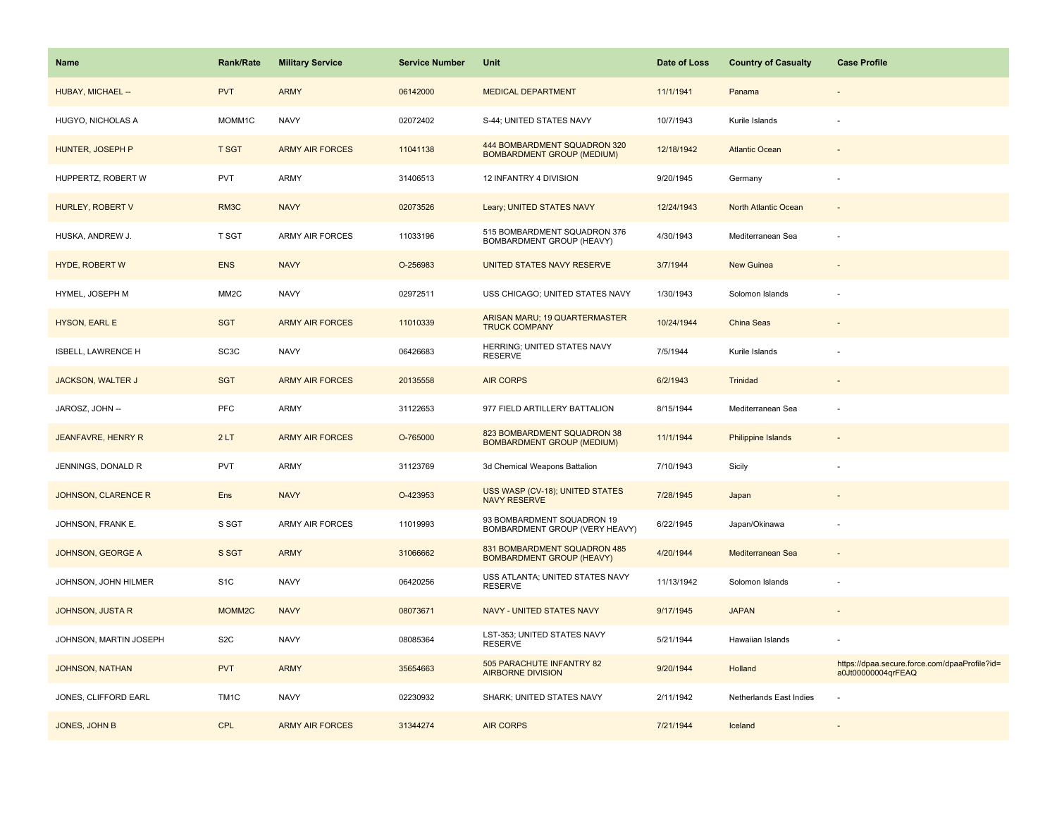| Name                       | <b>Rank/Rate</b>  | <b>Military Service</b> | <b>Service Number</b> | Unit                                                              | Date of Loss | <b>Country of Casualty</b>  | <b>Case Profile</b>                                                 |
|----------------------------|-------------------|-------------------------|-----------------------|-------------------------------------------------------------------|--------------|-----------------------------|---------------------------------------------------------------------|
| HUBAY, MICHAEL --          | <b>PVT</b>        | <b>ARMY</b>             | 06142000              | <b>MEDICAL DEPARTMENT</b>                                         | 11/1/1941    | Panama                      |                                                                     |
| HUGYO, NICHOLAS A          | MOMM1C            | <b>NAVY</b>             | 02072402              | S-44; UNITED STATES NAVY                                          | 10/7/1943    | Kurile Islands              |                                                                     |
| HUNTER, JOSEPH P           | <b>T SGT</b>      | <b>ARMY AIR FORCES</b>  | 11041138              | 444 BOMBARDMENT SQUADRON 320<br><b>BOMBARDMENT GROUP (MEDIUM)</b> | 12/18/1942   | <b>Atlantic Ocean</b>       |                                                                     |
| HUPPERTZ, ROBERT W         | <b>PVT</b>        | ARMY                    | 31406513              | 12 INFANTRY 4 DIVISION                                            | 9/20/1945    | Germany                     |                                                                     |
| HURLEY, ROBERT V           | RM <sub>3</sub> C | <b>NAVY</b>             | 02073526              | Leary; UNITED STATES NAVY                                         | 12/24/1943   | <b>North Atlantic Ocean</b> |                                                                     |
| HUSKA, ANDREW J.           | T SGT             | <b>ARMY AIR FORCES</b>  | 11033196              | 515 BOMBARDMENT SQUADRON 376<br>BOMBARDMENT GROUP (HEAVY)         | 4/30/1943    | Mediterranean Sea           |                                                                     |
| <b>HYDE, ROBERT W</b>      | <b>ENS</b>        | <b>NAVY</b>             | O-256983              | UNITED STATES NAVY RESERVE                                        | 3/7/1944     | New Guinea                  |                                                                     |
| HYMEL, JOSEPH M            | MM <sub>2</sub> C | <b>NAVY</b>             | 02972511              | USS CHICAGO; UNITED STATES NAVY                                   | 1/30/1943    | Solomon Islands             |                                                                     |
| HYSON, EARL E              | <b>SGT</b>        | <b>ARMY AIR FORCES</b>  | 11010339              | ARISAN MARU; 19 QUARTERMASTER<br><b>TRUCK COMPANY</b>             | 10/24/1944   | China Seas                  |                                                                     |
| ISBELL, LAWRENCE H         | SC <sub>3</sub> C | <b>NAVY</b>             | 06426683              | HERRING; UNITED STATES NAVY<br><b>RESERVE</b>                     | 7/5/1944     | Kurile Islands              |                                                                     |
| <b>JACKSON, WALTER J</b>   | <b>SGT</b>        | <b>ARMY AIR FORCES</b>  | 20135558              | <b>AIR CORPS</b>                                                  | 6/2/1943     | Trinidad                    |                                                                     |
| JAROSZ, JOHN --            | <b>PFC</b>        | <b>ARMY</b>             | 31122653              | 977 FIELD ARTILLERY BATTALION                                     | 8/15/1944    | Mediterranean Sea           |                                                                     |
| <b>JEANFAVRE, HENRY R</b>  | 2LT               | <b>ARMY AIR FORCES</b>  | O-765000              | 823 BOMBARDMENT SQUADRON 38<br><b>BOMBARDMENT GROUP (MEDIUM)</b>  | 11/1/1944    | <b>Philippine Islands</b>   |                                                                     |
| JENNINGS, DONALD R         | <b>PVT</b>        | <b>ARMY</b>             | 31123769              | 3d Chemical Weapons Battalion                                     | 7/10/1943    | Sicily                      |                                                                     |
| <b>JOHNSON, CLARENCE R</b> | Ens               | <b>NAVY</b>             | O-423953              | USS WASP (CV-18); UNITED STATES<br><b>NAVY RESERVE</b>            | 7/28/1945    | Japan                       |                                                                     |
| JOHNSON, FRANK E.          | S SGT             | ARMY AIR FORCES         | 11019993              | 93 BOMBARDMENT SQUADRON 19<br>BOMBARDMENT GROUP (VERY HEAVY)      | 6/22/1945    | Japan/Okinawa               |                                                                     |
| JOHNSON, GEORGE A          | S SGT             | <b>ARMY</b>             | 31066662              | 831 BOMBARDMENT SQUADRON 485<br><b>BOMBARDMENT GROUP (HEAVY)</b>  | 4/20/1944    | Mediterranean Sea           |                                                                     |
| JOHNSON, JOHN HILMER       | S <sub>1</sub> C  | <b>NAVY</b>             | 06420256              | USS ATLANTA; UNITED STATES NAVY<br><b>RESERVE</b>                 | 11/13/1942   | Solomon Islands             |                                                                     |
| <b>JOHNSON, JUSTA R</b>    | MOMM2C            | <b>NAVY</b>             | 08073671              | NAVY - UNITED STATES NAVY                                         | 9/17/1945    | <b>JAPAN</b>                |                                                                     |
| JOHNSON, MARTIN JOSEPH     | S <sub>2</sub> C  | <b>NAVY</b>             | 08085364              | LST-353; UNITED STATES NAVY<br><b>RESERVE</b>                     | 5/21/1944    | Hawaiian Islands            |                                                                     |
| <b>JOHNSON, NATHAN</b>     | <b>PVT</b>        | <b>ARMY</b>             | 35654663              | 505 PARACHUTE INFANTRY 82<br><b>AIRBORNE DIVISION</b>             | 9/20/1944    | Holland                     | https://dpaa.secure.force.com/dpaaProfile?id=<br>a0Jt00000004qrFEAQ |
| JONES, CLIFFORD EARL       | TM <sub>1</sub> C | <b>NAVY</b>             | 02230932              | SHARK; UNITED STATES NAVY                                         | 2/11/1942    | Netherlands East Indies     |                                                                     |
| JONES, JOHN B              | <b>CPL</b>        | <b>ARMY AIR FORCES</b>  | 31344274              | <b>AIR CORPS</b>                                                  | 7/21/1944    | Iceland                     |                                                                     |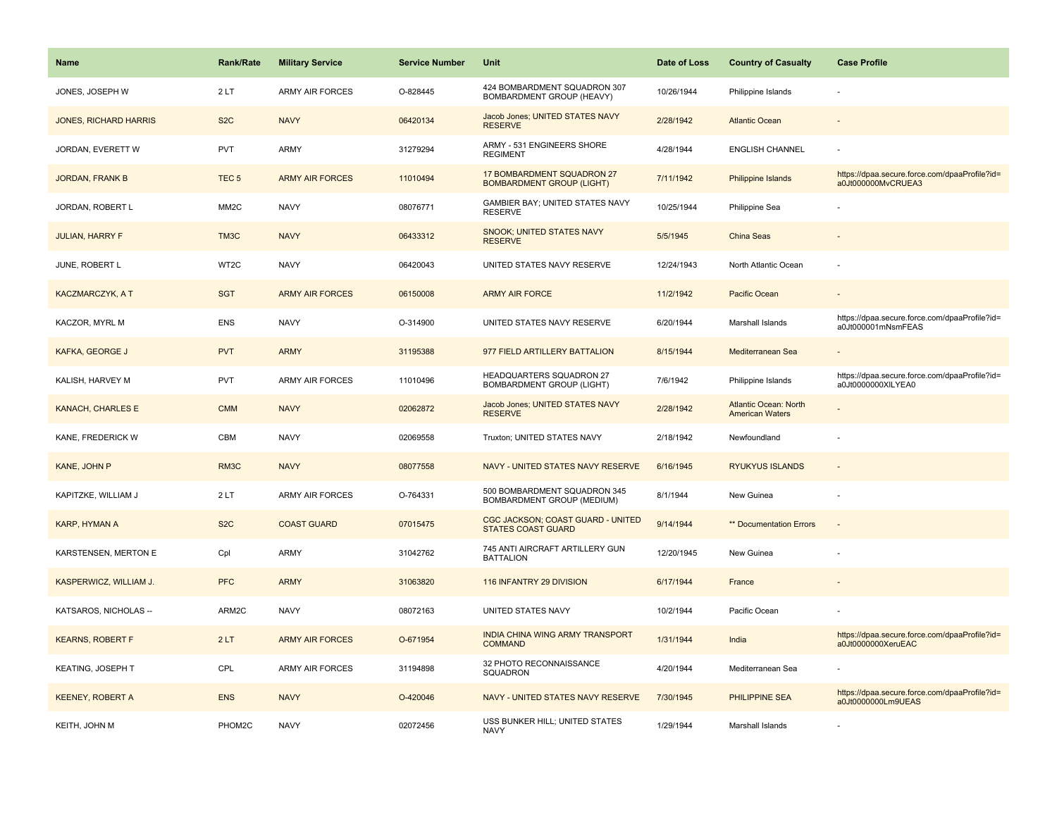| <b>Name</b>                  | <b>Rank/Rate</b>  | <b>Military Service</b> | <b>Service Number</b> | Unit                                                           | Date of Loss | <b>Country of Casualty</b>                             | <b>Case Profile</b>                                                 |
|------------------------------|-------------------|-------------------------|-----------------------|----------------------------------------------------------------|--------------|--------------------------------------------------------|---------------------------------------------------------------------|
| JONES, JOSEPH W              | 2LT               | <b>ARMY AIR FORCES</b>  | O-828445              | 424 BOMBARDMENT SQUADRON 307<br>BOMBARDMENT GROUP (HEAVY)      | 10/26/1944   | Philippine Islands                                     |                                                                     |
| <b>JONES, RICHARD HARRIS</b> | S <sub>2</sub> C  | <b>NAVY</b>             | 06420134              | Jacob Jones; UNITED STATES NAVY<br><b>RESERVE</b>              | 2/28/1942    | <b>Atlantic Ocean</b>                                  |                                                                     |
| JORDAN, EVERETT W            | <b>PVT</b>        | ARMY                    | 31279294              | ARMY - 531 ENGINEERS SHORE<br><b>REGIMENT</b>                  | 4/28/1944    | <b>ENGLISH CHANNEL</b>                                 |                                                                     |
| <b>JORDAN, FRANK B</b>       | TEC <sub>5</sub>  | <b>ARMY AIR FORCES</b>  | 11010494              | 17 BOMBARDMENT SQUADRON 27<br><b>BOMBARDMENT GROUP (LIGHT)</b> | 7/11/1942    | <b>Philippine Islands</b>                              | https://dpaa.secure.force.com/dpaaProfile?id=<br>a0Jt000000MvCRUEA3 |
| JORDAN, ROBERT L             | MM <sub>2</sub> C | <b>NAVY</b>             | 08076771              | GAMBIER BAY; UNITED STATES NAVY<br><b>RESERVE</b>              | 10/25/1944   | Philippine Sea                                         |                                                                     |
| <b>JULIAN, HARRY F</b>       | TM3C              | <b>NAVY</b>             | 06433312              | SNOOK; UNITED STATES NAVY<br><b>RESERVE</b>                    | 5/5/1945     | <b>China Seas</b>                                      |                                                                     |
| JUNE, ROBERT L               | WT2C              | <b>NAVY</b>             | 06420043              | UNITED STATES NAVY RESERVE                                     | 12/24/1943   | North Atlantic Ocean                                   |                                                                     |
| <b>KACZMARCZYK, A T</b>      | <b>SGT</b>        | <b>ARMY AIR FORCES</b>  | 06150008              | <b>ARMY AIR FORCE</b>                                          | 11/2/1942    | Pacific Ocean                                          |                                                                     |
| KACZOR, MYRL M               | <b>ENS</b>        | <b>NAVY</b>             | O-314900              | UNITED STATES NAVY RESERVE                                     | 6/20/1944    | Marshall Islands                                       | https://dpaa.secure.force.com/dpaaProfile?id=<br>a0Jt000001mNsmFEAS |
| <b>KAFKA, GEORGE J</b>       | <b>PVT</b>        | <b>ARMY</b>             | 31195388              | 977 FIELD ARTILLERY BATTALION                                  | 8/15/1944    | Mediterranean Sea                                      |                                                                     |
| KALISH, HARVEY M             | <b>PVT</b>        | <b>ARMY AIR FORCES</b>  | 11010496              | <b>HEADQUARTERS SQUADRON 27</b><br>BOMBARDMENT GROUP (LIGHT)   | 7/6/1942     | Philippine Islands                                     | https://dpaa.secure.force.com/dpaaProfile?id=<br>a0Jt0000000XILYEA0 |
| <b>KANACH, CHARLES E</b>     | <b>CMM</b>        | <b>NAVY</b>             | 02062872              | Jacob Jones; UNITED STATES NAVY<br><b>RESERVE</b>              | 2/28/1942    | <b>Atlantic Ocean: North</b><br><b>American Waters</b> |                                                                     |
| KANE, FREDERICK W            | <b>CBM</b>        | <b>NAVY</b>             | 02069558              | Truxton; UNITED STATES NAVY                                    | 2/18/1942    | Newfoundland                                           |                                                                     |
| KANE, JOHN P                 | RM3C              | <b>NAVY</b>             | 08077558              | NAVY - UNITED STATES NAVY RESERVE                              | 6/16/1945    | <b>RYUKYUS ISLANDS</b>                                 | $\sim$                                                              |
| KAPITZKE, WILLIAM J          | 2LT               | <b>ARMY AIR FORCES</b>  | O-764331              | 500 BOMBARDMENT SQUADRON 345<br>BOMBARDMENT GROUP (MEDIUM)     | 8/1/1944     | New Guinea                                             |                                                                     |
| KARP, HYMAN A                | S <sub>2</sub> C  | <b>COAST GUARD</b>      | 07015475              | CGC JACKSON; COAST GUARD - UNITED<br><b>STATES COAST GUARD</b> | 9/14/1944    | ** Documentation Errors                                |                                                                     |
| KARSTENSEN, MERTON E         | Cpl               | ARMY                    | 31042762              | 745 ANTI AIRCRAFT ARTILLERY GUN<br><b>BATTALION</b>            | 12/20/1945   | New Guinea                                             |                                                                     |
| KASPERWICZ, WILLIAM J.       | <b>PFC</b>        | <b>ARMY</b>             | 31063820              | 116 INFANTRY 29 DIVISION                                       | 6/17/1944    | France                                                 |                                                                     |
| KATSAROS, NICHOLAS --        | ARM2C             | <b>NAVY</b>             | 08072163              | UNITED STATES NAVY                                             | 10/2/1944    | Pacific Ocean                                          |                                                                     |
| <b>KEARNS, ROBERT F</b>      | 2LT               | <b>ARMY AIR FORCES</b>  | O-671954              | INDIA CHINA WING ARMY TRANSPORT<br><b>COMMAND</b>              | 1/31/1944    | India                                                  | https://dpaa.secure.force.com/dpaaProfile?id=<br>a0Jt0000000XeruEAC |
| KEATING, JOSEPH T            | CPL               | <b>ARMY AIR FORCES</b>  | 31194898              | 32 PHOTO RECONNAISSANCE<br>SQUADRON                            | 4/20/1944    | Mediterranean Sea                                      |                                                                     |
| <b>KEENEY, ROBERT A</b>      | <b>ENS</b>        | <b>NAVY</b>             | O-420046              | NAVY - UNITED STATES NAVY RESERVE                              | 7/30/1945    | <b>PHILIPPINE SEA</b>                                  | https://dpaa.secure.force.com/dpaaProfile?id=<br>a0Jt0000000Lm9UEAS |
| KEITH, JOHN M                | PHOM2C            | <b>NAVY</b>             | 02072456              | USS BUNKER HILL; UNITED STATES<br><b>NAVY</b>                  | 1/29/1944    | Marshall Islands                                       |                                                                     |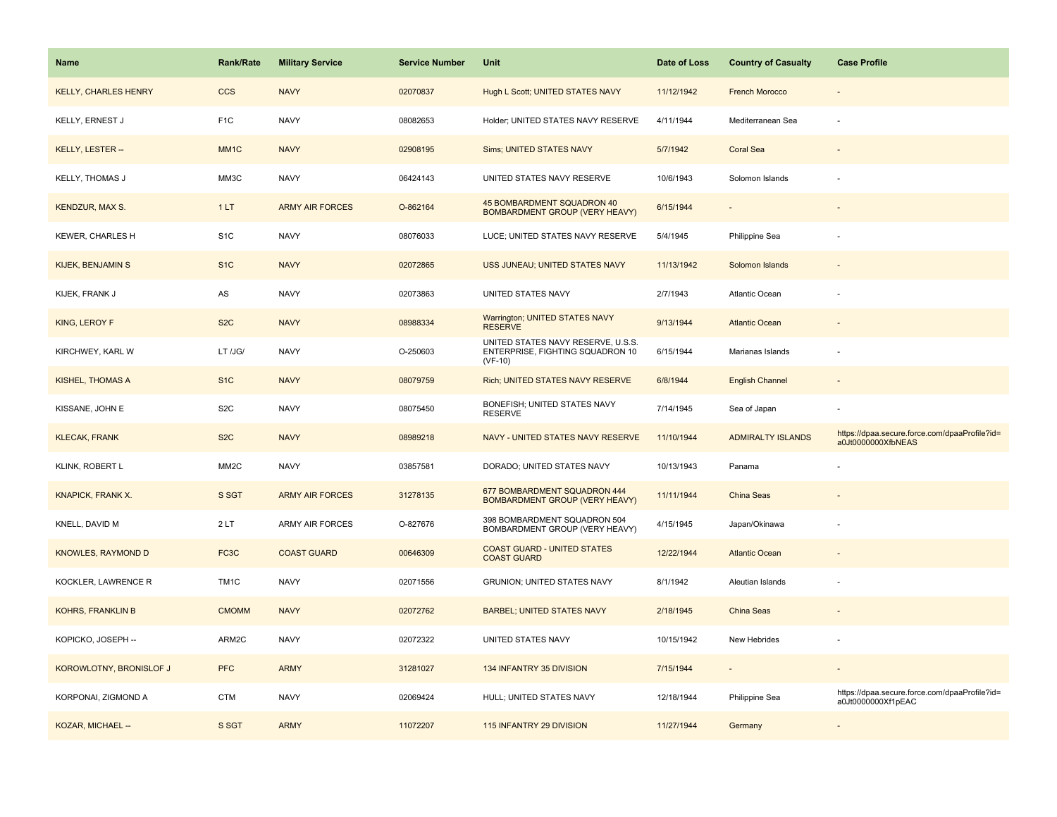| Name                        | Rank/Rate         | <b>Military Service</b> | <b>Service Number</b> | Unit                                                                                | Date of Loss | <b>Country of Casualty</b> | <b>Case Profile</b>                                                 |
|-----------------------------|-------------------|-------------------------|-----------------------|-------------------------------------------------------------------------------------|--------------|----------------------------|---------------------------------------------------------------------|
| <b>KELLY, CHARLES HENRY</b> | <b>CCS</b>        | <b>NAVY</b>             | 02070837              | Hugh L Scott; UNITED STATES NAVY                                                    | 11/12/1942   | <b>French Morocco</b>      |                                                                     |
| KELLY, ERNEST J             | F <sub>1</sub> C  | <b>NAVY</b>             | 08082653              | Holder; UNITED STATES NAVY RESERVE                                                  | 4/11/1944    | Mediterranean Sea          |                                                                     |
| KELLY, LESTER --            | MM <sub>1</sub> C | <b>NAVY</b>             | 02908195              | <b>Sims: UNITED STATES NAVY</b>                                                     | 5/7/1942     | <b>Coral Sea</b>           |                                                                     |
| KELLY, THOMAS J             | MM3C              | <b>NAVY</b>             | 06424143              | UNITED STATES NAVY RESERVE                                                          | 10/6/1943    | Solomon Islands            |                                                                     |
| <b>KENDZUR, MAX S.</b>      | 1LT               | <b>ARMY AIR FORCES</b>  | O-862164              | 45 BOMBARDMENT SQUADRON 40<br>BOMBARDMENT GROUP (VERY HEAVY)                        | 6/15/1944    |                            |                                                                     |
| KEWER, CHARLES H            | S <sub>1</sub> C  | <b>NAVY</b>             | 08076033              | LUCE; UNITED STATES NAVY RESERVE                                                    | 5/4/1945     | Philippine Sea             |                                                                     |
| <b>KIJEK, BENJAMIN S</b>    | S <sub>1</sub> C  | <b>NAVY</b>             | 02072865              | USS JUNEAU; UNITED STATES NAVY                                                      | 11/13/1942   | Solomon Islands            |                                                                     |
| KIJEK, FRANK J              | ${\sf AS}$        | <b>NAVY</b>             | 02073863              | UNITED STATES NAVY                                                                  | 2/7/1943     | Atlantic Ocean             |                                                                     |
| <b>KING, LEROY F</b>        | S <sub>2</sub> C  | <b>NAVY</b>             | 08988334              | <b>Warrington; UNITED STATES NAVY</b><br><b>RESERVE</b>                             | 9/13/1944    | <b>Atlantic Ocean</b>      |                                                                     |
| KIRCHWEY, KARL W            | LT /JG/           | <b>NAVY</b>             | O-250603              | UNITED STATES NAVY RESERVE, U.S.S.<br>ENTERPRISE, FIGHTING SQUADRON 10<br>$(VF-10)$ | 6/15/1944    | Marianas Islands           |                                                                     |
| <b>KISHEL, THOMAS A</b>     | S <sub>1</sub> C  | <b>NAVY</b>             | 08079759              | Rich; UNITED STATES NAVY RESERVE                                                    | 6/8/1944     | <b>English Channel</b>     |                                                                     |
| KISSANE, JOHN E             | S <sub>2</sub> C  | <b>NAVY</b>             | 08075450              | BONEFISH; UNITED STATES NAVY<br><b>RESERVE</b>                                      | 7/14/1945    | Sea of Japan               |                                                                     |
| <b>KLECAK, FRANK</b>        | S <sub>2</sub> C  | <b>NAVY</b>             | 08989218              | NAVY - UNITED STATES NAVY RESERVE                                                   | 11/10/1944   | <b>ADMIRALTY ISLANDS</b>   | https://dpaa.secure.force.com/dpaaProfile?id=<br>a0Jt0000000XfbNEAS |
| <b>KLINK, ROBERT L</b>      | MM <sub>2</sub> C | <b>NAVY</b>             | 03857581              | DORADO; UNITED STATES NAVY                                                          | 10/13/1943   | Panama                     |                                                                     |
| <b>KNAPICK, FRANK X.</b>    | S SGT             | <b>ARMY AIR FORCES</b>  | 31278135              | 677 BOMBARDMENT SQUADRON 444<br><b>BOMBARDMENT GROUP (VERY HEAVY)</b>               | 11/11/1944   | China Seas                 |                                                                     |
| KNELL, DAVID M              | 2LT               | <b>ARMY AIR FORCES</b>  | O-827676              | 398 BOMBARDMENT SQUADRON 504<br>BOMBARDMENT GROUP (VERY HEAVY)                      | 4/15/1945    | Japan/Okinawa              |                                                                     |
| <b>KNOWLES, RAYMOND D</b>   | FC3C              | <b>COAST GUARD</b>      | 00646309              | <b>COAST GUARD - UNITED STATES</b><br><b>COAST GUARD</b>                            | 12/22/1944   | <b>Atlantic Ocean</b>      |                                                                     |
| KOCKLER, LAWRENCE R         | TM <sub>1C</sub>  | <b>NAVY</b>             | 02071556              | <b>GRUNION: UNITED STATES NAVY</b>                                                  | 8/1/1942     | Aleutian Islands           |                                                                     |
| <b>KOHRS, FRANKLIN B</b>    | <b>CMOMM</b>      | <b>NAVY</b>             | 02072762              | <b>BARBEL; UNITED STATES NAVY</b>                                                   | 2/18/1945    | China Seas                 |                                                                     |
| KOPICKO, JOSEPH --          | ARM2C             | <b>NAVY</b>             | 02072322              | UNITED STATES NAVY                                                                  | 10/15/1942   | New Hebrides               |                                                                     |
| KOROWLOTNY, BRONISLOF J     | <b>PFC</b>        | <b>ARMY</b>             | 31281027              | 134 INFANTRY 35 DIVISION                                                            | 7/15/1944    |                            |                                                                     |
| KORPONAI, ZIGMOND A         | <b>CTM</b>        | <b>NAVY</b>             | 02069424              | HULL; UNITED STATES NAVY                                                            | 12/18/1944   | Philippine Sea             | https://dpaa.secure.force.com/dpaaProfile?id=<br>a0Jt0000000Xf1pEAC |
| KOZAR, MICHAEL --           | S SGT             | <b>ARMY</b>             | 11072207              | 115 INFANTRY 29 DIVISION                                                            | 11/27/1944   | Germany                    |                                                                     |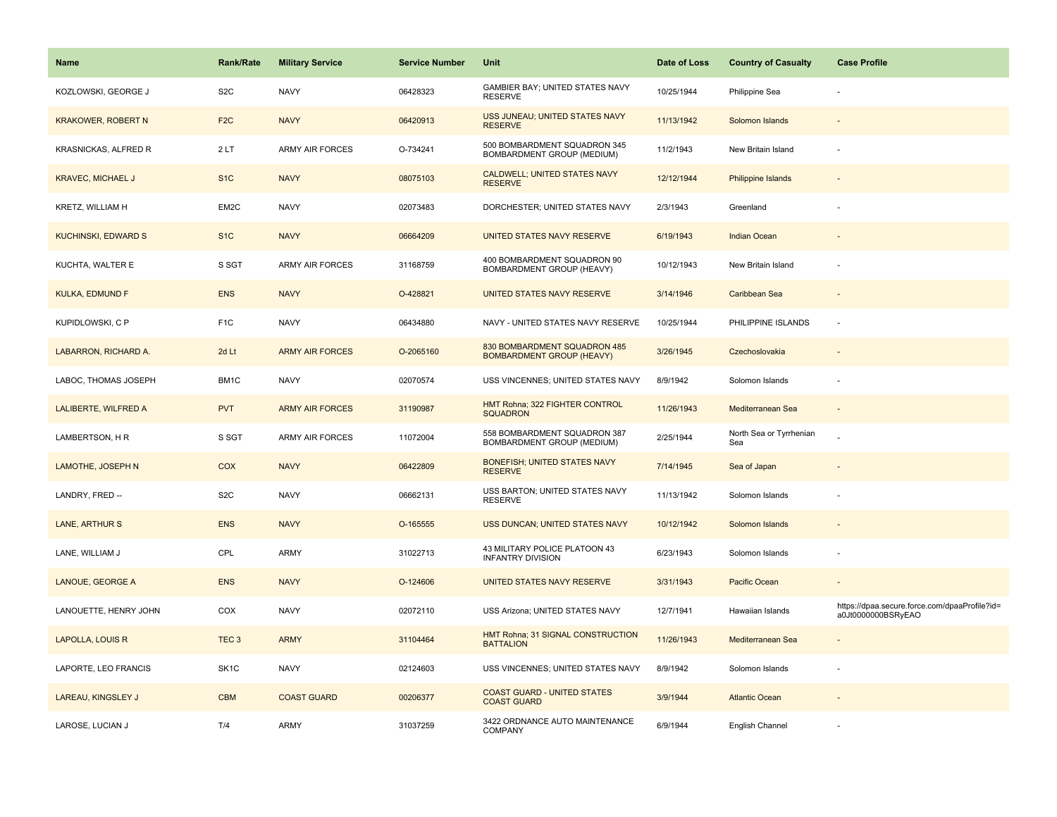| Name                        | <b>Rank/Rate</b>  | <b>Military Service</b> | <b>Service Number</b> | Unit                                                             | Date of Loss | <b>Country of Casualty</b>     | <b>Case Profile</b>                                                 |
|-----------------------------|-------------------|-------------------------|-----------------------|------------------------------------------------------------------|--------------|--------------------------------|---------------------------------------------------------------------|
| KOZLOWSKI, GEORGE J         | S <sub>2</sub> C  | <b>NAVY</b>             | 06428323              | GAMBIER BAY; UNITED STATES NAVY<br><b>RESERVE</b>                | 10/25/1944   | Philippine Sea                 |                                                                     |
| <b>KRAKOWER, ROBERT N</b>   | F <sub>2C</sub>   | <b>NAVY</b>             | 06420913              | USS JUNEAU; UNITED STATES NAVY<br><b>RESERVE</b>                 | 11/13/1942   | Solomon Islands                |                                                                     |
| KRASNICKAS, ALFRED R        | 2LT               | <b>ARMY AIR FORCES</b>  | O-734241              | 500 BOMBARDMENT SQUADRON 345<br>BOMBARDMENT GROUP (MEDIUM)       | 11/2/1943    | New Britain Island             |                                                                     |
| <b>KRAVEC, MICHAEL J</b>    | S <sub>1</sub> C  | <b>NAVY</b>             | 08075103              | <b>CALDWELL; UNITED STATES NAVY</b><br><b>RESERVE</b>            | 12/12/1944   | Philippine Islands             |                                                                     |
| <b>KRETZ, WILLIAM H</b>     | EM2C              | <b>NAVY</b>             | 02073483              | DORCHESTER; UNITED STATES NAVY                                   | 2/3/1943     | Greenland                      |                                                                     |
| KUCHINSKI, EDWARD S         | S <sub>1</sub> C  | <b>NAVY</b>             | 06664209              | UNITED STATES NAVY RESERVE                                       | 6/19/1943    | Indian Ocean                   |                                                                     |
| KUCHTA, WALTER E            | S SGT             | ARMY AIR FORCES         | 31168759              | 400 BOMBARDMENT SQUADRON 90<br>BOMBARDMENT GROUP (HEAVY)         | 10/12/1943   | New Britain Island             |                                                                     |
| <b>KULKA, EDMUND F</b>      | <b>ENS</b>        | <b>NAVY</b>             | O-428821              | UNITED STATES NAVY RESERVE                                       | 3/14/1946    | Caribbean Sea                  |                                                                     |
| KUPIDLOWSKI, C P            | F <sub>1</sub> C  | <b>NAVY</b>             | 06434880              | NAVY - UNITED STATES NAVY RESERVE                                | 10/25/1944   | PHILIPPINE ISLANDS             | $\sim$                                                              |
| LABARRON, RICHARD A.        | 2d Lt             | <b>ARMY AIR FORCES</b>  | O-2065160             | 830 BOMBARDMENT SQUADRON 485<br><b>BOMBARDMENT GROUP (HEAVY)</b> | 3/26/1945    | Czechoslovakia                 |                                                                     |
| LABOC, THOMAS JOSEPH        | BM1C              | <b>NAVY</b>             | 02070574              | USS VINCENNES; UNITED STATES NAVY                                | 8/9/1942     | Solomon Islands                |                                                                     |
| <b>LALIBERTE, WILFRED A</b> | <b>PVT</b>        | <b>ARMY AIR FORCES</b>  | 31190987              | HMT Rohna; 322 FIGHTER CONTROL<br><b>SQUADRON</b>                | 11/26/1943   | Mediterranean Sea              |                                                                     |
| LAMBERTSON, H R             | S SGT             | <b>ARMY AIR FORCES</b>  | 11072004              | 558 BOMBARDMENT SQUADRON 387<br>BOMBARDMENT GROUP (MEDIUM)       | 2/25/1944    | North Sea or Tyrrhenian<br>Sea |                                                                     |
| LAMOTHE, JOSEPH N           | COX               | <b>NAVY</b>             | 06422809              | BONEFISH; UNITED STATES NAVY<br><b>RESERVE</b>                   | 7/14/1945    | Sea of Japan                   |                                                                     |
| LANDRY, FRED --             | S <sub>2</sub> C  | <b>NAVY</b>             | 06662131              | USS BARTON; UNITED STATES NAVY<br><b>RESERVE</b>                 | 11/13/1942   | Solomon Islands                |                                                                     |
| <b>LANE, ARTHUR S</b>       | <b>ENS</b>        | <b>NAVY</b>             | O-165555              | USS DUNCAN; UNITED STATES NAVY                                   | 10/12/1942   | Solomon Islands                |                                                                     |
| LANE, WILLIAM J             | CPL               | ARMY                    | 31022713              | 43 MILITARY POLICE PLATOON 43<br><b>INFANTRY DIVISION</b>        | 6/23/1943    | Solomon Islands                |                                                                     |
| LANOUE, GEORGE A            | <b>ENS</b>        | <b>NAVY</b>             | O-124606              | UNITED STATES NAVY RESERVE                                       | 3/31/1943    | Pacific Ocean                  |                                                                     |
| LANOUETTE, HENRY JOHN       | COX               | <b>NAVY</b>             | 02072110              | USS Arizona; UNITED STATES NAVY                                  | 12/7/1941    | Hawaiian Islands               | https://dpaa.secure.force.com/dpaaProfile?id=<br>a0Jt0000000BSRyEAO |
| LAPOLLA, LOUIS R            | TEC <sub>3</sub>  | <b>ARMY</b>             | 31104464              | HMT Rohna; 31 SIGNAL CONSTRUCTION<br><b>BATTALION</b>            | 11/26/1943   | Mediterranean Sea              |                                                                     |
| LAPORTE, LEO FRANCIS        | SK <sub>1</sub> C | <b>NAVY</b>             | 02124603              | USS VINCENNES; UNITED STATES NAVY                                | 8/9/1942     | Solomon Islands                |                                                                     |
| LAREAU, KINGSLEY J          | <b>CBM</b>        | <b>COAST GUARD</b>      | 00206377              | <b>COAST GUARD - UNITED STATES</b><br><b>COAST GUARD</b>         | 3/9/1944     | <b>Atlantic Ocean</b>          |                                                                     |
| LAROSE, LUCIAN J            | T/4               | ARMY                    | 31037259              | 3422 ORDNANCE AUTO MAINTENANCE<br><b>COMPANY</b>                 | 6/9/1944     | English Channel                |                                                                     |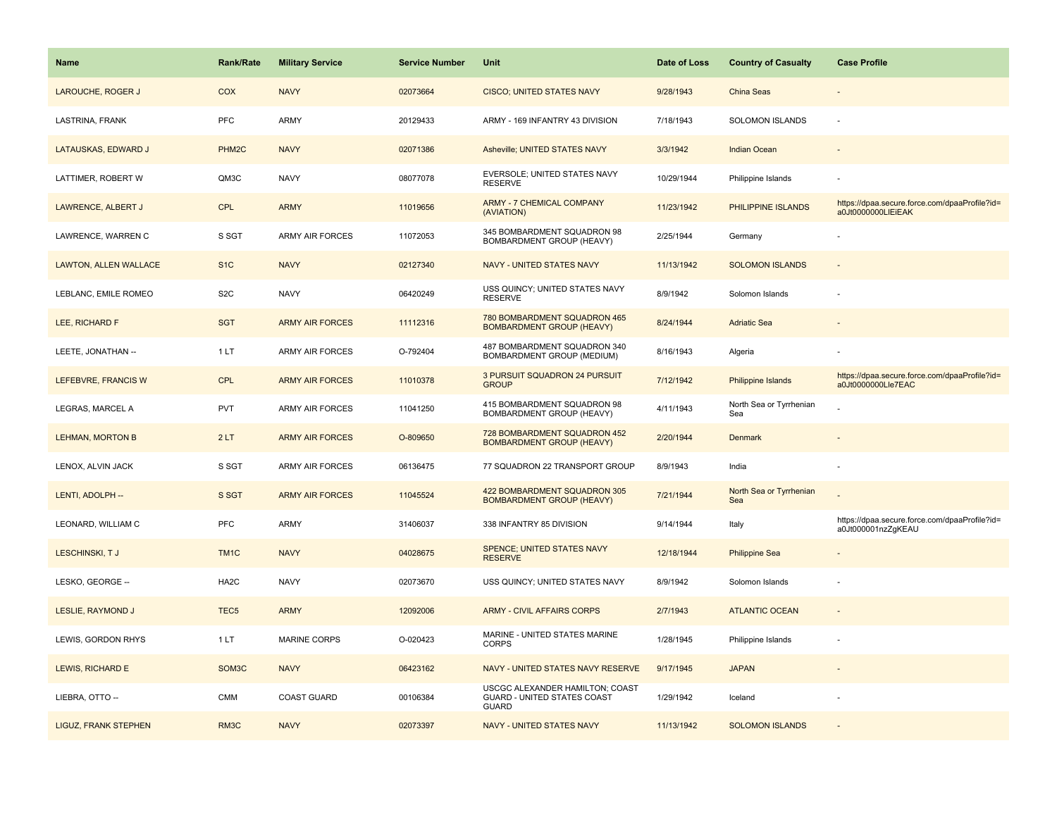| <b>Name</b>                  | <b>Rank/Rate</b>   | <b>Military Service</b> | <b>Service Number</b> | Unit                                                                           | Date of Loss | <b>Country of Casualty</b>     | <b>Case Profile</b>                                                 |
|------------------------------|--------------------|-------------------------|-----------------------|--------------------------------------------------------------------------------|--------------|--------------------------------|---------------------------------------------------------------------|
| LAROUCHE, ROGER J            | COX                | <b>NAVY</b>             | 02073664              | CISCO; UNITED STATES NAVY                                                      | 9/28/1943    | China Seas                     |                                                                     |
| LASTRINA, FRANK              | PFC                | ARMY                    | 20129433              | ARMY - 169 INFANTRY 43 DIVISION                                                | 7/18/1943    | <b>SOLOMON ISLANDS</b>         |                                                                     |
| LATAUSKAS, EDWARD J          | PHM <sub>2</sub> C | <b>NAVY</b>             | 02071386              | Asheville; UNITED STATES NAVY                                                  | 3/3/1942     | <b>Indian Ocean</b>            |                                                                     |
| LATTIMER, ROBERT W           | QM3C               | <b>NAVY</b>             | 08077078              | EVERSOLE; UNITED STATES NAVY<br><b>RESERVE</b>                                 | 10/29/1944   | Philippine Islands             |                                                                     |
| LAWRENCE, ALBERT J           | <b>CPL</b>         | <b>ARMY</b>             | 11019656              | <b>ARMY - 7 CHEMICAL COMPANY</b><br>(AVIATION)                                 | 11/23/1942   | PHILIPPINE ISLANDS             | https://dpaa.secure.force.com/dpaaProfile?id=<br>a0Jt0000000LIEiEAK |
| LAWRENCE, WARREN C           | S SGT              | <b>ARMY AIR FORCES</b>  | 11072053              | 345 BOMBARDMENT SQUADRON 98<br>BOMBARDMENT GROUP (HEAVY)                       | 2/25/1944    | Germany                        |                                                                     |
| <b>LAWTON, ALLEN WALLACE</b> | S <sub>1</sub> C   | <b>NAVY</b>             | 02127340              | <b>NAVY - UNITED STATES NAVY</b>                                               | 11/13/1942   | <b>SOLOMON ISLANDS</b>         | $\sim$                                                              |
| LEBLANC, EMILE ROMEO         | S <sub>2</sub> C   | <b>NAVY</b>             | 06420249              | USS QUINCY; UNITED STATES NAVY<br><b>RESERVE</b>                               | 8/9/1942     | Solomon Islands                |                                                                     |
| LEE, RICHARD F               | <b>SGT</b>         | <b>ARMY AIR FORCES</b>  | 11112316              | 780 BOMBARDMENT SQUADRON 465<br><b>BOMBARDMENT GROUP (HEAVY)</b>               | 8/24/1944    | <b>Adriatic Sea</b>            |                                                                     |
| LEETE, JONATHAN --           | 1LT                | ARMY AIR FORCES         | O-792404              | 487 BOMBARDMENT SQUADRON 340<br>BOMBARDMENT GROUP (MEDIUM)                     | 8/16/1943    | Algeria                        |                                                                     |
| LEFEBVRE, FRANCIS W          | <b>CPL</b>         | <b>ARMY AIR FORCES</b>  | 11010378              | 3 PURSUIT SQUADRON 24 PURSUIT<br><b>GROUP</b>                                  | 7/12/1942    | <b>Philippine Islands</b>      | https://dpaa.secure.force.com/dpaaProfile?id=<br>a0Jt0000000Lle7EAC |
| LEGRAS, MARCEL A             | <b>PVT</b>         | <b>ARMY AIR FORCES</b>  | 11041250              | 415 BOMBARDMENT SQUADRON 98<br>BOMBARDMENT GROUP (HEAVY)                       | 4/11/1943    | North Sea or Tyrrhenian<br>Sea |                                                                     |
| <b>LEHMAN, MORTON B</b>      | 2LT                | <b>ARMY AIR FORCES</b>  | O-809650              | 728 BOMBARDMENT SQUADRON 452<br><b>BOMBARDMENT GROUP (HEAVY)</b>               | 2/20/1944    | <b>Denmark</b>                 |                                                                     |
| LENOX, ALVIN JACK            | S SGT              | ARMY AIR FORCES         | 06136475              | 77 SQUADRON 22 TRANSPORT GROUP                                                 | 8/9/1943     | India                          |                                                                     |
| LENTI, ADOLPH --             | S SGT              | <b>ARMY AIR FORCES</b>  | 11045524              | 422 BOMBARDMENT SQUADRON 305<br><b>BOMBARDMENT GROUP (HEAVY)</b>               | 7/21/1944    | North Sea or Tyrrhenian<br>Sea |                                                                     |
| LEONARD, WILLIAM C           | PFC                | <b>ARMY</b>             | 31406037              | 338 INFANTRY 85 DIVISION                                                       | 9/14/1944    | Italy                          | https://dpaa.secure.force.com/dpaaProfile?id=<br>a0Jt000001nzZgKEAU |
| LESCHINSKI, TJ               | TM <sub>1C</sub>   | <b>NAVY</b>             | 04028675              | <b>SPENCE; UNITED STATES NAVY</b><br><b>RESERVE</b>                            | 12/18/1944   | <b>Philippine Sea</b>          |                                                                     |
| LESKO, GEORGE --             | HA <sub>2</sub> C  | <b>NAVY</b>             | 02073670              | USS QUINCY; UNITED STATES NAVY                                                 | 8/9/1942     | Solomon Islands                |                                                                     |
| <b>LESLIE, RAYMOND J</b>     | TEC <sub>5</sub>   | <b>ARMY</b>             | 12092006              | <b>ARMY - CIVIL AFFAIRS CORPS</b>                                              | 2/7/1943     | <b>ATLANTIC OCEAN</b>          |                                                                     |
| LEWIS, GORDON RHYS           | 1LT                | <b>MARINE CORPS</b>     | O-020423              | MARINE - UNITED STATES MARINE<br><b>CORPS</b>                                  | 1/28/1945    | Philippine Islands             |                                                                     |
| LEWIS, RICHARD E             | SOM <sub>3</sub> C | <b>NAVY</b>             | 06423162              | NAVY - UNITED STATES NAVY RESERVE                                              | 9/17/1945    | <b>JAPAN</b>                   |                                                                     |
| LIEBRA, OTTO --              | CMM                | <b>COAST GUARD</b>      | 00106384              | USCGC ALEXANDER HAMILTON; COAST<br>GUARD - UNITED STATES COAST<br><b>GUARD</b> | 1/29/1942    | Iceland                        |                                                                     |
| <b>LIGUZ, FRANK STEPHEN</b>  | RM3C               | <b>NAVY</b>             | 02073397              | NAVY - UNITED STATES NAVY                                                      | 11/13/1942   | <b>SOLOMON ISLANDS</b>         |                                                                     |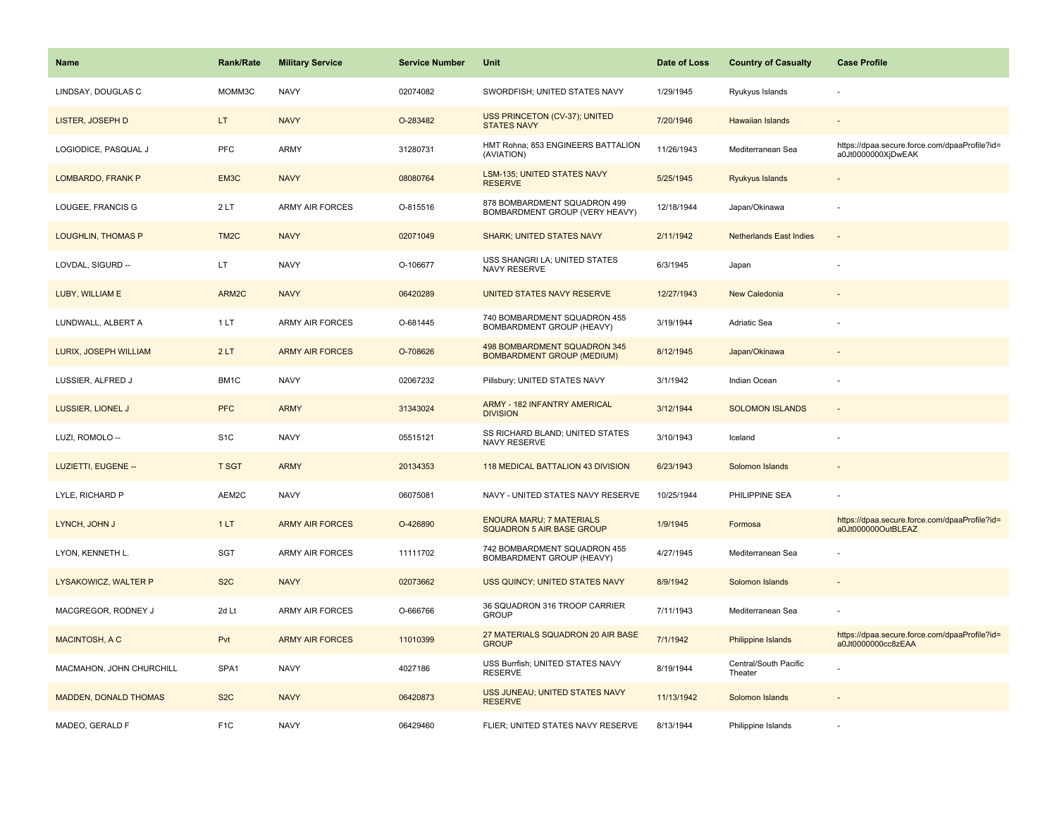| <b>Name</b>               | <b>Rank/Rate</b>  | <b>Military Service</b> | <b>Service Number</b> | Unit                                                                | Date of Loss | <b>Country of Casualty</b>       | <b>Case Profile</b>                                                 |
|---------------------------|-------------------|-------------------------|-----------------------|---------------------------------------------------------------------|--------------|----------------------------------|---------------------------------------------------------------------|
| LINDSAY, DOUGLAS C        | MOMM3C            | <b>NAVY</b>             | 02074082              | SWORDFISH; UNITED STATES NAVY                                       | 1/29/1945    | Ryukyus Islands                  |                                                                     |
| LISTER, JOSEPH D          | LT.               | <b>NAVY</b>             | O-283482              | USS PRINCETON (CV-37); UNITED<br><b>STATES NAVY</b>                 | 7/20/1946    | Hawaiian Islands                 |                                                                     |
| LOGIODICE, PASQUAL J      | <b>PFC</b>        | <b>ARMY</b>             | 31280731              | HMT Rohna; 853 ENGINEERS BATTALION<br>(AVIATION)                    | 11/26/1943   | Mediterranean Sea                | https://dpaa.secure.force.com/dpaaProfile?id=<br>a0Jt0000000XjDwEAK |
| LOMBARDO, FRANK P         | EM3C              | <b>NAVY</b>             | 08080764              | LSM-135; UNITED STATES NAVY<br><b>RESERVE</b>                       | 5/25/1945    | Ryukyus Islands                  |                                                                     |
| LOUGEE, FRANCIS G         | 2LT               | <b>ARMY AIR FORCES</b>  | O-815516              | 878 BOMBARDMENT SQUADRON 499<br>BOMBARDMENT GROUP (VERY HEAVY)      | 12/18/1944   | Japan/Okinawa                    |                                                                     |
| <b>LOUGHLIN, THOMAS P</b> | TM <sub>2</sub> C | <b>NAVY</b>             | 02071049              | <b>SHARK; UNITED STATES NAVY</b>                                    | 2/11/1942    | <b>Netherlands East Indies</b>   | $\sim$                                                              |
| LOVDAL, SIGURD --         | LT.               | <b>NAVY</b>             | O-106677              | USS SHANGRI LA; UNITED STATES<br>NAVY RESERVE                       | 6/3/1945     | Japan                            |                                                                     |
| LUBY, WILLIAM E           | ARM2C             | <b>NAVY</b>             | 06420289              | UNITED STATES NAVY RESERVE                                          | 12/27/1943   | New Caledonia                    |                                                                     |
| LUNDWALL, ALBERT A        | 1LT               | <b>ARMY AIR FORCES</b>  | O-681445              | 740 BOMBARDMENT SQUADRON 455<br>BOMBARDMENT GROUP (HEAVY)           | 3/19/1944    | Adriatic Sea                     |                                                                     |
| LURIX, JOSEPH WILLIAM     | 2LT               | <b>ARMY AIR FORCES</b>  | O-708626              | 498 BOMBARDMENT SQUADRON 345<br><b>BOMBARDMENT GROUP (MEDIUM)</b>   | 8/12/1945    | Japan/Okinawa                    |                                                                     |
| LUSSIER, ALFRED J         | BM1C              | <b>NAVY</b>             | 02067232              | Pillsbury; UNITED STATES NAVY                                       | 3/1/1942     | Indian Ocean                     |                                                                     |
| LUSSIER, LIONEL J         | <b>PFC</b>        | <b>ARMY</b>             | 31343024              | <b>ARMY - 182 INFANTRY AMERICAL</b><br><b>DIVISION</b>              | 3/12/1944    | <b>SOLOMON ISLANDS</b>           | $\sim$                                                              |
| LUZI, ROMOLO --           | S <sub>1</sub> C  | <b>NAVY</b>             | 05515121              | SS RICHARD BLAND; UNITED STATES<br>NAVY RESERVE                     | 3/10/1943    | Iceland                          |                                                                     |
| LUZIETTI, EUGENE --       | <b>T SGT</b>      | <b>ARMY</b>             | 20134353              | 118 MEDICAL BATTALION 43 DIVISION                                   | 6/23/1943    | Solomon Islands                  |                                                                     |
| LYLE, RICHARD P           | AEM2C             | <b>NAVY</b>             | 06075081              | NAVY - UNITED STATES NAVY RESERVE                                   | 10/25/1944   | PHILIPPINE SEA                   |                                                                     |
| LYNCH, JOHN J             | 1LT               | <b>ARMY AIR FORCES</b>  | O-426890              | <b>ENOURA MARU; 7 MATERIALS</b><br><b>SQUADRON 5 AIR BASE GROUP</b> | 1/9/1945     | Formosa                          | https://dpaa.secure.force.com/dpaaProfile?id=<br>a0Jt000000OutBLEAZ |
| LYON, KENNETH L.          | SGT               | <b>ARMY AIR FORCES</b>  | 11111702              | 742 BOMBARDMENT SQUADRON 455<br>BOMBARDMENT GROUP (HEAVY)           | 4/27/1945    | Mediterranean Sea                |                                                                     |
| LYSAKOWICZ, WALTER P      | S <sub>2</sub> C  | <b>NAVY</b>             | 02073662              | USS QUINCY; UNITED STATES NAVY                                      | 8/9/1942     | Solomon Islands                  |                                                                     |
| MACGREGOR, RODNEY J       | 2d Lt             | ARMY AIR FORCES         | O-666766              | 36 SQUADRON 316 TROOP CARRIER<br><b>GROUP</b>                       | 7/11/1943    | Mediterranean Sea                |                                                                     |
| <b>MACINTOSH, A C</b>     | Pvt               | <b>ARMY AIR FORCES</b>  | 11010399              | 27 MATERIALS SQUADRON 20 AIR BASE<br><b>GROUP</b>                   | 7/1/1942     | Philippine Islands               | https://dpaa.secure.force.com/dpaaProfile?id=<br>a0Jt0000000cc8zEAA |
| MACMAHON, JOHN CHURCHILL  | SPA1              | <b>NAVY</b>             | 4027186               | USS Burrfish; UNITED STATES NAVY<br><b>RESERVE</b>                  | 8/19/1944    | Central/South Pacific<br>Theater |                                                                     |
| MADDEN, DONALD THOMAS     | S <sub>2</sub> C  | <b>NAVY</b>             | 06420873              | USS JUNEAU; UNITED STATES NAVY<br><b>RESERVE</b>                    | 11/13/1942   | Solomon Islands                  |                                                                     |
| MADEO, GERALD F           | F <sub>1</sub> C  | <b>NAVY</b>             | 06429460              | FLIER; UNITED STATES NAVY RESERVE                                   | 8/13/1944    | Philippine Islands               |                                                                     |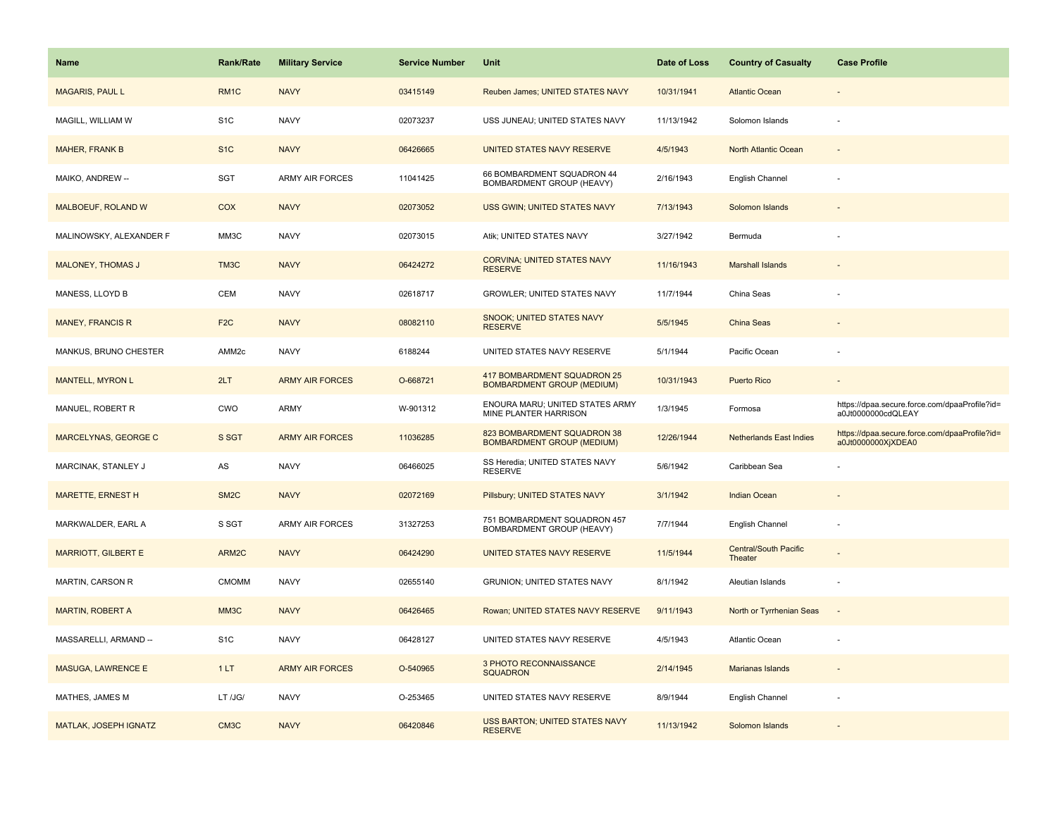| Name                        | <b>Rank/Rate</b>  | <b>Military Service</b> | <b>Service Number</b> | Unit                                                             | Date of Loss | <b>Country of Casualty</b>              | <b>Case Profile</b>                                                 |
|-----------------------------|-------------------|-------------------------|-----------------------|------------------------------------------------------------------|--------------|-----------------------------------------|---------------------------------------------------------------------|
| <b>MAGARIS, PAUL L</b>      | RM <sub>1</sub> C | <b>NAVY</b>             | 03415149              | Reuben James; UNITED STATES NAVY                                 | 10/31/1941   | <b>Atlantic Ocean</b>                   |                                                                     |
| MAGILL, WILLIAM W           | S <sub>1</sub> C  | <b>NAVY</b>             | 02073237              | USS JUNEAU; UNITED STATES NAVY                                   | 11/13/1942   | Solomon Islands                         |                                                                     |
| <b>MAHER, FRANK B</b>       | S <sub>1</sub> C  | <b>NAVY</b>             | 06426665              | UNITED STATES NAVY RESERVE                                       | 4/5/1943     | North Atlantic Ocean                    |                                                                     |
| MAIKO, ANDREW --            | SGT               | <b>ARMY AIR FORCES</b>  | 11041425              | 66 BOMBARDMENT SQUADRON 44<br>BOMBARDMENT GROUP (HEAVY)          | 2/16/1943    | English Channel                         |                                                                     |
| MALBOEUF, ROLAND W          | COX               | <b>NAVY</b>             | 02073052              | USS GWIN; UNITED STATES NAVY                                     | 7/13/1943    | Solomon Islands                         |                                                                     |
| MALINOWSKY, ALEXANDER F     | MM3C              | <b>NAVY</b>             | 02073015              | Atik; UNITED STATES NAVY                                         | 3/27/1942    | Bermuda                                 |                                                                     |
| <b>MALONEY, THOMAS J</b>    | TM3C              | <b>NAVY</b>             | 06424272              | <b>CORVINA: UNITED STATES NAVY</b><br><b>RESERVE</b>             | 11/16/1943   | <b>Marshall Islands</b>                 |                                                                     |
| MANESS, LLOYD B             | CEM               | <b>NAVY</b>             | 02618717              | <b>GROWLER; UNITED STATES NAVY</b>                               | 11/7/1944    | China Seas                              |                                                                     |
| <b>MANEY, FRANCIS R</b>     | F <sub>2</sub> C  | <b>NAVY</b>             | 08082110              | SNOOK; UNITED STATES NAVY<br><b>RESERVE</b>                      | 5/5/1945     | China Seas                              |                                                                     |
| MANKUS, BRUNO CHESTER       | AMM <sub>2c</sub> | <b>NAVY</b>             | 6188244               | UNITED STATES NAVY RESERVE                                       | 5/1/1944     | Pacific Ocean                           |                                                                     |
| <b>MANTELL, MYRON L</b>     | 2LT               | <b>ARMY AIR FORCES</b>  | O-668721              | 417 BOMBARDMENT SQUADRON 25<br><b>BOMBARDMENT GROUP (MEDIUM)</b> | 10/31/1943   | <b>Puerto Rico</b>                      |                                                                     |
| MANUEL, ROBERT R            | CWO               | ARMY                    | W-901312              | ENOURA MARU; UNITED STATES ARMY<br>MINE PLANTER HARRISON         | 1/3/1945     | Formosa                                 | https://dpaa.secure.force.com/dpaaProfile?id=<br>a0Jt0000000cdQLEAY |
| <b>MARCELYNAS, GEORGE C</b> | S SGT             | <b>ARMY AIR FORCES</b>  | 11036285              | 823 BOMBARDMENT SQUADRON 38<br><b>BOMBARDMENT GROUP (MEDIUM)</b> | 12/26/1944   | <b>Netherlands East Indies</b>          | https://dpaa.secure.force.com/dpaaProfile?id=<br>a0Jt0000000XjXDEA0 |
| MARCINAK, STANLEY J         | AS                | <b>NAVY</b>             | 06466025              | SS Heredia; UNITED STATES NAVY<br><b>RESERVE</b>                 | 5/6/1942     | Caribbean Sea                           |                                                                     |
| <b>MARETTE, ERNEST H</b>    | SM <sub>2</sub> C | <b>NAVY</b>             | 02072169              | Pillsbury; UNITED STATES NAVY                                    | 3/1/1942     | <b>Indian Ocean</b>                     |                                                                     |
| MARKWALDER, EARL A          | S SGT             | <b>ARMY AIR FORCES</b>  | 31327253              | 751 BOMBARDMENT SQUADRON 457<br>BOMBARDMENT GROUP (HEAVY)        | 7/7/1944     | English Channel                         | $\sim$                                                              |
| <b>MARRIOTT, GILBERT E</b>  | ARM2C             | <b>NAVY</b>             | 06424290              | UNITED STATES NAVY RESERVE                                       | 11/5/1944    | <b>Central/South Pacific</b><br>Theater |                                                                     |
| MARTIN, CARSON R            | <b>CMOMM</b>      | <b>NAVY</b>             | 02655140              | <b>GRUNION; UNITED STATES NAVY</b>                               | 8/1/1942     | Aleutian Islands                        |                                                                     |
| <b>MARTIN, ROBERT A</b>     | MM3C              | <b>NAVY</b>             | 06426465              | Rowan; UNITED STATES NAVY RESERVE                                | 9/11/1943    | North or Tyrrhenian Seas                | $\overline{\phantom{a}}$                                            |
| MASSARELLI, ARMAND --       | S <sub>1</sub> C  | <b>NAVY</b>             | 06428127              | UNITED STATES NAVY RESERVE                                       | 4/5/1943     | Atlantic Ocean                          |                                                                     |
| <b>MASUGA, LAWRENCE E</b>   | 1LT               | <b>ARMY AIR FORCES</b>  | O-540965              | 3 PHOTO RECONNAISSANCE<br><b>SQUADRON</b>                        | 2/14/1945    | <b>Marianas Islands</b>                 |                                                                     |
| MATHES, JAMES M             | LT /JG/           | <b>NAVY</b>             | O-253465              | UNITED STATES NAVY RESERVE                                       | 8/9/1944     | English Channel                         |                                                                     |
| MATLAK, JOSEPH IGNATZ       | CM <sub>3</sub> C | <b>NAVY</b>             | 06420846              | USS BARTON; UNITED STATES NAVY<br><b>RESERVE</b>                 | 11/13/1942   | Solomon Islands                         |                                                                     |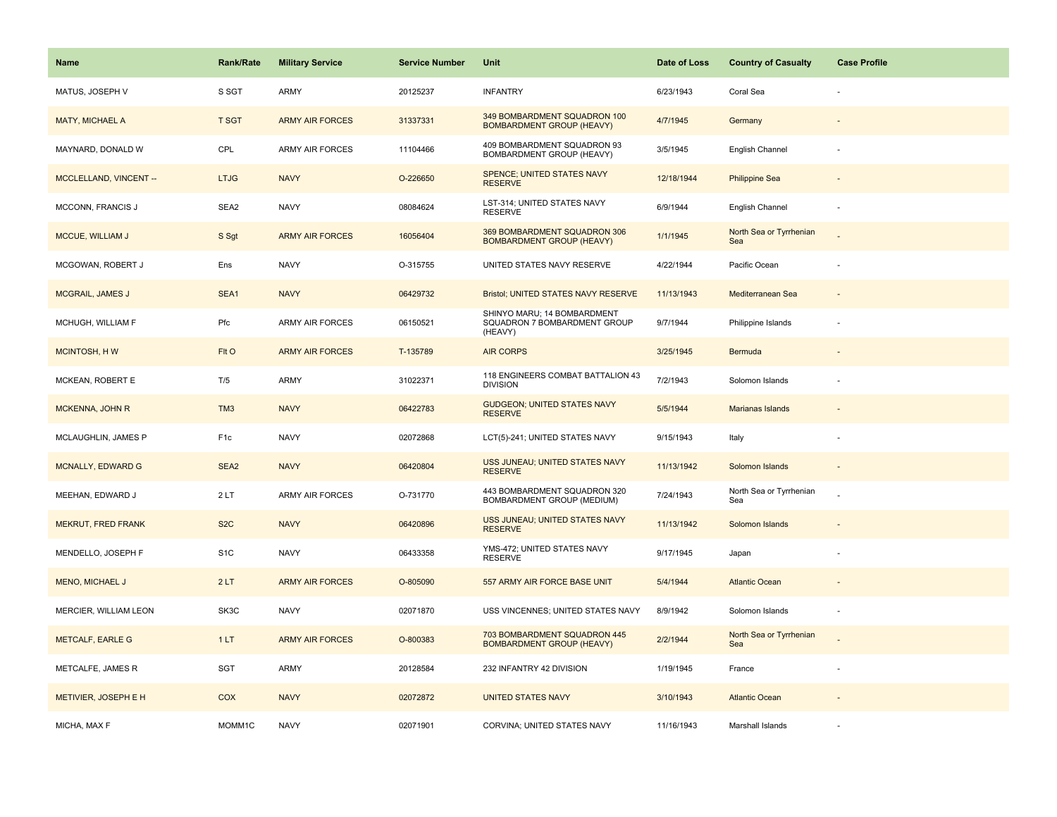| <b>Name</b>                   | Rank/Rate        | <b>Military Service</b> | <b>Service Number</b> | Unit                                                                   | Date of Loss | <b>Country of Casualty</b>     | <b>Case Profile</b>      |
|-------------------------------|------------------|-------------------------|-----------------------|------------------------------------------------------------------------|--------------|--------------------------------|--------------------------|
| MATUS, JOSEPH V               | S SGT            | ARMY                    | 20125237              | <b>INFANTRY</b>                                                        | 6/23/1943    | Coral Sea                      |                          |
| MATY, MICHAEL A               | <b>T SGT</b>     | <b>ARMY AIR FORCES</b>  | 31337331              | 349 BOMBARDMENT SQUADRON 100<br><b>BOMBARDMENT GROUP (HEAVY)</b>       | 4/7/1945     | Germany                        |                          |
| MAYNARD, DONALD W             | CPL              | <b>ARMY AIR FORCES</b>  | 11104466              | 409 BOMBARDMENT SQUADRON 93<br>BOMBARDMENT GROUP (HEAVY)               | 3/5/1945     | English Channel                |                          |
| <b>MCCLELLAND, VINCENT --</b> | <b>LTJG</b>      | <b>NAVY</b>             | O-226650              | SPENCE; UNITED STATES NAVY<br><b>RESERVE</b>                           | 12/18/1944   | <b>Philippine Sea</b>          |                          |
| MCCONN, FRANCIS J             | SEA2             | <b>NAVY</b>             | 08084624              | LST-314; UNITED STATES NAVY<br><b>RESERVE</b>                          | 6/9/1944     | English Channel                |                          |
| MCCUE, WILLIAM J              | S Sgt            | <b>ARMY AIR FORCES</b>  | 16056404              | 369 BOMBARDMENT SQUADRON 306<br><b>BOMBARDMENT GROUP (HEAVY)</b>       | 1/1/1945     | North Sea or Tyrrhenian<br>Sea |                          |
| MCGOWAN, ROBERT J             | Ens              | <b>NAVY</b>             | O-315755              | UNITED STATES NAVY RESERVE                                             | 4/22/1944    | Pacific Ocean                  |                          |
| <b>MCGRAIL, JAMES J</b>       | SEA1             | <b>NAVY</b>             | 06429732              | <b>Bristol; UNITED STATES NAVY RESERVE</b>                             | 11/13/1943   | Mediterranean Sea              |                          |
| MCHUGH, WILLIAM F             | Pfc              | ARMY AIR FORCES         | 06150521              | SHINYO MARU; 14 BOMBARDMENT<br>SQUADRON 7 BOMBARDMENT GROUP<br>(HEAVY) | 9/7/1944     | Philippine Islands             |                          |
| <b>MCINTOSH, HW</b>           | FIt O            | <b>ARMY AIR FORCES</b>  | T-135789              | <b>AIR CORPS</b>                                                       | 3/25/1945    | Bermuda                        |                          |
| MCKEAN, ROBERT E              | T/5              | <b>ARMY</b>             | 31022371              | 118 ENGINEERS COMBAT BATTALION 43<br><b>DIVISION</b>                   | 7/2/1943     | Solomon Islands                |                          |
| <b>MCKENNA, JOHN R</b>        | TM <sub>3</sub>  | <b>NAVY</b>             | 06422783              | <b>GUDGEON; UNITED STATES NAVY</b><br><b>RESERVE</b>                   | 5/5/1944     | Marianas Islands               |                          |
| MCLAUGHLIN, JAMES P           | F <sub>1c</sub>  | <b>NAVY</b>             | 02072868              | LCT(5)-241; UNITED STATES NAVY                                         | 9/15/1943    | Italy                          |                          |
| <b>MCNALLY, EDWARD G</b>      | SEA <sub>2</sub> | <b>NAVY</b>             | 06420804              | USS JUNEAU; UNITED STATES NAVY<br><b>RESERVE</b>                       | 11/13/1942   | Solomon Islands                |                          |
| MEEHAN, EDWARD J              | 2LT              | ARMY AIR FORCES         | O-731770              | 443 BOMBARDMENT SQUADRON 320<br>BOMBARDMENT GROUP (MEDIUM)             | 7/24/1943    | North Sea or Tyrrhenian<br>Sea |                          |
| <b>MEKRUT, FRED FRANK</b>     | S <sub>2</sub> C | <b>NAVY</b>             | 06420896              | USS JUNEAU; UNITED STATES NAVY<br><b>RESERVE</b>                       | 11/13/1942   | Solomon Islands                |                          |
| MENDELLO, JOSEPH F            | S <sub>1</sub> C | <b>NAVY</b>             | 06433358              | YMS-472; UNITED STATES NAVY<br><b>RESERVE</b>                          | 9/17/1945    | Japan                          |                          |
| <b>MENO, MICHAEL J</b>        | 2LT              | <b>ARMY AIR FORCES</b>  | O-805090              | 557 ARMY AIR FORCE BASE UNIT                                           | 5/4/1944     | <b>Atlantic Ocean</b>          |                          |
| MERCIER, WILLIAM LEON         | SK3C             | <b>NAVY</b>             | 02071870              | USS VINCENNES; UNITED STATES NAVY                                      | 8/9/1942     | Solomon Islands                | $\overline{\phantom{a}}$ |
| <b>METCALF, EARLE G</b>       | 1LT              | <b>ARMY AIR FORCES</b>  | O-800383              | 703 BOMBARDMENT SQUADRON 445<br><b>BOMBARDMENT GROUP (HEAVY)</b>       | 2/2/1944     | North Sea or Tyrrhenian<br>Sea |                          |
| METCALFE, JAMES R             | SGT              | <b>ARMY</b>             | 20128584              | 232 INFANTRY 42 DIVISION                                               | 1/19/1945    | France                         | ÷,                       |
| METIVIER, JOSEPH E H          | COX              | <b>NAVY</b>             | 02072872              | <b>UNITED STATES NAVY</b>                                              | 3/10/1943    | <b>Atlantic Ocean</b>          |                          |
| MICHA, MAX F                  | MOMM1C           | <b>NAVY</b>             | 02071901              | CORVINA; UNITED STATES NAVY                                            | 11/16/1943   | Marshall Islands               |                          |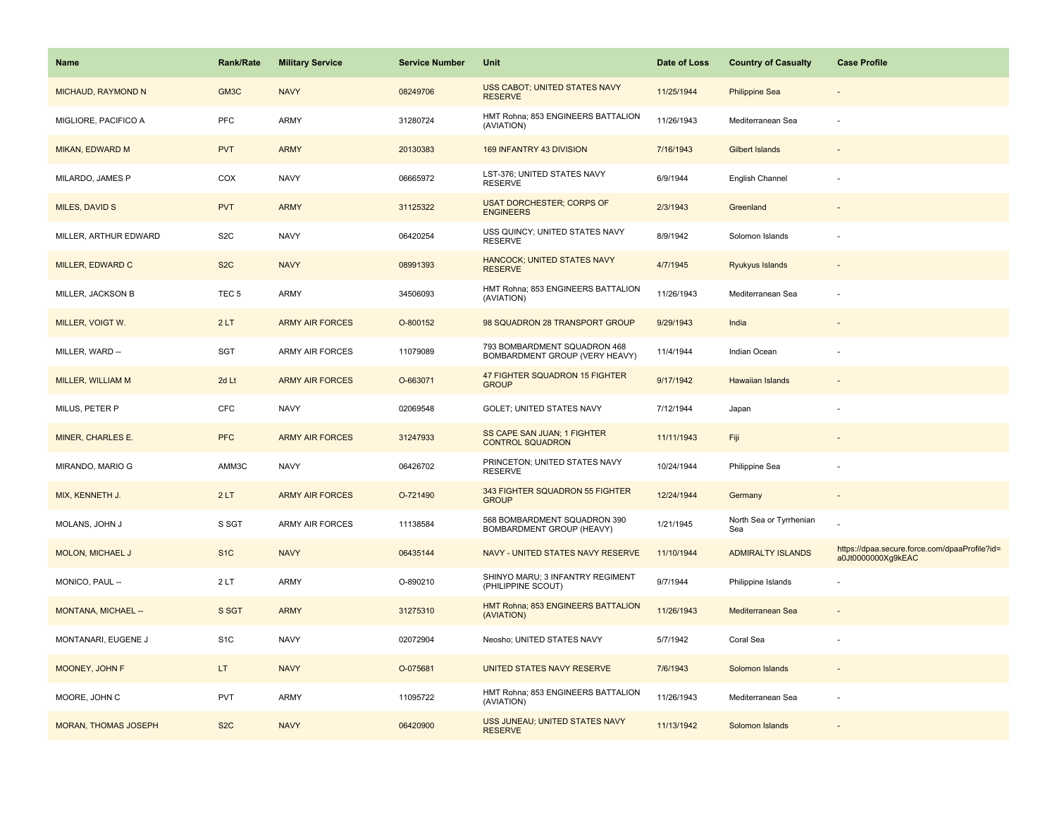| Name                        | <b>Rank/Rate</b> | <b>Military Service</b> | <b>Service Number</b> | Unit                                                           | Date of Loss | <b>Country of Casualty</b>     | <b>Case Profile</b>                                                 |
|-----------------------------|------------------|-------------------------|-----------------------|----------------------------------------------------------------|--------------|--------------------------------|---------------------------------------------------------------------|
| MICHAUD, RAYMOND N          | GM3C             | <b>NAVY</b>             | 08249706              | USS CABOT; UNITED STATES NAVY<br><b>RESERVE</b>                | 11/25/1944   | <b>Philippine Sea</b>          |                                                                     |
| MIGLIORE, PACIFICO A        | PFC              | ARMY                    | 31280724              | HMT Rohna; 853 ENGINEERS BATTALION<br>(AVIATION)               | 11/26/1943   | Mediterranean Sea              |                                                                     |
| MIKAN, EDWARD M             | <b>PVT</b>       | <b>ARMY</b>             | 20130383              | 169 INFANTRY 43 DIVISION                                       | 7/16/1943    | <b>Gilbert Islands</b>         |                                                                     |
| MILARDO, JAMES P            | COX              | <b>NAVY</b>             | 06665972              | LST-376; UNITED STATES NAVY<br><b>RESERVE</b>                  | 6/9/1944     | English Channel                |                                                                     |
| MILES, DAVID S              | <b>PVT</b>       | <b>ARMY</b>             | 31125322              | <b>USAT DORCHESTER; CORPS OF</b><br><b>ENGINEERS</b>           | 2/3/1943     | Greenland                      |                                                                     |
| MILLER, ARTHUR EDWARD       | S <sub>2</sub> C | <b>NAVY</b>             | 06420254              | USS QUINCY; UNITED STATES NAVY<br><b>RESERVE</b>               | 8/9/1942     | Solomon Islands                |                                                                     |
| MILLER, EDWARD C            | S <sub>2</sub> C | <b>NAVY</b>             | 08991393              | <b>HANCOCK; UNITED STATES NAVY</b><br><b>RESERVE</b>           | 4/7/1945     | Ryukyus Islands                |                                                                     |
| MILLER, JACKSON B           | TEC <sub>5</sub> | ARMY                    | 34506093              | HMT Rohna; 853 ENGINEERS BATTALION<br>(AVIATION)               | 11/26/1943   | Mediterranean Sea              |                                                                     |
| MILLER, VOIGT W.            | 2LT              | <b>ARMY AIR FORCES</b>  | O-800152              | 98 SQUADRON 28 TRANSPORT GROUP                                 | 9/29/1943    | India                          |                                                                     |
| MILLER, WARD --             | SGT              | ARMY AIR FORCES         | 11079089              | 793 BOMBARDMENT SQUADRON 468<br>BOMBARDMENT GROUP (VERY HEAVY) | 11/4/1944    | Indian Ocean                   |                                                                     |
| <b>MILLER, WILLIAM M</b>    | 2d Lt            | <b>ARMY AIR FORCES</b>  | O-663071              | 47 FIGHTER SQUADRON 15 FIGHTER<br><b>GROUP</b>                 | 9/17/1942    | <b>Hawaiian Islands</b>        |                                                                     |
| MILUS, PETER P              | CFC              | <b>NAVY</b>             | 02069548              | GOLET; UNITED STATES NAVY                                      | 7/12/1944    | Japan                          |                                                                     |
| MINER, CHARLES E.           | <b>PFC</b>       | <b>ARMY AIR FORCES</b>  | 31247933              | SS CAPE SAN JUAN; 1 FIGHTER<br><b>CONTROL SQUADRON</b>         | 11/11/1943   | Fiji                           |                                                                     |
| MIRANDO, MARIO G            | AMM3C            | <b>NAVY</b>             | 06426702              | PRINCETON; UNITED STATES NAVY<br><b>RESERVE</b>                | 10/24/1944   | Philippine Sea                 |                                                                     |
| MIX, KENNETH J.             | 2LT              | <b>ARMY AIR FORCES</b>  | O-721490              | 343 FIGHTER SQUADRON 55 FIGHTER<br><b>GROUP</b>                | 12/24/1944   | Germany                        |                                                                     |
| MOLANS, JOHN J              | S SGT            | ARMY AIR FORCES         | 11138584              | 568 BOMBARDMENT SQUADRON 390<br>BOMBARDMENT GROUP (HEAVY)      | 1/21/1945    | North Sea or Tyrrhenian<br>Sea |                                                                     |
| <b>MOLON, MICHAEL J</b>     | S <sub>1</sub> C | <b>NAVY</b>             | 06435144              | NAVY - UNITED STATES NAVY RESERVE                              | 11/10/1944   | <b>ADMIRALTY ISLANDS</b>       | https://dpaa.secure.force.com/dpaaProfile?id=<br>a0Jt0000000Xg9kEAC |
| MONICO, PAUL --             | 2LT              | ARMY                    | O-890210              | SHINYO MARU; 3 INFANTRY REGIMENT<br>(PHILIPPINE SCOUT)         | 9/7/1944     | Philippine Islands             |                                                                     |
| MONTANA, MICHAEL --         | S SGT            | <b>ARMY</b>             | 31275310              | HMT Rohna; 853 ENGINEERS BATTALION<br>(AVIATION)               | 11/26/1943   | Mediterranean Sea              |                                                                     |
| MONTANARI, EUGENE J         | S <sub>1</sub> C | <b>NAVY</b>             | 02072904              | Neosho; UNITED STATES NAVY                                     | 5/7/1942     | Coral Sea                      |                                                                     |
| MOONEY, JOHN F              | LT.              | <b>NAVY</b>             | O-075681              | UNITED STATES NAVY RESERVE                                     | 7/6/1943     | Solomon Islands                |                                                                     |
| MOORE, JOHN C               | <b>PVT</b>       | <b>ARMY</b>             | 11095722              | HMT Rohna; 853 ENGINEERS BATTALION<br>(AVIATION)               | 11/26/1943   | Mediterranean Sea              |                                                                     |
| <b>MORAN, THOMAS JOSEPH</b> | S <sub>2</sub> C | <b>NAVY</b>             | 06420900              | USS JUNEAU; UNITED STATES NAVY<br><b>RESERVE</b>               | 11/13/1942   | Solomon Islands                |                                                                     |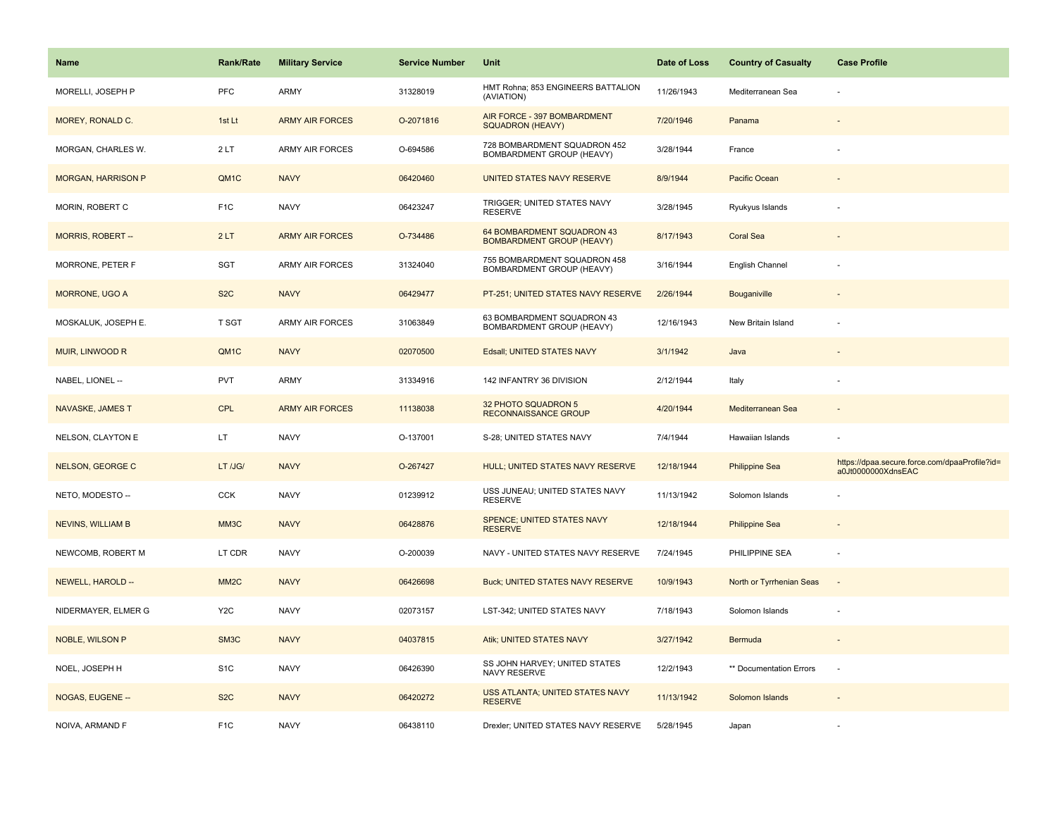| <b>Name</b>               | <b>Rank/Rate</b>  | <b>Military Service</b> | <b>Service Number</b> | Unit                                                           | Date of Loss | <b>Country of Casualty</b> | <b>Case Profile</b>                                                 |
|---------------------------|-------------------|-------------------------|-----------------------|----------------------------------------------------------------|--------------|----------------------------|---------------------------------------------------------------------|
| MORELLI, JOSEPH P         | PFC               | <b>ARMY</b>             | 31328019              | HMT Rohna; 853 ENGINEERS BATTALION<br>(AVIATION)               | 11/26/1943   | Mediterranean Sea          |                                                                     |
| MOREY, RONALD C.          | 1st Lt            | <b>ARMY AIR FORCES</b>  | O-2071816             | AIR FORCE - 397 BOMBARDMENT<br>SQUADRON (HEAVY)                | 7/20/1946    | Panama                     |                                                                     |
| MORGAN, CHARLES W.        | 2LT               | <b>ARMY AIR FORCES</b>  | O-694586              | 728 BOMBARDMENT SQUADRON 452<br>BOMBARDMENT GROUP (HEAVY)      | 3/28/1944    | France                     |                                                                     |
| <b>MORGAN, HARRISON P</b> | QM1C              | <b>NAVY</b>             | 06420460              | UNITED STATES NAVY RESERVE                                     | 8/9/1944     | Pacific Ocean              |                                                                     |
| MORIN, ROBERT C           | F <sub>1</sub> C  | <b>NAVY</b>             | 06423247              | TRIGGER; UNITED STATES NAVY<br><b>RESERVE</b>                  | 3/28/1945    | Ryukyus Islands            |                                                                     |
| MORRIS, ROBERT --         | 2LT               | <b>ARMY AIR FORCES</b>  | O-734486              | 64 BOMBARDMENT SQUADRON 43<br><b>BOMBARDMENT GROUP (HEAVY)</b> | 8/17/1943    | <b>Coral Sea</b>           |                                                                     |
| MORRONE, PETER F          | SGT               | ARMY AIR FORCES         | 31324040              | 755 BOMBARDMENT SQUADRON 458<br>BOMBARDMENT GROUP (HEAVY)      | 3/16/1944    | English Channel            |                                                                     |
| <b>MORRONE, UGO A</b>     | S <sub>2</sub> C  | <b>NAVY</b>             | 06429477              | PT-251; UNITED STATES NAVY RESERVE                             | 2/26/1944    | <b>Bouganiville</b>        |                                                                     |
| MOSKALUK, JOSEPH E.       | <b>T SGT</b>      | <b>ARMY AIR FORCES</b>  | 31063849              | 63 BOMBARDMENT SQUADRON 43<br>BOMBARDMENT GROUP (HEAVY)        | 12/16/1943   | New Britain Island         |                                                                     |
| MUIR, LINWOOD R           | QM1C              | <b>NAVY</b>             | 02070500              | Edsall; UNITED STATES NAVY                                     | 3/1/1942     | Java                       |                                                                     |
| NABEL, LIONEL --          | <b>PVT</b>        | <b>ARMY</b>             | 31334916              | 142 INFANTRY 36 DIVISION                                       | 2/12/1944    | Italy                      |                                                                     |
| NAVASKE, JAMES T          | <b>CPL</b>        | <b>ARMY AIR FORCES</b>  | 11138038              | 32 PHOTO SQUADRON 5<br><b>RECONNAISSANCE GROUP</b>             | 4/20/1944    | Mediterranean Sea          |                                                                     |
| NELSON, CLAYTON E         | LT.               | <b>NAVY</b>             | O-137001              | S-28; UNITED STATES NAVY                                       | 7/4/1944     | Hawaiian Islands           |                                                                     |
| NELSON, GEORGE C          | LT /JG/           | <b>NAVY</b>             | O-267427              | HULL; UNITED STATES NAVY RESERVE                               | 12/18/1944   | <b>Philippine Sea</b>      | https://dpaa.secure.force.com/dpaaProfile?id=<br>a0Jt0000000XdnsEAC |
| NETO, MODESTO --          | CCK               | <b>NAVY</b>             | 01239912              | USS JUNEAU; UNITED STATES NAVY<br><b>RESERVE</b>               | 11/13/1942   | Solomon Islands            |                                                                     |
| <b>NEVINS, WILLIAM B</b>  | MM3C              | <b>NAVY</b>             | 06428876              | SPENCE; UNITED STATES NAVY<br><b>RESERVE</b>                   | 12/18/1944   | <b>Philippine Sea</b>      |                                                                     |
| NEWCOMB, ROBERT M         | LT CDR            | <b>NAVY</b>             | O-200039              | NAVY - UNITED STATES NAVY RESERVE                              | 7/24/1945    | PHILIPPINE SEA             |                                                                     |
| NEWELL, HAROLD --         | MM <sub>2</sub> C | <b>NAVY</b>             | 06426698              | <b>Buck; UNITED STATES NAVY RESERVE</b>                        | 10/9/1943    | North or Tyrrhenian Seas   | $\sim$                                                              |
| NIDERMAYER, ELMER G       | Y <sub>2</sub> C  | <b>NAVY</b>             | 02073157              | LST-342; UNITED STATES NAVY                                    | 7/18/1943    | Solomon Islands            |                                                                     |
| NOBLE, WILSON P           | SM3C              | <b>NAVY</b>             | 04037815              | Atik; UNITED STATES NAVY                                       | 3/27/1942    | Bermuda                    | $\sim$                                                              |
| NOEL, JOSEPH H            | S <sub>1</sub> C  | <b>NAVY</b>             | 06426390              | SS JOHN HARVEY; UNITED STATES<br><b>NAVY RESERVE</b>           | 12/2/1943    | ** Documentation Errors    | ÷,                                                                  |
| NOGAS, EUGENE --          | S <sub>2</sub> C  | <b>NAVY</b>             | 06420272              | USS ATLANTA; UNITED STATES NAVY<br><b>RESERVE</b>              | 11/13/1942   | Solomon Islands            |                                                                     |
| NOIVA, ARMAND F           | F <sub>1</sub> C  | <b>NAVY</b>             | 06438110              | Drexler; UNITED STATES NAVY RESERVE                            | 5/28/1945    | Japan                      |                                                                     |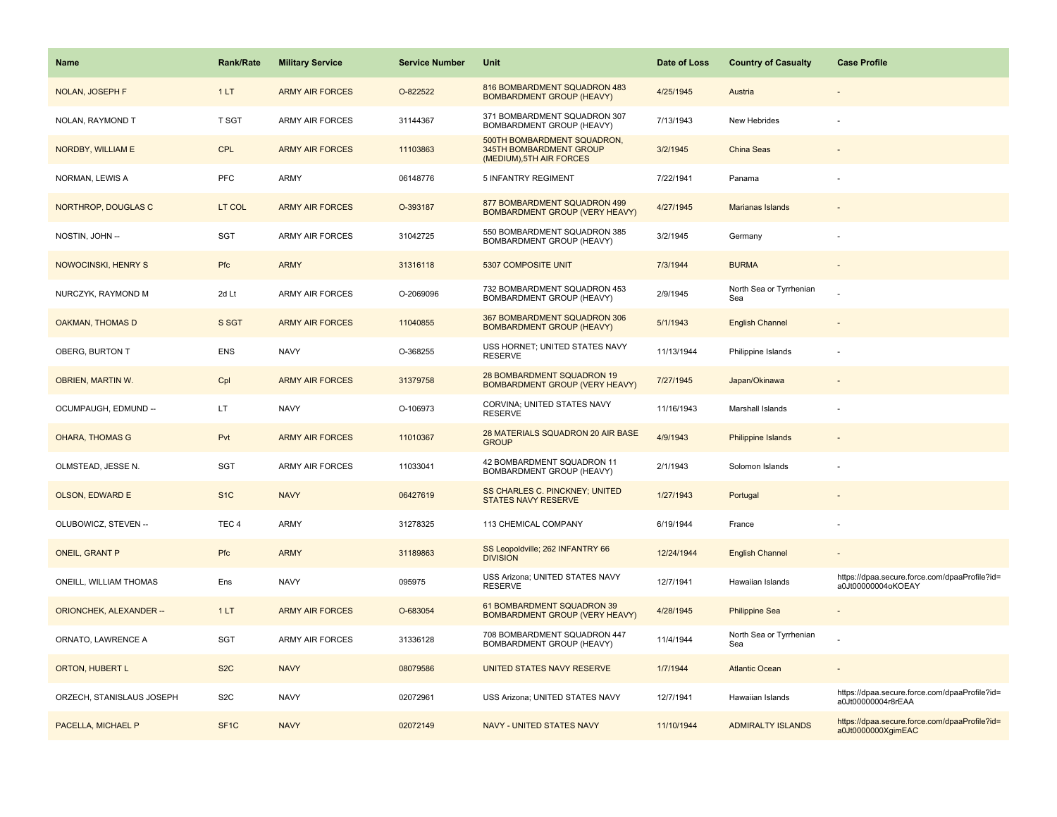| Name                           | <b>Rank/Rate</b>  | <b>Military Service</b> | <b>Service Number</b> | Unit                                                                               | Date of Loss | <b>Country of Casualty</b>     | <b>Case Profile</b>                                                 |
|--------------------------------|-------------------|-------------------------|-----------------------|------------------------------------------------------------------------------------|--------------|--------------------------------|---------------------------------------------------------------------|
| <b>NOLAN, JOSEPH F</b>         | 1LT               | <b>ARMY AIR FORCES</b>  | O-822522              | 816 BOMBARDMENT SQUADRON 483<br><b>BOMBARDMENT GROUP (HEAVY)</b>                   | 4/25/1945    | Austria                        |                                                                     |
| NOLAN, RAYMOND T               | T SGT             | ARMY AIR FORCES         | 31144367              | 371 BOMBARDMENT SQUADRON 307<br>BOMBARDMENT GROUP (HEAVY)                          | 7/13/1943    | New Hebrides                   |                                                                     |
| NORDBY, WILLIAM E              | <b>CPL</b>        | <b>ARMY AIR FORCES</b>  | 11103863              | 500TH BOMBARDMENT SQUADRON,<br>345TH BOMBARDMENT GROUP<br>(MEDIUM), 5TH AIR FORCES | 3/2/1945     | <b>China Seas</b>              |                                                                     |
| NORMAN, LEWIS A                | <b>PFC</b>        | ARMY                    | 06148776              | 5 INFANTRY REGIMENT                                                                | 7/22/1941    | Panama                         |                                                                     |
| NORTHROP, DOUGLAS C            | LT COL            | <b>ARMY AIR FORCES</b>  | O-393187              | 877 BOMBARDMENT SQUADRON 499<br>BOMBARDMENT GROUP (VERY HEAVY)                     | 4/27/1945    | <b>Marianas Islands</b>        |                                                                     |
| NOSTIN, JOHN --                | SGT               | <b>ARMY AIR FORCES</b>  | 31042725              | 550 BOMBARDMENT SQUADRON 385<br>BOMBARDMENT GROUP (HEAVY)                          | 3/2/1945     | Germany                        |                                                                     |
| NOWOCINSKI, HENRY S            | Pfc               | <b>ARMY</b>             | 31316118              | 5307 COMPOSITE UNIT                                                                | 7/3/1944     | <b>BURMA</b>                   | $\overline{\phantom{a}}$                                            |
| NURCZYK, RAYMOND M             | 2d Lt             | <b>ARMY AIR FORCES</b>  | O-2069096             | 732 BOMBARDMENT SQUADRON 453<br>BOMBARDMENT GROUP (HEAVY)                          | 2/9/1945     | North Sea or Tyrrhenian<br>Sea |                                                                     |
| <b>OAKMAN, THOMAS D</b>        | S SGT             | <b>ARMY AIR FORCES</b>  | 11040855              | 367 BOMBARDMENT SQUADRON 306<br><b>BOMBARDMENT GROUP (HEAVY)</b>                   | 5/1/1943     | <b>English Channel</b>         |                                                                     |
| OBERG, BURTON T                | <b>ENS</b>        | <b>NAVY</b>             | O-368255              | USS HORNET; UNITED STATES NAVY<br><b>RESERVE</b>                                   | 11/13/1944   | Philippine Islands             |                                                                     |
| OBRIEN, MARTIN W.              | Cpl               | <b>ARMY AIR FORCES</b>  | 31379758              | 28 BOMBARDMENT SQUADRON 19<br>BOMBARDMENT GROUP (VERY HEAVY)                       | 7/27/1945    | Japan/Okinawa                  |                                                                     |
| OCUMPAUGH, EDMUND --           | LT.               | <b>NAVY</b>             | O-106973              | CORVINA; UNITED STATES NAVY<br><b>RESERVE</b>                                      | 11/16/1943   | Marshall Islands               |                                                                     |
| <b>OHARA, THOMAS G</b>         | Pvt               | <b>ARMY AIR FORCES</b>  | 11010367              | 28 MATERIALS SQUADRON 20 AIR BASE<br><b>GROUP</b>                                  | 4/9/1943     | Philippine Islands             |                                                                     |
| OLMSTEAD, JESSE N.             | <b>SGT</b>        | ARMY AIR FORCES         | 11033041              | 42 BOMBARDMENT SQUADRON 11<br>BOMBARDMENT GROUP (HEAVY)                            | 2/1/1943     | Solomon Islands                |                                                                     |
| <b>OLSON, EDWARD E</b>         | S <sub>1</sub> C  | <b>NAVY</b>             | 06427619              | SS CHARLES C. PINCKNEY; UNITED<br><b>STATES NAVY RESERVE</b>                       | 1/27/1943    | Portugal                       |                                                                     |
| OLUBOWICZ, STEVEN --           | TEC <sub>4</sub>  | <b>ARMY</b>             | 31278325              | 113 CHEMICAL COMPANY                                                               | 6/19/1944    | France                         |                                                                     |
| <b>ONEIL, GRANT P</b>          | Pfc               | <b>ARMY</b>             | 31189863              | SS Leopoldville; 262 INFANTRY 66<br><b>DIVISION</b>                                | 12/24/1944   | <b>English Channel</b>         |                                                                     |
| ONEILL, WILLIAM THOMAS         | Ens               | <b>NAVY</b>             | 095975                | USS Arizona; UNITED STATES NAVY<br><b>RESERVE</b>                                  | 12/7/1941    | Hawaiian Islands               | https://dpaa.secure.force.com/dpaaProfile?id=<br>a0Jt00000004oKOEAY |
| <b>ORIONCHEK, ALEXANDER --</b> | 1LT               | <b>ARMY AIR FORCES</b>  | O-683054              | 61 BOMBARDMENT SQUADRON 39<br>BOMBARDMENT GROUP (VERY HEAVY)                       | 4/28/1945    | <b>Philippine Sea</b>          |                                                                     |
| ORNATO, LAWRENCE A             | SGT               | <b>ARMY AIR FORCES</b>  | 31336128              | 708 BOMBARDMENT SQUADRON 447<br>BOMBARDMENT GROUP (HEAVY)                          | 11/4/1944    | North Sea or Tyrrhenian<br>Sea |                                                                     |
| ORTON, HUBERT L                | S <sub>2</sub> C  | <b>NAVY</b>             | 08079586              | UNITED STATES NAVY RESERVE                                                         | 1/7/1944     | <b>Atlantic Ocean</b>          |                                                                     |
| ORZECH, STANISLAUS JOSEPH      | S <sub>2</sub> C  | <b>NAVY</b>             | 02072961              | USS Arizona; UNITED STATES NAVY                                                    | 12/7/1941    | Hawaiian Islands               | https://dpaa.secure.force.com/dpaaProfile?id=<br>a0Jt00000004r8rEAA |
| PACELLA, MICHAEL P             | SF <sub>1</sub> C | <b>NAVY</b>             | 02072149              | NAVY - UNITED STATES NAVY                                                          | 11/10/1944   | <b>ADMIRALTY ISLANDS</b>       | https://dpaa.secure.force.com/dpaaProfile?id=<br>a0Jt0000000XgimEAC |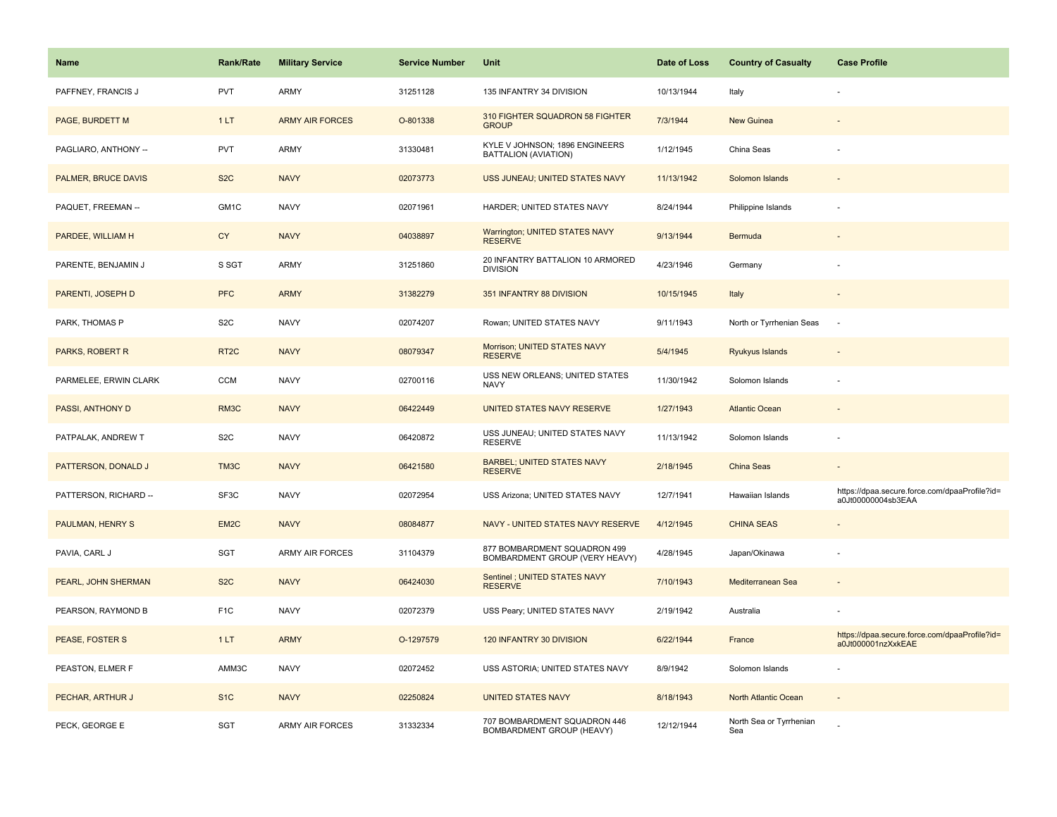| <b>Name</b>           | <b>Rank/Rate</b>  | <b>Military Service</b> | <b>Service Number</b> | <b>Unit</b>                                                    | Date of Loss | <b>Country of Casualty</b>     | <b>Case Profile</b>                                                 |
|-----------------------|-------------------|-------------------------|-----------------------|----------------------------------------------------------------|--------------|--------------------------------|---------------------------------------------------------------------|
| PAFFNEY, FRANCIS J    | <b>PVT</b>        | <b>ARMY</b>             | 31251128              | 135 INFANTRY 34 DIVISION                                       | 10/13/1944   | Italy                          |                                                                     |
| PAGE, BURDETT M       | 1LT               | <b>ARMY AIR FORCES</b>  | O-801338              | 310 FIGHTER SQUADRON 58 FIGHTER<br><b>GROUP</b>                | 7/3/1944     | <b>New Guinea</b>              |                                                                     |
| PAGLIARO, ANTHONY --  | <b>PVT</b>        | <b>ARMY</b>             | 31330481              | KYLE V JOHNSON; 1896 ENGINEERS<br>BATTALION (AVIATION)         | 1/12/1945    | China Seas                     |                                                                     |
| PALMER, BRUCE DAVIS   | S <sub>2</sub> C  | <b>NAVY</b>             | 02073773              | USS JUNEAU; UNITED STATES NAVY                                 | 11/13/1942   | Solomon Islands                |                                                                     |
| PAQUET, FREEMAN --    | GM1C              | <b>NAVY</b>             | 02071961              | HARDER; UNITED STATES NAVY                                     | 8/24/1944    | Philippine Islands             |                                                                     |
| PARDEE, WILLIAM H     | <b>CY</b>         | <b>NAVY</b>             | 04038897              | Warrington; UNITED STATES NAVY<br><b>RESERVE</b>               | 9/13/1944    | Bermuda                        |                                                                     |
| PARENTE, BENJAMIN J   | S SGT             | <b>ARMY</b>             | 31251860              | 20 INFANTRY BATTALION 10 ARMORED<br><b>DIVISION</b>            | 4/23/1946    | Germany                        |                                                                     |
| PARENTI, JOSEPH D     | <b>PFC</b>        | <b>ARMY</b>             | 31382279              | 351 INFANTRY 88 DIVISION                                       | 10/15/1945   | Italy                          |                                                                     |
| PARK, THOMAS P        | S <sub>2</sub> C  | <b>NAVY</b>             | 02074207              | Rowan; UNITED STATES NAVY                                      | 9/11/1943    | North or Tyrrhenian Seas       | ÷.                                                                  |
| PARKS, ROBERT R       | RT <sub>2</sub> C | <b>NAVY</b>             | 08079347              | Morrison; UNITED STATES NAVY<br><b>RESERVE</b>                 | 5/4/1945     | Ryukyus Islands                |                                                                     |
| PARMELEE, ERWIN CLARK | <b>CCM</b>        | <b>NAVY</b>             | 02700116              | USS NEW ORLEANS; UNITED STATES<br><b>NAVY</b>                  | 11/30/1942   | Solomon Islands                |                                                                     |
| PASSI, ANTHONY D      | RM3C              | <b>NAVY</b>             | 06422449              | UNITED STATES NAVY RESERVE                                     | 1/27/1943    | <b>Atlantic Ocean</b>          |                                                                     |
| PATPALAK, ANDREW T    | S <sub>2</sub> C  | <b>NAVY</b>             | 06420872              | USS JUNEAU; UNITED STATES NAVY<br><b>RESERVE</b>               | 11/13/1942   | Solomon Islands                |                                                                     |
| PATTERSON, DONALD J   | TM3C              | <b>NAVY</b>             | 06421580              | <b>BARBEL; UNITED STATES NAVY</b><br><b>RESERVE</b>            | 2/18/1945    | China Seas                     | $\sim$                                                              |
| PATTERSON, RICHARD -- | SF3C              | <b>NAVY</b>             | 02072954              | USS Arizona; UNITED STATES NAVY                                | 12/7/1941    | Hawaiian Islands               | https://dpaa.secure.force.com/dpaaProfile?id=<br>a0Jt00000004sb3EAA |
| PAULMAN, HENRY S      | EM <sub>2C</sub>  | <b>NAVY</b>             | 08084877              | NAVY - UNITED STATES NAVY RESERVE                              | 4/12/1945    | <b>CHINA SEAS</b>              |                                                                     |
| PAVIA, CARL J         | <b>SGT</b>        | <b>ARMY AIR FORCES</b>  | 31104379              | 877 BOMBARDMENT SQUADRON 499<br>BOMBARDMENT GROUP (VERY HEAVY) | 4/28/1945    | Japan/Okinawa                  |                                                                     |
| PEARL, JOHN SHERMAN   | S <sub>2</sub> C  | <b>NAVY</b>             | 06424030              | Sentinel ; UNITED STATES NAVY<br><b>RESERVE</b>                | 7/10/1943    | Mediterranean Sea              |                                                                     |
| PEARSON, RAYMOND B    | F <sub>1</sub> C  | <b>NAVY</b>             | 02072379              | USS Peary; UNITED STATES NAVY                                  | 2/19/1942    | Australia                      |                                                                     |
| PEASE, FOSTER S       | 1LT               | <b>ARMY</b>             | O-1297579             | 120 INFANTRY 30 DIVISION                                       | 6/22/1944    | France                         | https://dpaa.secure.force.com/dpaaProfile?id=<br>a0Jt000001nzXxkEAE |
| PEASTON, ELMER F      | AMM3C             | <b>NAVY</b>             | 02072452              | USS ASTORIA; UNITED STATES NAVY                                | 8/9/1942     | Solomon Islands                |                                                                     |
| PECHAR, ARTHUR J      | S <sub>1C</sub>   | <b>NAVY</b>             | 02250824              | <b>UNITED STATES NAVY</b>                                      | 8/18/1943    | North Atlantic Ocean           | $\sim$                                                              |
| PECK, GEORGE E        | <b>SGT</b>        | <b>ARMY AIR FORCES</b>  | 31332334              | 707 BOMBARDMENT SQUADRON 446<br>BOMBARDMENT GROUP (HEAVY)      | 12/12/1944   | North Sea or Tyrrhenian<br>Sea |                                                                     |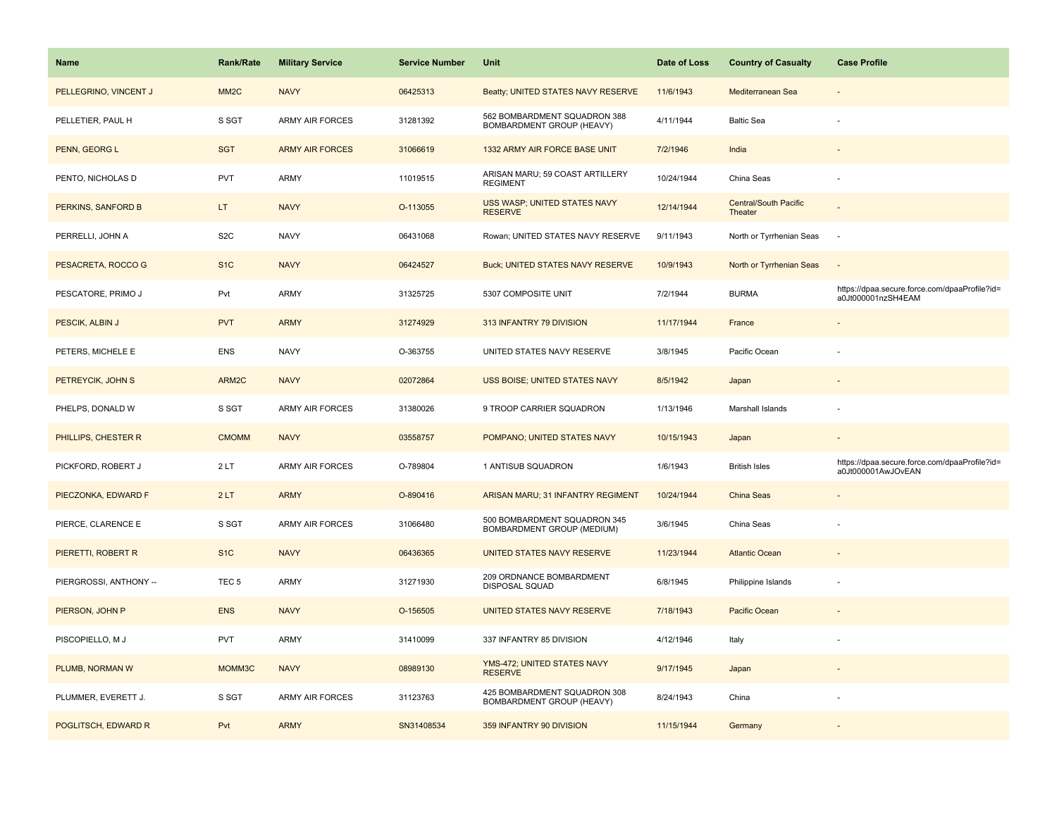| Name                   | <b>Rank/Rate</b>  | <b>Military Service</b> | <b>Service Number</b> | Unit                                                       | Date of Loss | <b>Country of Casualty</b>       | <b>Case Profile</b>                                                 |
|------------------------|-------------------|-------------------------|-----------------------|------------------------------------------------------------|--------------|----------------------------------|---------------------------------------------------------------------|
| PELLEGRINO, VINCENT J  | MM <sub>2</sub> C | <b>NAVY</b>             | 06425313              | Beatty; UNITED STATES NAVY RESERVE                         | 11/6/1943    | Mediterranean Sea                |                                                                     |
| PELLETIER, PAUL H      | S SGT             | <b>ARMY AIR FORCES</b>  | 31281392              | 562 BOMBARDMENT SQUADRON 388<br>BOMBARDMENT GROUP (HEAVY)  | 4/11/1944    | <b>Baltic Sea</b>                |                                                                     |
| PENN, GEORG L          | <b>SGT</b>        | <b>ARMY AIR FORCES</b>  | 31066619              | 1332 ARMY AIR FORCE BASE UNIT                              | 7/2/1946     | India                            |                                                                     |
| PENTO, NICHOLAS D      | PVT               | ARMY                    | 11019515              | ARISAN MARU; 59 COAST ARTILLERY<br><b>REGIMENT</b>         | 10/24/1944   | China Seas                       |                                                                     |
| PERKINS, SANFORD B     | LT.               | <b>NAVY</b>             | O-113055              | USS WASP; UNITED STATES NAVY<br><b>RESERVE</b>             | 12/14/1944   | Central/South Pacific<br>Theater |                                                                     |
| PERRELLI, JOHN A       | S <sub>2</sub> C  | <b>NAVY</b>             | 06431068              | Rowan; UNITED STATES NAVY RESERVE                          | 9/11/1943    | North or Tyrrhenian Seas         | $\sim$                                                              |
| PESACRETA, ROCCO G     | S <sub>1C</sub>   | <b>NAVY</b>             | 06424527              | <b>Buck; UNITED STATES NAVY RESERVE</b>                    | 10/9/1943    | North or Tyrrhenian Seas         | $\sim$                                                              |
| PESCATORE, PRIMO J     | Pvt               | <b>ARMY</b>             | 31325725              | 5307 COMPOSITE UNIT                                        | 7/2/1944     | <b>BURMA</b>                     | https://dpaa.secure.force.com/dpaaProfile?id=<br>a0Jt000001nzSH4EAM |
| PESCIK, ALBIN J        | <b>PVT</b>        | <b>ARMY</b>             | 31274929              | 313 INFANTRY 79 DIVISION                                   | 11/17/1944   | France                           |                                                                     |
| PETERS, MICHELE E      | <b>ENS</b>        | <b>NAVY</b>             | O-363755              | UNITED STATES NAVY RESERVE                                 | 3/8/1945     | Pacific Ocean                    |                                                                     |
| PETREYCIK, JOHN S      | ARM2C             | <b>NAVY</b>             | 02072864              | USS BOISE; UNITED STATES NAVY                              | 8/5/1942     | Japan                            |                                                                     |
| PHELPS, DONALD W       | S SGT             | ARMY AIR FORCES         | 31380026              | 9 TROOP CARRIER SQUADRON                                   | 1/13/1946    | Marshall Islands                 |                                                                     |
| PHILLIPS, CHESTER R    | <b>CMOMM</b>      | <b>NAVY</b>             | 03558757              | POMPANO; UNITED STATES NAVY                                | 10/15/1943   | Japan                            |                                                                     |
| PICKFORD, ROBERT J     | 2LT               | <b>ARMY AIR FORCES</b>  | O-789804              | 1 ANTISUB SQUADRON                                         | 1/6/1943     | <b>British Isles</b>             | https://dpaa.secure.force.com/dpaaProfile?id=<br>a0Jt000001AwJOvEAN |
| PIECZONKA, EDWARD F    | 2LT               | <b>ARMY</b>             | O-890416              | <b>ARISAN MARU; 31 INFANTRY REGIMENT</b>                   | 10/24/1944   | China Seas                       |                                                                     |
| PIERCE, CLARENCE E     | S SGT             | <b>ARMY AIR FORCES</b>  | 31066480              | 500 BOMBARDMENT SQUADRON 345<br>BOMBARDMENT GROUP (MEDIUM) | 3/6/1945     | China Seas                       |                                                                     |
| PIERETTI, ROBERT R     | S <sub>1</sub> C  | <b>NAVY</b>             | 06436365              | <b>UNITED STATES NAVY RESERVE</b>                          | 11/23/1944   | <b>Atlantic Ocean</b>            |                                                                     |
| PIERGROSSI, ANTHONY -- | TEC <sub>5</sub>  | ARMY                    | 31271930              | 209 ORDNANCE BOMBARDMENT<br>DISPOSAL SQUAD                 | 6/8/1945     | Philippine Islands               |                                                                     |
| PIERSON, JOHN P        | <b>ENS</b>        | <b>NAVY</b>             | O-156505              | UNITED STATES NAVY RESERVE                                 | 7/18/1943    | Pacific Ocean                    |                                                                     |
| PISCOPIELLO, M J       | <b>PVT</b>        | ARMY                    | 31410099              | 337 INFANTRY 85 DIVISION                                   | 4/12/1946    | Italy                            |                                                                     |
| PLUMB, NORMAN W        | MOMM3C            | <b>NAVY</b>             | 08989130              | YMS-472: UNITED STATES NAVY<br><b>RESERVE</b>              | 9/17/1945    | Japan                            |                                                                     |
| PLUMMER, EVERETT J.    | S SGT             | <b>ARMY AIR FORCES</b>  | 31123763              | 425 BOMBARDMENT SQUADRON 308<br>BOMBARDMENT GROUP (HEAVY)  | 8/24/1943    | China                            |                                                                     |
| POGLITSCH, EDWARD R    | Pvt               | <b>ARMY</b>             | SN31408534            | 359 INFANTRY 90 DIVISION                                   | 11/15/1944   | Germany                          |                                                                     |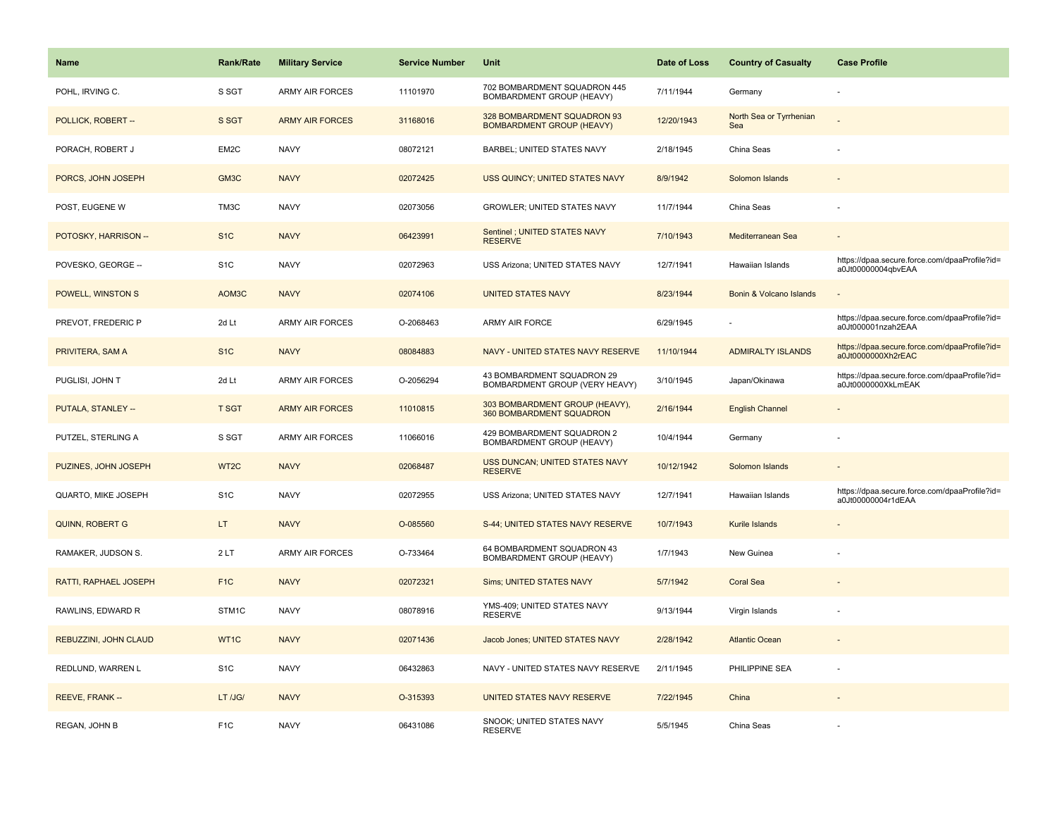| <b>Name</b>           | <b>Rank/Rate</b> | <b>Military Service</b> | <b>Service Number</b> | <b>Unit</b>                                                     | Date of Loss | <b>Country of Casualty</b>     | <b>Case Profile</b>                                                 |
|-----------------------|------------------|-------------------------|-----------------------|-----------------------------------------------------------------|--------------|--------------------------------|---------------------------------------------------------------------|
| POHL, IRVING C.       | S SGT            | ARMY AIR FORCES         | 11101970              | 702 BOMBARDMENT SQUADRON 445<br>BOMBARDMENT GROUP (HEAVY)       | 7/11/1944    | Germany                        |                                                                     |
| POLLICK, ROBERT --    | S SGT            | <b>ARMY AIR FORCES</b>  | 31168016              | 328 BOMBARDMENT SQUADRON 93<br><b>BOMBARDMENT GROUP (HEAVY)</b> | 12/20/1943   | North Sea or Tyrrhenian<br>Sea |                                                                     |
| PORACH, ROBERT J      | EM2C             | <b>NAVY</b>             | 08072121              | BARBEL; UNITED STATES NAVY                                      | 2/18/1945    | China Seas                     |                                                                     |
| PORCS, JOHN JOSEPH    | GM3C             | <b>NAVY</b>             | 02072425              | USS QUINCY; UNITED STATES NAVY                                  | 8/9/1942     | Solomon Islands                |                                                                     |
| POST, EUGENE W        | TM3C             | <b>NAVY</b>             | 02073056              | <b>GROWLER: UNITED STATES NAVY</b>                              | 11/7/1944    | China Seas                     |                                                                     |
| POTOSKY, HARRISON --  | S <sub>1</sub> C | <b>NAVY</b>             | 06423991              | Sentinel ; UNITED STATES NAVY<br><b>RESERVE</b>                 | 7/10/1943    | Mediterranean Sea              |                                                                     |
| POVESKO, GEORGE --    | S <sub>1</sub> C | <b>NAVY</b>             | 02072963              | USS Arizona; UNITED STATES NAVY                                 | 12/7/1941    | Hawaiian Islands               | https://dpaa.secure.force.com/dpaaProfile?id=<br>a0Jt00000004qbvEAA |
| POWELL, WINSTON S     | AOM3C            | <b>NAVY</b>             | 02074106              | <b>UNITED STATES NAVY</b>                                       | 8/23/1944    | Bonin & Volcano Islands        |                                                                     |
| PREVOT, FREDERIC P    | 2d Lt            | <b>ARMY AIR FORCES</b>  | O-2068463             | ARMY AIR FORCE                                                  | 6/29/1945    |                                | https://dpaa.secure.force.com/dpaaProfile?id=<br>a0Jt000001nzah2EAA |
| PRIVITERA, SAM A      | S <sub>1</sub> C | <b>NAVY</b>             | 08084883              | NAVY - UNITED STATES NAVY RESERVE                               | 11/10/1944   | <b>ADMIRALTY ISLANDS</b>       | https://dpaa.secure.force.com/dpaaProfile?id=<br>a0Jt0000000Xh2rEAC |
| PUGLISI, JOHN T       | 2d Lt            | <b>ARMY AIR FORCES</b>  | O-2056294             | 43 BOMBARDMENT SQUADRON 29<br>BOMBARDMENT GROUP (VERY HEAVY)    | 3/10/1945    | Japan/Okinawa                  | https://dpaa.secure.force.com/dpaaProfile?id=<br>a0Jt0000000XkLmEAK |
| PUTALA, STANLEY --    | <b>T SGT</b>     | <b>ARMY AIR FORCES</b>  | 11010815              | 303 BOMBARDMENT GROUP (HEAVY),<br>360 BOMBARDMENT SQUADRON      | 2/16/1944    | <b>English Channel</b>         |                                                                     |
| PUTZEL, STERLING A    | S SGT            | <b>ARMY AIR FORCES</b>  | 11066016              | 429 BOMBARDMENT SQUADRON 2<br>BOMBARDMENT GROUP (HEAVY)         | 10/4/1944    | Germany                        |                                                                     |
| PUZINES, JOHN JOSEPH  | WT2C             | <b>NAVY</b>             | 02068487              | USS DUNCAN; UNITED STATES NAVY<br><b>RESERVE</b>                | 10/12/1942   | Solomon Islands                |                                                                     |
| QUARTO, MIKE JOSEPH   | S <sub>1</sub> C | <b>NAVY</b>             | 02072955              | USS Arizona; UNITED STATES NAVY                                 | 12/7/1941    | Hawaiian Islands               | https://dpaa.secure.force.com/dpaaProfile?id=<br>a0Jt00000004r1dEAA |
| QUINN, ROBERT G       | LT.              | <b>NAVY</b>             | O-085560              | S-44; UNITED STATES NAVY RESERVE                                | 10/7/1943    | Kurile Islands                 |                                                                     |
| RAMAKER, JUDSON S.    | 2LT              | <b>ARMY AIR FORCES</b>  | O-733464              | 64 BOMBARDMENT SQUADRON 43<br>BOMBARDMENT GROUP (HEAVY)         | 1/7/1943     | New Guinea                     |                                                                     |
| RATTI, RAPHAEL JOSEPH | F <sub>1</sub> C | <b>NAVY</b>             | 02072321              | Sims; UNITED STATES NAVY                                        | 5/7/1942     | <b>Coral Sea</b>               |                                                                     |
| RAWLINS, EDWARD R     | STM1C            | <b>NAVY</b>             | 08078916              | YMS-409; UNITED STATES NAVY<br><b>RESERVE</b>                   | 9/13/1944    | Virgin Islands                 |                                                                     |
| REBUZZINI, JOHN CLAUD | WT1C             | <b>NAVY</b>             | 02071436              | Jacob Jones; UNITED STATES NAVY                                 | 2/28/1942    | <b>Atlantic Ocean</b>          |                                                                     |
| REDLUND, WARREN L     | S <sub>1</sub> C | <b>NAVY</b>             | 06432863              | NAVY - UNITED STATES NAVY RESERVE                               | 2/11/1945    | PHILIPPINE SEA                 |                                                                     |
| REEVE, FRANK --       | LT /JG/          | <b>NAVY</b>             | O-315393              | UNITED STATES NAVY RESERVE                                      | 7/22/1945    | China                          |                                                                     |
| REGAN, JOHN B         | F <sub>1</sub> C | <b>NAVY</b>             | 06431086              | SNOOK; UNITED STATES NAVY<br><b>RESERVE</b>                     | 5/5/1945     | China Seas                     |                                                                     |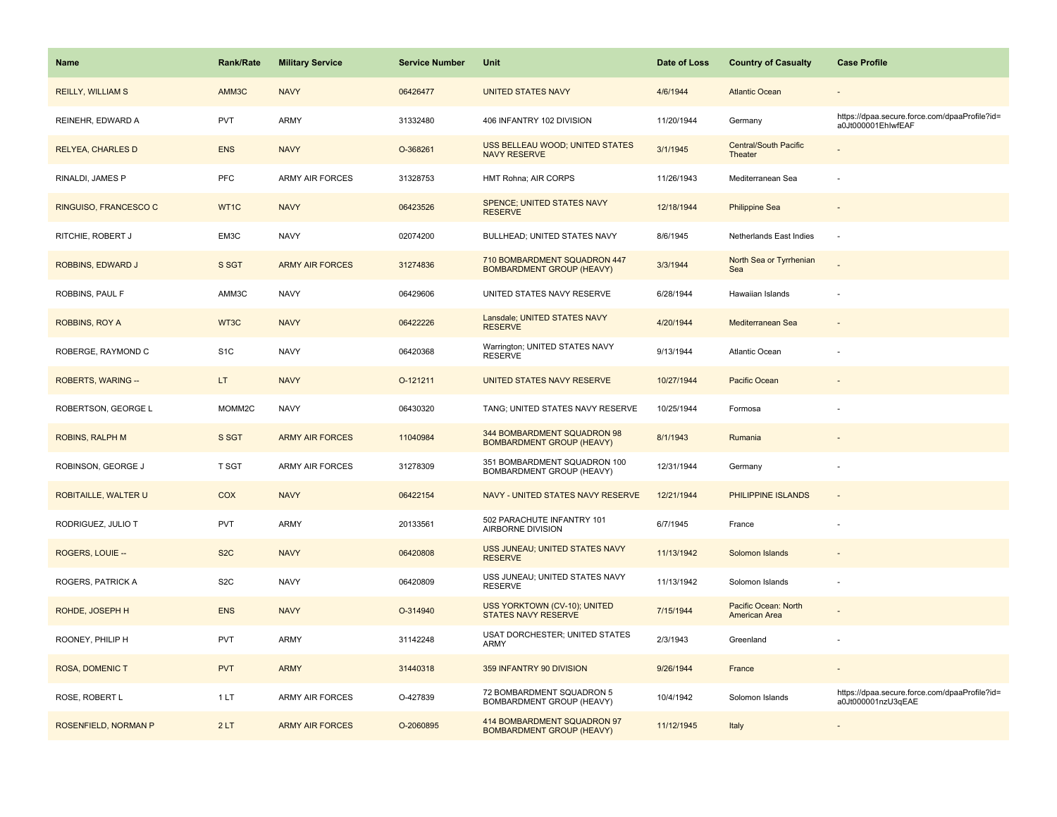| <b>Name</b>              | <b>Rank/Rate</b>   | <b>Military Service</b> | <b>Service Number</b> | Unit                                                             | Date of Loss | <b>Country of Casualty</b>              | <b>Case Profile</b>                                                 |
|--------------------------|--------------------|-------------------------|-----------------------|------------------------------------------------------------------|--------------|-----------------------------------------|---------------------------------------------------------------------|
| <b>REILLY, WILLIAM S</b> | AMM3C              | <b>NAVY</b>             | 06426477              | <b>UNITED STATES NAVY</b>                                        | 4/6/1944     | <b>Atlantic Ocean</b>                   |                                                                     |
| REINEHR, EDWARD A        | PVT                | <b>ARMY</b>             | 31332480              | 406 INFANTRY 102 DIVISION                                        | 11/20/1944   | Germany                                 | https://dpaa.secure.force.com/dpaaProfile?id=<br>a0Jt000001EhlwfEAF |
| <b>RELYEA, CHARLES D</b> | <b>ENS</b>         | <b>NAVY</b>             | O-368261              | USS BELLEAU WOOD; UNITED STATES<br><b>NAVY RESERVE</b>           | 3/1/1945     | <b>Central/South Pacific</b><br>Theater |                                                                     |
| RINALDI, JAMES P         | PFC                | <b>ARMY AIR FORCES</b>  | 31328753              | HMT Rohna; AIR CORPS                                             | 11/26/1943   | Mediterranean Sea                       |                                                                     |
| RINGUISO, FRANCESCO C    | WT1C               | <b>NAVY</b>             | 06423526              | <b>SPENCE: UNITED STATES NAVY</b><br><b>RESERVE</b>              | 12/18/1944   | <b>Philippine Sea</b>                   |                                                                     |
| RITCHIE, ROBERT J        | EM3C               | <b>NAVY</b>             | 02074200              | BULLHEAD; UNITED STATES NAVY                                     | 8/6/1945     | Netherlands East Indies                 | ÷.                                                                  |
| <b>ROBBINS, EDWARD J</b> | S SGT              | <b>ARMY AIR FORCES</b>  | 31274836              | 710 BOMBARDMENT SQUADRON 447<br><b>BOMBARDMENT GROUP (HEAVY)</b> | 3/3/1944     | North Sea or Tyrrhenian<br>Sea          |                                                                     |
| ROBBINS, PAUL F          | AMM3C              | <b>NAVY</b>             | 06429606              | UNITED STATES NAVY RESERVE                                       | 6/28/1944    | Hawaiian Islands                        |                                                                     |
| <b>ROBBINS, ROY A</b>    | WT3C               | <b>NAVY</b>             | 06422226              | Lansdale; UNITED STATES NAVY<br><b>RESERVE</b>                   | 4/20/1944    | Mediterranean Sea                       |                                                                     |
| ROBERGE, RAYMOND C       | S <sub>1</sub> C   | <b>NAVY</b>             | 06420368              | Warrington; UNITED STATES NAVY<br><b>RESERVE</b>                 | 9/13/1944    | Atlantic Ocean                          |                                                                     |
| ROBERTS, WARING --       | LT.                | <b>NAVY</b>             | O-121211              | UNITED STATES NAVY RESERVE                                       | 10/27/1944   | Pacific Ocean                           |                                                                     |
| ROBERTSON, GEORGE L      | MOMM <sub>2C</sub> | <b>NAVY</b>             | 06430320              | TANG; UNITED STATES NAVY RESERVE                                 | 10/25/1944   | Formosa                                 |                                                                     |
| <b>ROBINS, RALPH M</b>   | S SGT              | <b>ARMY AIR FORCES</b>  | 11040984              | 344 BOMBARDMENT SQUADRON 98<br><b>BOMBARDMENT GROUP (HEAVY)</b>  | 8/1/1943     | Rumania                                 |                                                                     |
| ROBINSON, GEORGE J       | <b>T SGT</b>       | <b>ARMY AIR FORCES</b>  | 31278309              | 351 BOMBARDMENT SQUADRON 100<br>BOMBARDMENT GROUP (HEAVY)        | 12/31/1944   | Germany                                 |                                                                     |
| ROBITAILLE, WALTER U     | <b>COX</b>         | <b>NAVY</b>             | 06422154              | NAVY - UNITED STATES NAVY RESERVE                                | 12/21/1944   | <b>PHILIPPINE ISLANDS</b>               | $\sim$                                                              |
| RODRIGUEZ, JULIO T       | PVT                | <b>ARMY</b>             | 20133561              | 502 PARACHUTE INFANTRY 101<br>AIRBORNE DIVISION                  | 6/7/1945     | France                                  |                                                                     |
| ROGERS, LOUIE --         | S <sub>2</sub> C   | <b>NAVY</b>             | 06420808              | USS JUNEAU; UNITED STATES NAVY<br><b>RESERVE</b>                 | 11/13/1942   | Solomon Islands                         |                                                                     |
| <b>ROGERS, PATRICK A</b> | S <sub>2</sub> C   | <b>NAVY</b>             | 06420809              | USS JUNEAU; UNITED STATES NAVY<br><b>RESERVE</b>                 | 11/13/1942   | Solomon Islands                         |                                                                     |
| ROHDE, JOSEPH H          | <b>ENS</b>         | <b>NAVY</b>             | O-314940              | USS YORKTOWN (CV-10); UNITED<br><b>STATES NAVY RESERVE</b>       | 7/15/1944    | Pacific Ocean: North<br>American Area   |                                                                     |
| ROONEY, PHILIP H         | <b>PVT</b>         | <b>ARMY</b>             | 31142248              | USAT DORCHESTER; UNITED STATES<br>ARMY                           | 2/3/1943     | Greenland                               |                                                                     |
| <b>ROSA, DOMENIC T</b>   | <b>PVT</b>         | <b>ARMY</b>             | 31440318              | 359 INFANTRY 90 DIVISION                                         | 9/26/1944    | France                                  |                                                                     |
| ROSE, ROBERT L           | 1 LT               | ARMY AIR FORCES         | O-427839              | 72 BOMBARDMENT SQUADRON 5<br>BOMBARDMENT GROUP (HEAVY)           | 10/4/1942    | Solomon Islands                         | https://dpaa.secure.force.com/dpaaProfile?id=<br>a0Jt000001nzU3qEAE |
| ROSENFIELD, NORMAN P     | 2LT                | <b>ARMY AIR FORCES</b>  | O-2060895             | 414 BOMBARDMENT SQUADRON 97<br><b>BOMBARDMENT GROUP (HEAVY)</b>  | 11/12/1945   | Italy                                   |                                                                     |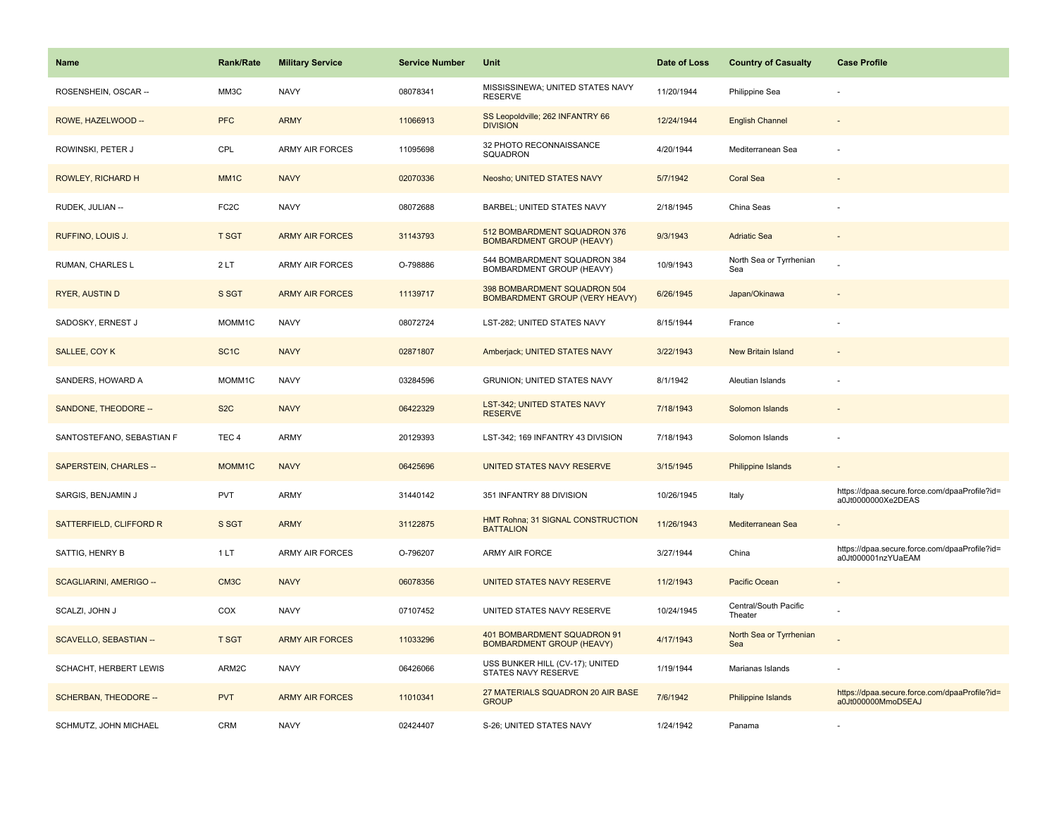| Name                      | <b>Rank/Rate</b>   | <b>Military Service</b> | <b>Service Number</b> | Unit                                                             | Date of Loss | <b>Country of Casualty</b>       | <b>Case Profile</b>                                                 |
|---------------------------|--------------------|-------------------------|-----------------------|------------------------------------------------------------------|--------------|----------------------------------|---------------------------------------------------------------------|
| ROSENSHEIN, OSCAR --      | MM3C               | <b>NAVY</b>             | 08078341              | MISSISSINEWA; UNITED STATES NAVY<br><b>RESERVE</b>               | 11/20/1944   | Philippine Sea                   |                                                                     |
| ROWE, HAZELWOOD --        | <b>PFC</b>         | <b>ARMY</b>             | 11066913              | SS Leopoldville; 262 INFANTRY 66<br><b>DIVISION</b>              | 12/24/1944   | <b>English Channel</b>           |                                                                     |
| ROWINSKI, PETER J         | CPL                | <b>ARMY AIR FORCES</b>  | 11095698              | 32 PHOTO RECONNAISSANCE<br>SQUADRON                              | 4/20/1944    | Mediterranean Sea                |                                                                     |
| ROWLEY, RICHARD H         | MM <sub>1</sub> C  | <b>NAVY</b>             | 02070336              | Neosho; UNITED STATES NAVY                                       | 5/7/1942     | <b>Coral Sea</b>                 |                                                                     |
| RUDEK, JULIAN --          | FC <sub>2</sub> C  | <b>NAVY</b>             | 08072688              | BARBEL; UNITED STATES NAVY                                       | 2/18/1945    | China Seas                       |                                                                     |
| RUFFINO, LOUIS J.         | <b>T SGT</b>       | <b>ARMY AIR FORCES</b>  | 31143793              | 512 BOMBARDMENT SQUADRON 376<br><b>BOMBARDMENT GROUP (HEAVY)</b> | 9/3/1943     | <b>Adriatic Sea</b>              |                                                                     |
| RUMAN, CHARLES L          | 2LT                | ARMY AIR FORCES         | O-798886              | 544 BOMBARDMENT SQUADRON 384<br><b>BOMBARDMENT GROUP (HEAVY)</b> | 10/9/1943    | North Sea or Tyrrhenian<br>Sea   |                                                                     |
| <b>RYER, AUSTIN D</b>     | S SGT              | <b>ARMY AIR FORCES</b>  | 11139717              | 398 BOMBARDMENT SQUADRON 504<br>BOMBARDMENT GROUP (VERY HEAVY)   | 6/26/1945    | Japan/Okinawa                    |                                                                     |
| SADOSKY, ERNEST J         | MOMM <sub>1C</sub> | <b>NAVY</b>             | 08072724              | LST-282; UNITED STATES NAVY                                      | 8/15/1944    | France                           |                                                                     |
| SALLEE, COY K             | SC <sub>1</sub> C  | <b>NAVY</b>             | 02871807              | Amberjack; UNITED STATES NAVY                                    | 3/22/1943    | <b>New Britain Island</b>        |                                                                     |
| SANDERS, HOWARD A         | MOMM1C             | <b>NAVY</b>             | 03284596              | <b>GRUNION: UNITED STATES NAVY</b>                               | 8/1/1942     | Aleutian Islands                 |                                                                     |
| SANDONE, THEODORE --      | S <sub>2</sub> C   | <b>NAVY</b>             | 06422329              | LST-342; UNITED STATES NAVY<br><b>RESERVE</b>                    | 7/18/1943    | Solomon Islands                  |                                                                     |
| SANTOSTEFANO, SEBASTIAN F | TEC <sub>4</sub>   | ARMY                    | 20129393              | LST-342; 169 INFANTRY 43 DIVISION                                | 7/18/1943    | Solomon Islands                  |                                                                     |
| SAPERSTEIN, CHARLES --    | MOMM1C             | <b>NAVY</b>             | 06425696              | UNITED STATES NAVY RESERVE                                       | 3/15/1945    | Philippine Islands               |                                                                     |
| SARGIS, BENJAMIN J        | <b>PVT</b>         | ARMY                    | 31440142              | 351 INFANTRY 88 DIVISION                                         | 10/26/1945   | Italy                            | https://dpaa.secure.force.com/dpaaProfile?id=<br>a0Jt0000000Xe2DEAS |
| SATTERFIELD, CLIFFORD R   | S SGT              | <b>ARMY</b>             | 31122875              | HMT Rohna; 31 SIGNAL CONSTRUCTION<br><b>BATTALION</b>            | 11/26/1943   | Mediterranean Sea                |                                                                     |
| SATTIG, HENRY B           | 1 LT               | <b>ARMY AIR FORCES</b>  | O-796207              | ARMY AIR FORCE                                                   | 3/27/1944    | China                            | https://dpaa.secure.force.com/dpaaProfile?id=<br>a0Jt000001nzYUaEAM |
| SCAGLIARINI, AMERIGO --   | CM <sub>3</sub> C  | <b>NAVY</b>             | 06078356              | UNITED STATES NAVY RESERVE                                       | 11/2/1943    | <b>Pacific Ocean</b>             |                                                                     |
| SCALZI, JOHN J            | COX                | <b>NAVY</b>             | 07107452              | UNITED STATES NAVY RESERVE                                       | 10/24/1945   | Central/South Pacific<br>Theater |                                                                     |
| SCAVELLO, SEBASTIAN --    | <b>T SGT</b>       | <b>ARMY AIR FORCES</b>  | 11033296              | 401 BOMBARDMENT SQUADRON 91<br><b>BOMBARDMENT GROUP (HEAVY)</b>  | 4/17/1943    | North Sea or Tyrrhenian<br>Sea   |                                                                     |
| SCHACHT, HERBERT LEWIS    | ARM2C              | <b>NAVY</b>             | 06426066              | USS BUNKER HILL (CV-17); UNITED<br>STATES NAVY RESERVE           | 1/19/1944    | Marianas Islands                 |                                                                     |
| SCHERBAN, THEODORE --     | <b>PVT</b>         | <b>ARMY AIR FORCES</b>  | 11010341              | 27 MATERIALS SQUADRON 20 AIR BASE<br><b>GROUP</b>                | 7/6/1942     | Philippine Islands               | https://dpaa.secure.force.com/dpaaProfile?id=<br>a0Jt000000MmoD5EAJ |
| SCHMUTZ, JOHN MICHAEL     | CRM                | <b>NAVY</b>             | 02424407              | S-26: UNITED STATES NAVY                                         | 1/24/1942    | Panama                           |                                                                     |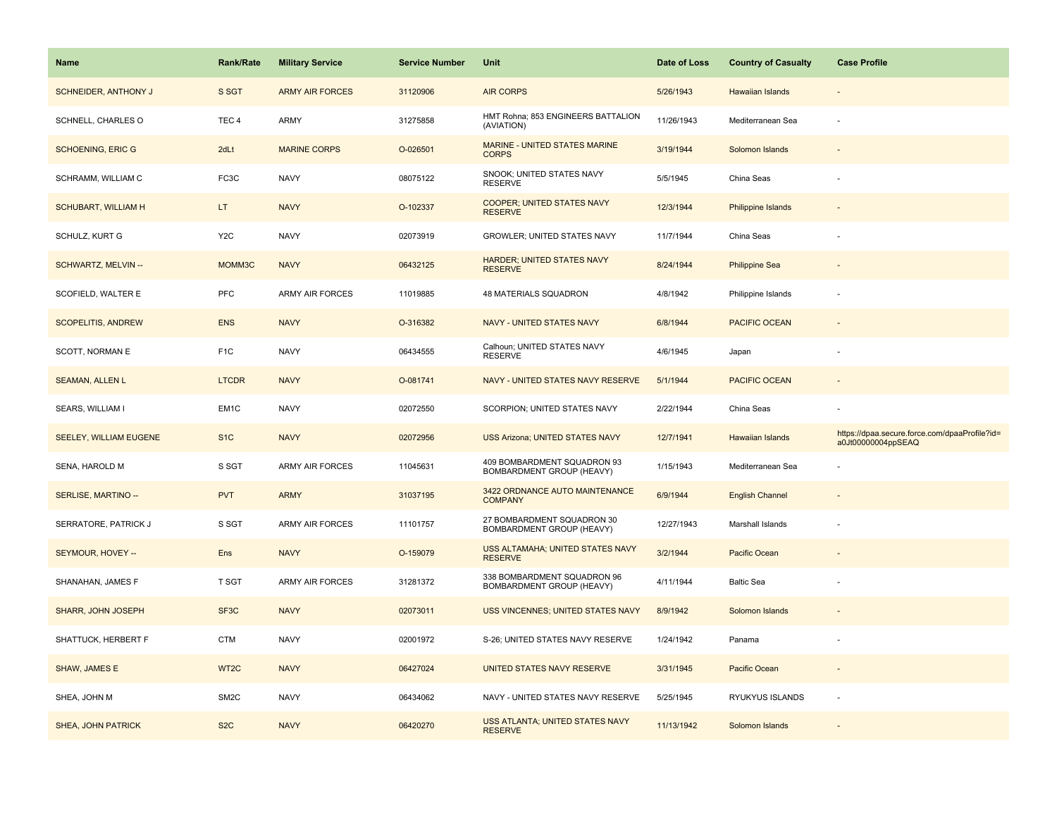| Name                        | <b>Rank/Rate</b>  | <b>Military Service</b> | <b>Service Number</b> | Unit                                                     | Date of Loss | <b>Country of Casualty</b> | <b>Case Profile</b>                                                 |
|-----------------------------|-------------------|-------------------------|-----------------------|----------------------------------------------------------|--------------|----------------------------|---------------------------------------------------------------------|
| <b>SCHNEIDER, ANTHONY J</b> | S SGT             | <b>ARMY AIR FORCES</b>  | 31120906              | <b>AIR CORPS</b>                                         | 5/26/1943    | Hawaiian Islands           |                                                                     |
| SCHNELL, CHARLES O          | TEC <sub>4</sub>  | ARMY                    | 31275858              | HMT Rohna; 853 ENGINEERS BATTALION<br>(AVIATION)         | 11/26/1943   | Mediterranean Sea          |                                                                     |
| <b>SCHOENING, ERIC G</b>    | 2dLt              | <b>MARINE CORPS</b>     | O-026501              | MARINE - UNITED STATES MARINE<br><b>CORPS</b>            | 3/19/1944    | Solomon Islands            |                                                                     |
| SCHRAMM, WILLIAM C          | FC3C              | <b>NAVY</b>             | 08075122              | SNOOK; UNITED STATES NAVY<br><b>RESERVE</b>              | 5/5/1945     | China Seas                 |                                                                     |
| <b>SCHUBART, WILLIAM H</b>  | LT.               | <b>NAVY</b>             | O-102337              | <b>COOPER; UNITED STATES NAVY</b><br><b>RESERVE</b>      | 12/3/1944    | <b>Philippine Islands</b>  |                                                                     |
| SCHULZ, KURT G              | Y <sub>2</sub> C  | <b>NAVY</b>             | 02073919              | GROWLER; UNITED STATES NAVY                              | 11/7/1944    | China Seas                 |                                                                     |
| SCHWARTZ, MELVIN --         | MOMM3C            | <b>NAVY</b>             | 06432125              | <b>HARDER; UNITED STATES NAVY</b><br><b>RESERVE</b>      | 8/24/1944    | <b>Philippine Sea</b>      |                                                                     |
| SCOFIELD, WALTER E          | <b>PFC</b>        | <b>ARMY AIR FORCES</b>  | 11019885              | 48 MATERIALS SQUADRON                                    | 4/8/1942     | Philippine Islands         |                                                                     |
| <b>SCOPELITIS, ANDREW</b>   | <b>ENS</b>        | <b>NAVY</b>             | O-316382              | NAVY - UNITED STATES NAVY                                | 6/8/1944     | <b>PACIFIC OCEAN</b>       |                                                                     |
| SCOTT, NORMAN E             | F <sub>1</sub> C  | <b>NAVY</b>             | 06434555              | Calhoun; UNITED STATES NAVY<br><b>RESERVE</b>            | 4/6/1945     | Japan                      |                                                                     |
| <b>SEAMAN, ALLEN L</b>      | <b>LTCDR</b>      | <b>NAVY</b>             | O-081741              | NAVY - UNITED STATES NAVY RESERVE                        | 5/1/1944     | <b>PACIFIC OCEAN</b>       |                                                                     |
| SEARS, WILLIAM I            | EM <sub>1</sub> C | <b>NAVY</b>             | 02072550              | SCORPION; UNITED STATES NAVY                             | 2/22/1944    | China Seas                 |                                                                     |
| SEELEY, WILLIAM EUGENE      | S <sub>1</sub> C  | <b>NAVY</b>             | 02072956              | <b>USS Arizona; UNITED STATES NAVY</b>                   | 12/7/1941    | <b>Hawaiian Islands</b>    | https://dpaa.secure.force.com/dpaaProfile?id=<br>a0Jt00000004ppSEAQ |
| SENA, HAROLD M              | S SGT             | <b>ARMY AIR FORCES</b>  | 11045631              | 409 BOMBARDMENT SQUADRON 93<br>BOMBARDMENT GROUP (HEAVY) | 1/15/1943    | Mediterranean Sea          |                                                                     |
| SERLISE, MARTINO --         | <b>PVT</b>        | <b>ARMY</b>             | 31037195              | 3422 ORDNANCE AUTO MAINTENANCE<br><b>COMPANY</b>         | 6/9/1944     | <b>English Channel</b>     |                                                                     |
| SERRATORE, PATRICK J        | S SGT             | <b>ARMY AIR FORCES</b>  | 11101757              | 27 BOMBARDMENT SQUADRON 30<br>BOMBARDMENT GROUP (HEAVY)  | 12/27/1943   | Marshall Islands           |                                                                     |
| SEYMOUR, HOVEY --           | Ens               | <b>NAVY</b>             | O-159079              | USS ALTAMAHA; UNITED STATES NAVY<br><b>RESERVE</b>       | 3/2/1944     | Pacific Ocean              |                                                                     |
| SHANAHAN, JAMES F           | T SGT             | <b>ARMY AIR FORCES</b>  | 31281372              | 338 BOMBARDMENT SQUADRON 96<br>BOMBARDMENT GROUP (HEAVY) | 4/11/1944    | <b>Baltic Sea</b>          |                                                                     |
| SHARR, JOHN JOSEPH          | SF3C              | <b>NAVY</b>             | 02073011              | <b>USS VINCENNES; UNITED STATES NAVY</b>                 | 8/9/1942     | Solomon Islands            |                                                                     |
| SHATTUCK, HERBERT F         | <b>CTM</b>        | <b>NAVY</b>             | 02001972              | S-26; UNITED STATES NAVY RESERVE                         | 1/24/1942    | Panama                     |                                                                     |
| SHAW, JAMES E               | WT <sub>2C</sub>  | <b>NAVY</b>             | 06427024              | UNITED STATES NAVY RESERVE                               | 3/31/1945    | <b>Pacific Ocean</b>       |                                                                     |
| SHEA, JOHN M                | SM <sub>2</sub> C | <b>NAVY</b>             | 06434062              | NAVY - UNITED STATES NAVY RESERVE                        | 5/25/1945    | RYUKYUS ISLANDS            |                                                                     |
| <b>SHEA, JOHN PATRICK</b>   | S <sub>2</sub> C  | <b>NAVY</b>             | 06420270              | USS ATLANTA; UNITED STATES NAVY<br><b>RESERVE</b>        | 11/13/1942   | Solomon Islands            |                                                                     |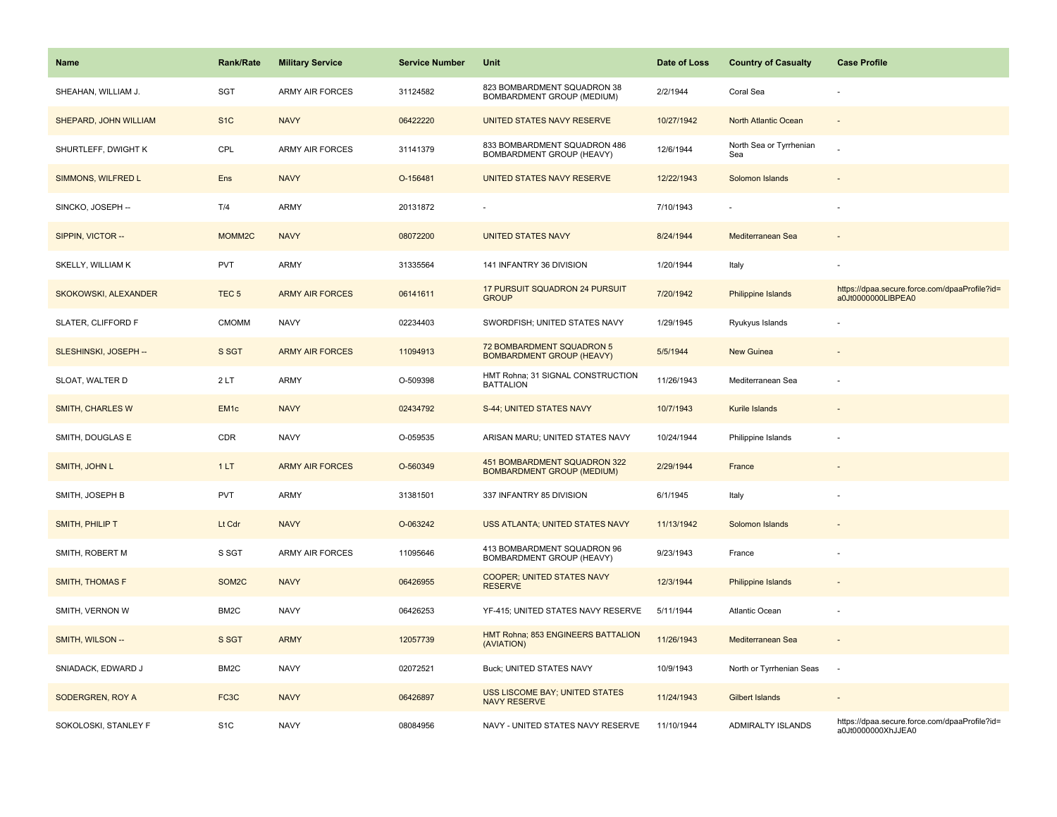| Name                    | <b>Rank/Rate</b>  | <b>Military Service</b> | <b>Service Number</b> | Unit                                                              | Date of Loss | <b>Country of Casualty</b>     | <b>Case Profile</b>                                                 |
|-------------------------|-------------------|-------------------------|-----------------------|-------------------------------------------------------------------|--------------|--------------------------------|---------------------------------------------------------------------|
| SHEAHAN, WILLIAM J.     | SGT               | <b>ARMY AIR FORCES</b>  | 31124582              | 823 BOMBARDMENT SQUADRON 38<br>BOMBARDMENT GROUP (MEDIUM)         | 2/2/1944     | Coral Sea                      |                                                                     |
| SHEPARD, JOHN WILLIAM   | S <sub>1</sub> C  | <b>NAVY</b>             | 06422220              | UNITED STATES NAVY RESERVE                                        | 10/27/1942   | North Atlantic Ocean           | $\sim$                                                              |
| SHURTLEFF, DWIGHT K     | CPL               | <b>ARMY AIR FORCES</b>  | 31141379              | 833 BOMBARDMENT SQUADRON 486<br>BOMBARDMENT GROUP (HEAVY)         | 12/6/1944    | North Sea or Tyrrhenian<br>Sea |                                                                     |
| SIMMONS, WILFRED L      | Ens               | <b>NAVY</b>             | O-156481              | UNITED STATES NAVY RESERVE                                        | 12/22/1943   | Solomon Islands                |                                                                     |
| SINCKO, JOSEPH --       | T/4               | ARMY                    | 20131872              |                                                                   | 7/10/1943    |                                |                                                                     |
| SIPPIN, VICTOR --       | MOMM2C            | <b>NAVY</b>             | 08072200              | <b>UNITED STATES NAVY</b>                                         | 8/24/1944    | Mediterranean Sea              | $\sim$                                                              |
| SKELLY, WILLIAM K       | <b>PVT</b>        | <b>ARMY</b>             | 31335564              | 141 INFANTRY 36 DIVISION                                          | 1/20/1944    | Italy                          |                                                                     |
| SKOKOWSKI, ALEXANDER    | TEC <sub>5</sub>  | <b>ARMY AIR FORCES</b>  | 06141611              | 17 PURSUIT SQUADRON 24 PURSUIT<br><b>GROUP</b>                    | 7/20/1942    | Philippine Islands             | https://dpaa.secure.force.com/dpaaProfile?id=<br>a0Jt0000000LIBPEA0 |
| SLATER, CLIFFORD F      | <b>CMOMM</b>      | <b>NAVY</b>             | 02234403              | SWORDFISH; UNITED STATES NAVY                                     | 1/29/1945    | Ryukyus Islands                |                                                                     |
| SLESHINSKI, JOSEPH --   | S SGT             | <b>ARMY AIR FORCES</b>  | 11094913              | 72 BOMBARDMENT SQUADRON 5<br><b>BOMBARDMENT GROUP (HEAVY)</b>     | 5/5/1944     | <b>New Guinea</b>              |                                                                     |
| SLOAT, WALTER D         | 2LT               | <b>ARMY</b>             | O-509398              | HMT Rohna; 31 SIGNAL CONSTRUCTION<br><b>BATTALION</b>             | 11/26/1943   | Mediterranean Sea              |                                                                     |
| <b>SMITH, CHARLES W</b> | EM <sub>1c</sub>  | <b>NAVY</b>             | 02434792              | S-44; UNITED STATES NAVY                                          | 10/7/1943    | Kurile Islands                 |                                                                     |
| SMITH, DOUGLAS E        | CDR               | <b>NAVY</b>             | O-059535              | ARISAN MARU; UNITED STATES NAVY                                   | 10/24/1944   | Philippine Islands             |                                                                     |
| SMITH, JOHN L           | 1LT               | <b>ARMY AIR FORCES</b>  | O-560349              | 451 BOMBARDMENT SQUADRON 322<br><b>BOMBARDMENT GROUP (MEDIUM)</b> | 2/29/1944    | France                         |                                                                     |
| SMITH, JOSEPH B         | PVT               | <b>ARMY</b>             | 31381501              | 337 INFANTRY 85 DIVISION                                          | 6/1/1945     | Italy                          |                                                                     |
| SMITH, PHILIP T         | Lt Cdr            | <b>NAVY</b>             | O-063242              | USS ATLANTA; UNITED STATES NAVY                                   | 11/13/1942   | Solomon Islands                |                                                                     |
| SMITH, ROBERT M         | S SGT             | <b>ARMY AIR FORCES</b>  | 11095646              | 413 BOMBARDMENT SQUADRON 96<br>BOMBARDMENT GROUP (HEAVY)          | 9/23/1943    | France                         |                                                                     |
| <b>SMITH, THOMAS F</b>  | SOM2C             | <b>NAVY</b>             | 06426955              | <b>COOPER; UNITED STATES NAVY</b><br><b>RESERVE</b>               | 12/3/1944    | <b>Philippine Islands</b>      |                                                                     |
| SMITH, VERNON W         | BM <sub>2</sub> C | <b>NAVY</b>             | 06426253              | YF-415; UNITED STATES NAVY RESERVE                                | 5/11/1944    | Atlantic Ocean                 |                                                                     |
| SMITH, WILSON --        | S SGT             | <b>ARMY</b>             | 12057739              | HMT Rohna; 853 ENGINEERS BATTALION<br>(AVIATION)                  | 11/26/1943   | Mediterranean Sea              | $\sim$                                                              |
| SNIADACK, EDWARD J      | BM <sub>2</sub> C | <b>NAVY</b>             | 02072521              | Buck; UNITED STATES NAVY                                          | 10/9/1943    | North or Tyrrhenian Seas       | $\overline{\phantom{a}}$                                            |
| SODERGREN, ROY A        | FC <sub>3</sub> C | <b>NAVY</b>             | 06426897              | USS LISCOME BAY; UNITED STATES<br><b>NAVY RESERVE</b>             | 11/24/1943   | Gilbert Islands                |                                                                     |
| SOKOLOSKI, STANLEY F    | S <sub>1</sub> C  | <b>NAVY</b>             | 08084956              | NAVY - UNITED STATES NAVY RESERVE                                 | 11/10/1944   | <b>ADMIRALTY ISLANDS</b>       | https://dpaa.secure.force.com/dpaaProfile?id=<br>a0Jt0000000XhJJEA0 |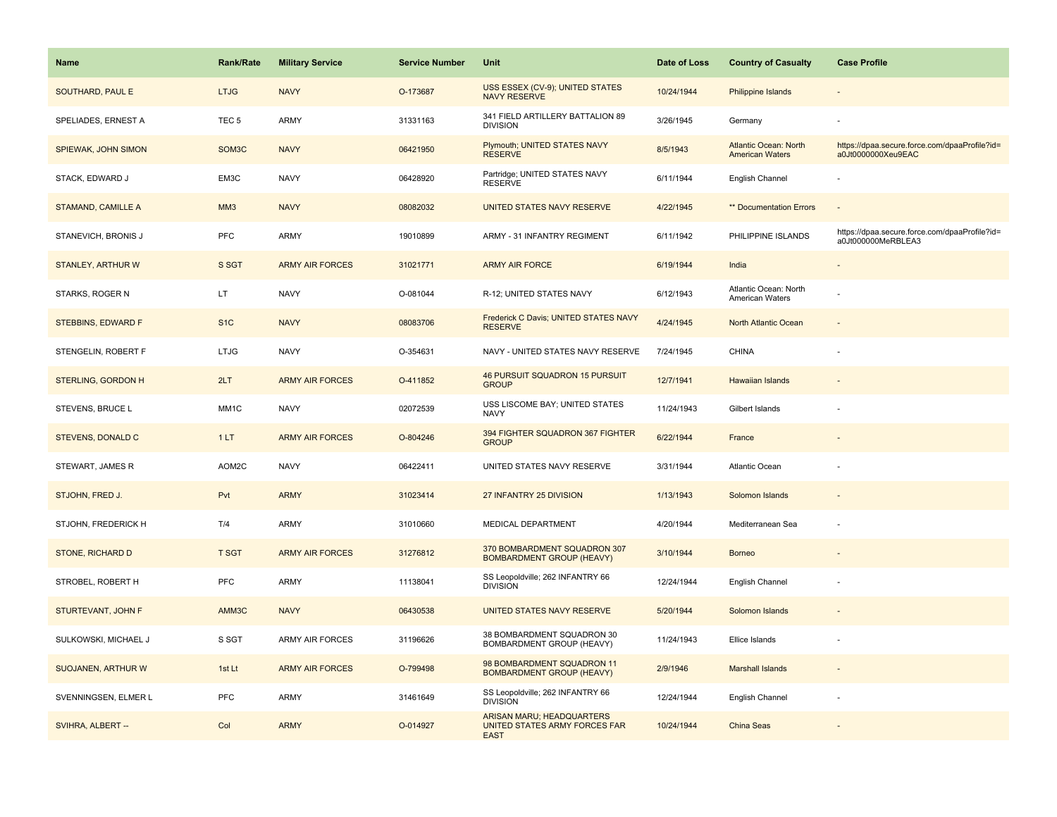| Name                      | Rank/Rate          | <b>Military Service</b> | <b>Service Number</b> | Unit                                                                             | Date of Loss | <b>Country of Casualty</b>                             | <b>Case Profile</b>                                                 |
|---------------------------|--------------------|-------------------------|-----------------------|----------------------------------------------------------------------------------|--------------|--------------------------------------------------------|---------------------------------------------------------------------|
| SOUTHARD, PAUL E          | <b>LTJG</b>        | <b>NAVY</b>             | O-173687              | USS ESSEX (CV-9); UNITED STATES<br><b>NAVY RESERVE</b>                           | 10/24/1944   | <b>Philippine Islands</b>                              |                                                                     |
| SPELIADES, ERNEST A       | TEC <sub>5</sub>   | ARMY                    | 31331163              | 341 FIELD ARTILLERY BATTALION 89<br><b>DIVISION</b>                              | 3/26/1945    | Germany                                                |                                                                     |
| SPIEWAK, JOHN SIMON       | SOM <sub>3</sub> C | <b>NAVY</b>             | 06421950              | Plymouth; UNITED STATES NAVY<br><b>RÉSERVE</b>                                   | 8/5/1943     | <b>Atlantic Ocean: North</b><br><b>American Waters</b> | https://dpaa.secure.force.com/dpaaProfile?id=<br>a0Jt0000000Xeu9EAC |
| STACK, EDWARD J           | EM3C               | <b>NAVY</b>             | 06428920              | Partridge; UNITED STATES NAVY<br><b>RESERVE</b>                                  | 6/11/1944    | English Channel                                        |                                                                     |
| <b>STAMAND, CAMILLE A</b> | MM <sub>3</sub>    | <b>NAVY</b>             | 08082032              | UNITED STATES NAVY RESERVE                                                       | 4/22/1945    | ** Documentation Errors                                |                                                                     |
| STANEVICH, BRONIS J       | <b>PFC</b>         | <b>ARMY</b>             | 19010899              | ARMY - 31 INFANTRY REGIMENT                                                      | 6/11/1942    | PHILIPPINE ISLANDS                                     | https://dpaa.secure.force.com/dpaaProfile?id=<br>a0Jt000000MeRBLEA3 |
| STANLEY, ARTHUR W         | S SGT              | <b>ARMY AIR FORCES</b>  | 31021771              | <b>ARMY AIR FORCE</b>                                                            | 6/19/1944    | India                                                  | $\overline{\phantom{a}}$                                            |
| STARKS, ROGER N           | LT                 | <b>NAVY</b>             | O-081044              | R-12; UNITED STATES NAVY                                                         | 6/12/1943    | Atlantic Ocean: North<br><b>American Waters</b>        |                                                                     |
| STEBBINS, EDWARD F        | S <sub>1</sub> C   | <b>NAVY</b>             | 08083706              | Frederick C Davis; UNITED STATES NAVY<br><b>RESERVE</b>                          | 4/24/1945    | North Atlantic Ocean                                   | $\sim$                                                              |
| STENGELIN, ROBERT F       | <b>LTJG</b>        | <b>NAVY</b>             | O-354631              | NAVY - UNITED STATES NAVY RESERVE                                                | 7/24/1945    | <b>CHINA</b>                                           |                                                                     |
| <b>STERLING, GORDON H</b> | 2LT                | <b>ARMY AIR FORCES</b>  | O-411852              | 46 PURSUIT SQUADRON 15 PURSUIT<br><b>GROUP</b>                                   | 12/7/1941    | <b>Hawaiian Islands</b>                                |                                                                     |
| STEVENS, BRUCE L          | MM <sub>1</sub> C  | <b>NAVY</b>             | 02072539              | USS LISCOME BAY; UNITED STATES<br><b>NAVY</b>                                    | 11/24/1943   | Gilbert Islands                                        |                                                                     |
| STEVENS, DONALD C         | 1LT                | <b>ARMY AIR FORCES</b>  | O-804246              | 394 FIGHTER SQUADRON 367 FIGHTER<br><b>GROUP</b>                                 | 6/22/1944    | France                                                 |                                                                     |
| STEWART, JAMES R          | AOM2C              | <b>NAVY</b>             | 06422411              | UNITED STATES NAVY RESERVE                                                       | 3/31/1944    | Atlantic Ocean                                         |                                                                     |
| STJOHN, FRED J.           | Pvt                | <b>ARMY</b>             | 31023414              | 27 INFANTRY 25 DIVISION                                                          | 1/13/1943    | Solomon Islands                                        |                                                                     |
| STJOHN, FREDERICK H       | T/4                | <b>ARMY</b>             | 31010660              | MEDICAL DEPARTMENT                                                               | 4/20/1944    | Mediterranean Sea                                      |                                                                     |
| STONE, RICHARD D          | <b>T SGT</b>       | <b>ARMY AIR FORCES</b>  | 31276812              | 370 BOMBARDMENT SQUADRON 307<br><b>BOMBARDMENT GROUP (HEAVY)</b>                 | 3/10/1944    | <b>Borneo</b>                                          |                                                                     |
| STROBEL, ROBERT H         | PFC                | <b>ARMY</b>             | 11138041              | SS Leopoldville; 262 INFANTRY 66<br><b>DIVISION</b>                              | 12/24/1944   | English Channel                                        |                                                                     |
| STURTEVANT, JOHN F        | AMM3C              | <b>NAVY</b>             | 06430538              | UNITED STATES NAVY RESERVE                                                       | 5/20/1944    | Solomon Islands                                        |                                                                     |
| SULKOWSKI, MICHAEL J      | S SGT              | ARMY AIR FORCES         | 31196626              | 38 BOMBARDMENT SQUADRON 30<br>BOMBARDMENT GROUP (HEAVY)                          | 11/24/1943   | Ellice Islands                                         |                                                                     |
| SUOJANEN, ARTHUR W        | 1st Lt             | <b>ARMY AIR FORCES</b>  | O-799498              | 98 BOMBARDMENT SQUADRON 11<br><b>BOMBARDMENT GROUP (HEAVY)</b>                   | 2/9/1946     | <b>Marshall Islands</b>                                |                                                                     |
| SVENNINGSEN, ELMER L      | PFC                | <b>ARMY</b>             | 31461649              | SS Leopoldville; 262 INFANTRY 66<br><b>DIVISION</b>                              | 12/24/1944   | English Channel                                        |                                                                     |
| SVIHRA, ALBERT --         | Col                | <b>ARMY</b>             | O-014927              | <b>ARISAN MARU; HEADQUARTERS</b><br>UNITED STATES ARMY FORCES FAR<br><b>EAST</b> | 10/24/1944   | <b>China Seas</b>                                      |                                                                     |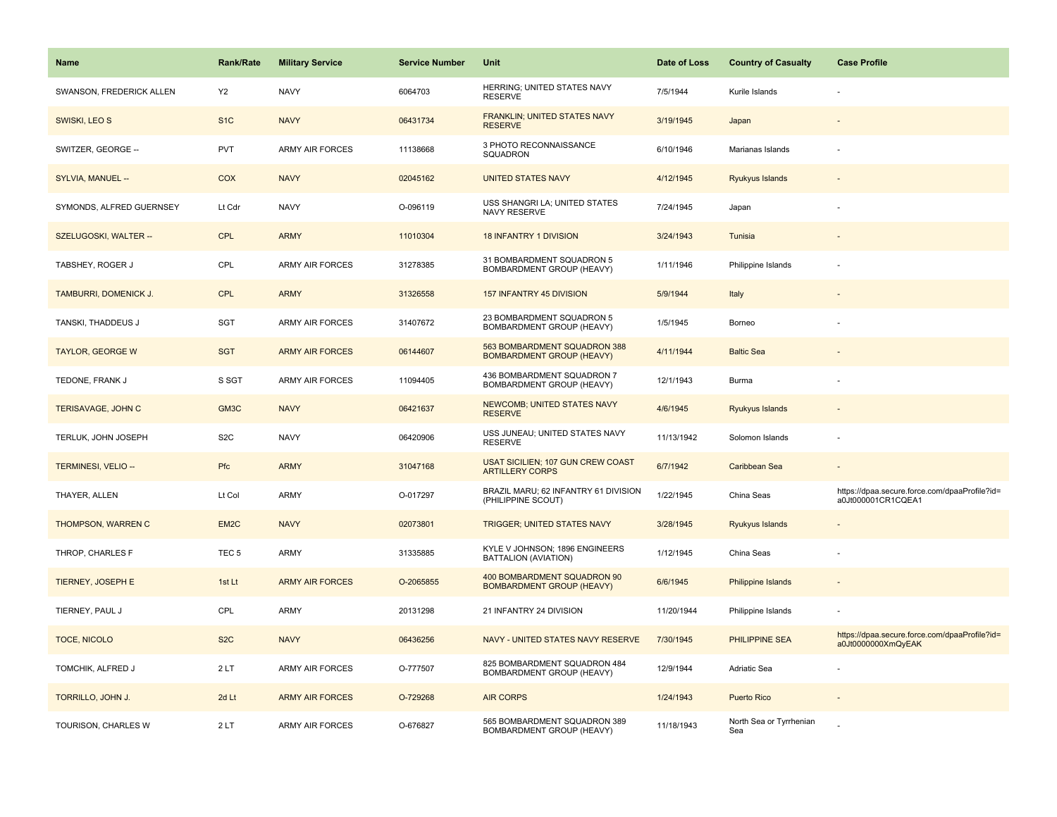| <b>Name</b>              | <b>Rank/Rate</b> | <b>Military Service</b> | <b>Service Number</b> | Unit                                                               | Date of Loss | <b>Country of Casualty</b>     | <b>Case Profile</b>                                                 |
|--------------------------|------------------|-------------------------|-----------------------|--------------------------------------------------------------------|--------------|--------------------------------|---------------------------------------------------------------------|
| SWANSON, FREDERICK ALLEN | <b>Y2</b>        | <b>NAVY</b>             | 6064703               | HERRING; UNITED STATES NAVY<br><b>RESERVE</b>                      | 7/5/1944     | Kurile Islands                 |                                                                     |
| SWISKI, LEO S            | S <sub>1C</sub>  | <b>NAVY</b>             | 06431734              | FRANKLIN; UNITED STATES NAVY<br><b>RESERVE</b>                     | 3/19/1945    | Japan                          |                                                                     |
| SWITZER, GEORGE --       | <b>PVT</b>       | <b>ARMY AIR FORCES</b>  | 11138668              | 3 PHOTO RECONNAISSANCE<br>SQUADRON                                 | 6/10/1946    | Marianas Islands               |                                                                     |
| SYLVIA, MANUEL --        | COX              | <b>NAVY</b>             | 02045162              | <b>UNITED STATES NAVY</b>                                          | 4/12/1945    | Ryukyus Islands                |                                                                     |
| SYMONDS, ALFRED GUERNSEY | Lt Cdr           | <b>NAVY</b>             | O-096119              | USS SHANGRI LA; UNITED STATES<br>NAVY RESERVE                      | 7/24/1945    | Japan                          |                                                                     |
| SZELUGOSKI, WALTER --    | <b>CPL</b>       | <b>ARMY</b>             | 11010304              | <b>18 INFANTRY 1 DIVISION</b>                                      | 3/24/1943    | Tunisia                        |                                                                     |
| TABSHEY, ROGER J         | CPL              | ARMY AIR FORCES         | 31278385              | 31 BOMBARDMENT SQUADRON 5<br>BOMBARDMENT GROUP (HEAVY)             | 1/11/1946    | Philippine Islands             |                                                                     |
| TAMBURRI, DOMENICK J.    | <b>CPL</b>       | <b>ARMY</b>             | 31326558              | 157 INFANTRY 45 DIVISION                                           | 5/9/1944     | Italy                          |                                                                     |
| TANSKI, THADDEUS J       | SGT              | <b>ARMY AIR FORCES</b>  | 31407672              | 23 BOMBARDMENT SQUADRON 5<br>BOMBARDMENT GROUP (HEAVY)             | 1/5/1945     | Borneo                         |                                                                     |
| <b>TAYLOR, GEORGE W</b>  | <b>SGT</b>       | <b>ARMY AIR FORCES</b>  | 06144607              | 563 BOMBARDMENT SQUADRON 388<br><b>BOMBARDMENT GROUP (HEAVY)</b>   | 4/11/1944    | <b>Baltic Sea</b>              |                                                                     |
| TEDONE, FRANK J          | S SGT            | <b>ARMY AIR FORCES</b>  | 11094405              | 436 BOMBARDMENT SQUADRON 7<br><b>BOMBARDMENT GROUP (HEAVY)</b>     | 12/1/1943    | Burma                          |                                                                     |
| TERISAVAGE, JOHN C       | GM3C             | <b>NAVY</b>             | 06421637              | <b>NEWCOMB; UNITED STATES NAVY</b><br><b>RESERVE</b>               | 4/6/1945     | Ryukyus Islands                |                                                                     |
| TERLUK, JOHN JOSEPH      | S <sub>2</sub> C | <b>NAVY</b>             | 06420906              | USS JUNEAU; UNITED STATES NAVY<br><b>RESERVE</b>                   | 11/13/1942   | Solomon Islands                |                                                                     |
| TERMINESI, VELIO --      | Pfc              | <b>ARMY</b>             | 31047168              | <b>USAT SICILIEN; 107 GUN CREW COAST</b><br><b>ARTILLERY CORPS</b> | 6/7/1942     | Caribbean Sea                  | $\sim$                                                              |
| THAYER, ALLEN            | Lt Col           | <b>ARMY</b>             | O-017297              | BRAZIL MARU; 62 INFANTRY 61 DIVISION<br>(PHILIPPINE SCOUT)         | 1/22/1945    | China Seas                     | https://dpaa.secure.force.com/dpaaProfile?id=<br>a0Jt000001CR1CQEA1 |
| THOMPSON, WARREN C       | EM2C             | <b>NAVY</b>             | 02073801              | <b>TRIGGER; UNITED STATES NAVY</b>                                 | 3/28/1945    | Ryukyus Islands                |                                                                     |
| THROP, CHARLES F         | TEC <sub>5</sub> | <b>ARMY</b>             | 31335885              | KYLE V JOHNSON; 1896 ENGINEERS<br>BATTALION (AVIATION)             | 1/12/1945    | China Seas                     |                                                                     |
| TIERNEY, JOSEPH E        | 1st Lt           | <b>ARMY AIR FORCES</b>  | O-2065855             | 400 BOMBARDMENT SQUADRON 90<br><b>BOMBARDMENT GROUP (HEAVY)</b>    | 6/6/1945     | <b>Philippine Islands</b>      |                                                                     |
| TIERNEY, PAUL J          | CPL              | <b>ARMY</b>             | 20131298              | 21 INFANTRY 24 DIVISION                                            | 11/20/1944   | Philippine Islands             |                                                                     |
| TOCE, NICOLO             | S <sub>2</sub> C | <b>NAVY</b>             | 06436256              | NAVY - UNITED STATES NAVY RESERVE                                  | 7/30/1945    | PHILIPPINE SEA                 | https://dpaa.secure.force.com/dpaaProfile?id=<br>a0Jt0000000XmQyEAK |
| TOMCHIK, ALFRED J        | 2LT              | <b>ARMY AIR FORCES</b>  | O-777507              | 825 BOMBARDMENT SQUADRON 484<br>BOMBARDMENT GROUP (HEAVY)          | 12/9/1944    | Adriatic Sea                   |                                                                     |
| TORRILLO, JOHN J.        | 2d Lt            | <b>ARMY AIR FORCES</b>  | O-729268              | <b>AIR CORPS</b>                                                   | 1/24/1943    | <b>Puerto Rico</b>             |                                                                     |
| TOURISON, CHARLES W      | 2LT              | <b>ARMY AIR FORCES</b>  | O-676827              | 565 BOMBARDMENT SQUADRON 389<br>BOMBARDMENT GROUP (HEAVY)          | 11/18/1943   | North Sea or Tyrrhenian<br>Sea |                                                                     |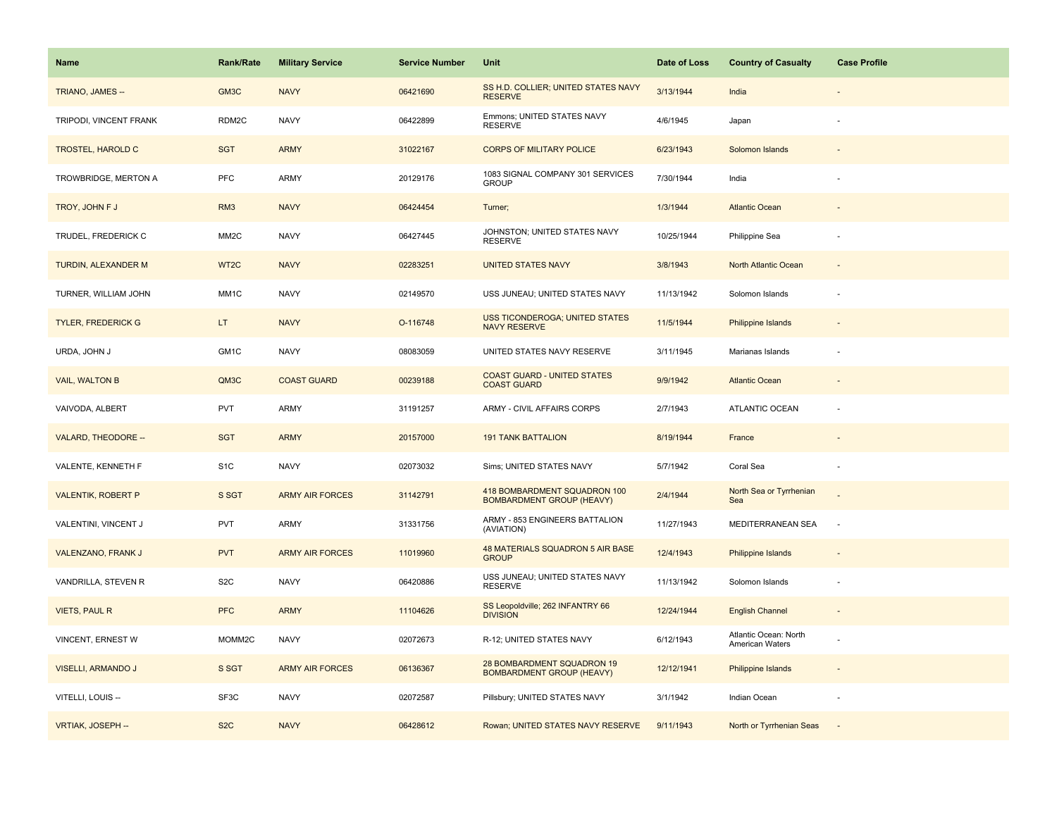| Name                      | <b>Rank/Rate</b>  | <b>Military Service</b> | <b>Service Number</b> | Unit                                                             | Date of Loss | <b>Country of Casualty</b>               | <b>Case Profile</b>      |
|---------------------------|-------------------|-------------------------|-----------------------|------------------------------------------------------------------|--------------|------------------------------------------|--------------------------|
| TRIANO, JAMES --          | GM3C              | <b>NAVY</b>             | 06421690              | SS H.D. COLLIER; UNITED STATES NAVY<br><b>RESERVE</b>            | 3/13/1944    | India                                    |                          |
| TRIPODI, VINCENT FRANK    | RDM2C             | <b>NAVY</b>             | 06422899              | Emmons; UNITED STATES NAVY<br><b>RESERVE</b>                     | 4/6/1945     | Japan                                    |                          |
| <b>TROSTEL, HAROLD C</b>  | <b>SGT</b>        | <b>ARMY</b>             | 31022167              | <b>CORPS OF MILITARY POLICE</b>                                  | 6/23/1943    | Solomon Islands                          |                          |
| TROWBRIDGE, MERTON A      | <b>PFC</b>        | ARMY                    | 20129176              | 1083 SIGNAL COMPANY 301 SERVICES<br><b>GROUP</b>                 | 7/30/1944    | India                                    |                          |
| TROY, JOHN F J            | RM <sub>3</sub>   | <b>NAVY</b>             | 06424454              | Turner;                                                          | 1/3/1944     | <b>Atlantic Ocean</b>                    |                          |
| TRUDEL, FREDERICK C       | MM <sub>2</sub> C | <b>NAVY</b>             | 06427445              | JOHNSTON; UNITED STATES NAVY<br><b>RESERVE</b>                   | 10/25/1944   | Philippine Sea                           |                          |
| TURDIN, ALEXANDER M       | WT <sub>2</sub> C | <b>NAVY</b>             | 02283251              | <b>UNITED STATES NAVY</b>                                        | 3/8/1943     | North Atlantic Ocean                     | $\overline{\phantom{a}}$ |
| TURNER, WILLIAM JOHN      | MM1C              | <b>NAVY</b>             | 02149570              | USS JUNEAU; UNITED STATES NAVY                                   | 11/13/1942   | Solomon Islands                          |                          |
| <b>TYLER, FREDERICK G</b> | LT.               | <b>NAVY</b>             | O-116748              | <b>USS TICONDEROGA; UNITED STATES</b><br><b>NAVY RESERVE</b>     | 11/5/1944    | <b>Philippine Islands</b>                |                          |
| URDA, JOHN J              | GM1C              | <b>NAVY</b>             | 08083059              | UNITED STATES NAVY RESERVE                                       | 3/11/1945    | Marianas Islands                         |                          |
| <b>VAIL, WALTON B</b>     | QM3C              | <b>COAST GUARD</b>      | 00239188              | <b>COAST GUARD - UNITED STATES</b><br><b>COAST GUARD</b>         | 9/9/1942     | <b>Atlantic Ocean</b>                    |                          |
| VAIVODA, ALBERT           | <b>PVT</b>        | <b>ARMY</b>             | 31191257              | ARMY - CIVIL AFFAIRS CORPS                                       | 2/7/1943     | ATLANTIC OCEAN                           |                          |
| VALARD, THEODORE --       | <b>SGT</b>        | <b>ARMY</b>             | 20157000              | <b>191 TANK BATTALION</b>                                        | 8/19/1944    | France                                   |                          |
| VALENTE, KENNETH F        | S <sub>1</sub> C  | <b>NAVY</b>             | 02073032              | Sims; UNITED STATES NAVY                                         | 5/7/1942     | Coral Sea                                |                          |
| <b>VALENTIK, ROBERT P</b> | S SGT             | <b>ARMY AIR FORCES</b>  | 31142791              | 418 BOMBARDMENT SQUADRON 100<br><b>BOMBARDMENT GROUP (HEAVY)</b> | 2/4/1944     | North Sea or Tyrrhenian<br>Sea           |                          |
| VALENTINI, VINCENT J      | <b>PVT</b>        | <b>ARMY</b>             | 31331756              | ARMY - 853 ENGINEERS BATTALION<br>(AVIATION)                     | 11/27/1943   | MEDITERRANEAN SEA                        | $\sim$                   |
| VALENZANO, FRANK J        | <b>PVT</b>        | <b>ARMY AIR FORCES</b>  | 11019960              | 48 MATERIALS SQUADRON 5 AIR BASE<br><b>GROUP</b>                 | 12/4/1943    | <b>Philippine Islands</b>                |                          |
| VANDRILLA, STEVEN R       | S <sub>2</sub> C  | <b>NAVY</b>             | 06420886              | USS JUNEAU; UNITED STATES NAVY<br><b>RESERVE</b>                 | 11/13/1942   | Solomon Islands                          |                          |
| <b>VIETS, PAUL R</b>      | <b>PFC</b>        | <b>ARMY</b>             | 11104626              | SS Leopoldville; 262 INFANTRY 66<br><b>DIVISION</b>              | 12/24/1944   | <b>English Channel</b>                   |                          |
| VINCENT, ERNEST W         | MOMM2C            | <b>NAVY</b>             | 02072673              | R-12; UNITED STATES NAVY                                         | 6/12/1943    | Atlantic Ocean: North<br>American Waters |                          |
| VISELLI, ARMANDO J        | S SGT             | <b>ARMY AIR FORCES</b>  | 06136367              | 28 BOMBARDMENT SQUADRON 19<br><b>BOMBARDMENT GROUP (HEAVY)</b>   | 12/12/1941   | Philippine Islands                       | $\sim$                   |
| VITELLI, LOUIS --         | SF3C              | <b>NAVY</b>             | 02072587              | Pillsbury; UNITED STATES NAVY                                    | 3/1/1942     | Indian Ocean                             |                          |
| VRTIAK, JOSEPH --         | S <sub>2</sub> C  | <b>NAVY</b>             | 06428612              | Rowan; UNITED STATES NAVY RESERVE                                | 9/11/1943    | North or Tyrrhenian Seas                 | $\sim$                   |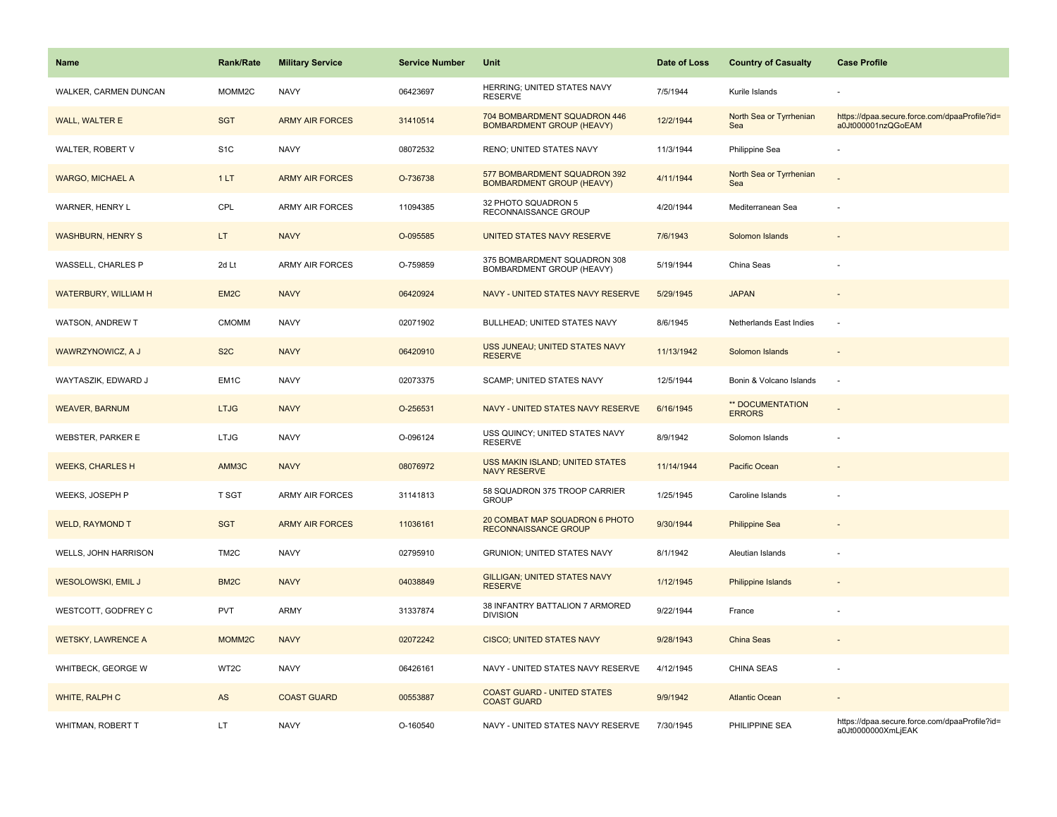| Name                        | <b>Rank/Rate</b>   | <b>Military Service</b> | <b>Service Number</b> | Unit                                                             | Date of Loss | <b>Country of Casualty</b>               | <b>Case Profile</b>                                                 |
|-----------------------------|--------------------|-------------------------|-----------------------|------------------------------------------------------------------|--------------|------------------------------------------|---------------------------------------------------------------------|
| WALKER, CARMEN DUNCAN       | MOMM2C             | <b>NAVY</b>             | 06423697              | HERRING; UNITED STATES NAVY<br><b>RESERVE</b>                    | 7/5/1944     | Kurile Islands                           |                                                                     |
| WALL, WALTER E              | <b>SGT</b>         | <b>ARMY AIR FORCES</b>  | 31410514              | 704 BOMBARDMENT SQUADRON 446<br><b>BOMBARDMENT GROUP (HEAVY)</b> | 12/2/1944    | North Sea or Tyrrhenian<br>Sea           | https://dpaa.secure.force.com/dpaaProfile?id=<br>a0Jt000001nzQGoEAM |
| WALTER, ROBERT V            | S <sub>1</sub> C   | <b>NAVY</b>             | 08072532              | RENO; UNITED STATES NAVY                                         | 11/3/1944    | Philippine Sea                           |                                                                     |
| <b>WARGO, MICHAEL A</b>     | 1LT                | <b>ARMY AIR FORCES</b>  | O-736738              | 577 BOMBARDMENT SQUADRON 392<br><b>BOMBARDMENT GROUP (HEAVY)</b> | 4/11/1944    | North Sea or Tyrrhenian<br>Sea           |                                                                     |
| WARNER, HENRY L             | CPL                | <b>ARMY AIR FORCES</b>  | 11094385              | 32 PHOTO SQUADRON 5<br>RECONNAISSANCE GROUP                      | 4/20/1944    | Mediterranean Sea                        |                                                                     |
| <b>WASHBURN, HENRY S</b>    | LT.                | <b>NAVY</b>             | O-095585              | UNITED STATES NAVY RESERVE                                       | 7/6/1943     | Solomon Islands                          | $\centerdot$                                                        |
| WASSELL, CHARLES P          | 2d Lt              | <b>ARMY AIR FORCES</b>  | O-759859              | 375 BOMBARDMENT SQUADRON 308<br>BOMBARDMENT GROUP (HEAVY)        | 5/19/1944    | China Seas                               |                                                                     |
| <b>WATERBURY, WILLIAM H</b> | EM <sub>2</sub> C  | <b>NAVY</b>             | 06420924              | NAVY - UNITED STATES NAVY RESERVE                                | 5/29/1945    | <b>JAPAN</b>                             |                                                                     |
| WATSON, ANDREW T            | <b>CMOMM</b>       | <b>NAVY</b>             | 02071902              | BULLHEAD; UNITED STATES NAVY                                     | 8/6/1945     | Netherlands East Indies                  | $\sim$                                                              |
| WAWRZYNOWICZ, A J           | S <sub>2</sub> C   | <b>NAVY</b>             | 06420910              | USS JUNEAU; UNITED STATES NAVY<br><b>RESERVE</b>                 | 11/13/1942   | Solomon Islands                          |                                                                     |
| WAYTASZIK, EDWARD J         | EM1C               | <b>NAVY</b>             | 02073375              | <b>SCAMP; UNITED STATES NAVY</b>                                 | 12/5/1944    | Bonin & Volcano Islands                  | ÷,                                                                  |
| <b>WEAVER, BARNUM</b>       | <b>LTJG</b>        | <b>NAVY</b>             | O-256531              | NAVY - UNITED STATES NAVY RESERVE                                | 6/16/1945    | <b>** DOCUMENTATION</b><br><b>ERRORS</b> |                                                                     |
| <b>WEBSTER, PARKER E</b>    | <b>LTJG</b>        | <b>NAVY</b>             | O-096124              | USS QUINCY; UNITED STATES NAVY<br><b>RESERVE</b>                 | 8/9/1942     | Solomon Islands                          |                                                                     |
| <b>WEEKS, CHARLES H</b>     | AMM3C              | <b>NAVY</b>             | 08076972              | USS MAKIN ISLAND; UNITED STATES<br>NAVY RESERVE                  | 11/14/1944   | Pacific Ocean                            |                                                                     |
| WEEKS, JOSEPH P             | T SGT              | <b>ARMY AIR FORCES</b>  | 31141813              | 58 SQUADRON 375 TROOP CARRIER<br><b>GROUP</b>                    | 1/25/1945    | Caroline Islands                         |                                                                     |
| <b>WELD, RAYMOND T</b>      | <b>SGT</b>         | <b>ARMY AIR FORCES</b>  | 11036161              | 20 COMBAT MAP SQUADRON 6 PHOTO<br><b>RECONNAISSANCE GROUP</b>    | 9/30/1944    | <b>Philippine Sea</b>                    |                                                                     |
| WELLS, JOHN HARRISON        | TM <sub>2</sub> C  | <b>NAVY</b>             | 02795910              | GRUNION; UNITED STATES NAVY                                      | 8/1/1942     | Aleutian Islands                         |                                                                     |
| WESOLOWSKI, EMIL J          | BM <sub>2</sub> C  | <b>NAVY</b>             | 04038849              | <b>GILLIGAN; UNITED STATES NAVY</b><br><b>RESERVE</b>            | 1/12/1945    | <b>Philippine Islands</b>                |                                                                     |
| WESTCOTT, GODFREY C         | PVT                | <b>ARMY</b>             | 31337874              | 38 INFANTRY BATTALION 7 ARMORED<br><b>DIVISION</b>               | 9/22/1944    | France                                   |                                                                     |
| <b>WETSKY, LAWRENCE A</b>   | MOMM <sub>2C</sub> | <b>NAVY</b>             | 02072242              | <b>CISCO; UNITED STATES NAVY</b>                                 | 9/28/1943    | China Seas                               |                                                                     |
| WHITBECK, GEORGE W          | WT2C               | <b>NAVY</b>             | 06426161              | NAVY - UNITED STATES NAVY RESERVE                                | 4/12/1945    | CHINA SEAS                               |                                                                     |
| WHITE, RALPH C              | AS                 | <b>COAST GUARD</b>      | 00553887              | <b>COAST GUARD - UNITED STATES</b><br><b>COAST GUARD</b>         | 9/9/1942     | <b>Atlantic Ocean</b>                    |                                                                     |
| WHITMAN, ROBERT T           | LT                 | <b>NAVY</b>             | O-160540              | NAVY - UNITED STATES NAVY RESERVE                                | 7/30/1945    | PHILIPPINE SEA                           | https://dpaa.secure.force.com/dpaaProfile?id=<br>a0Jt0000000XmLjEAK |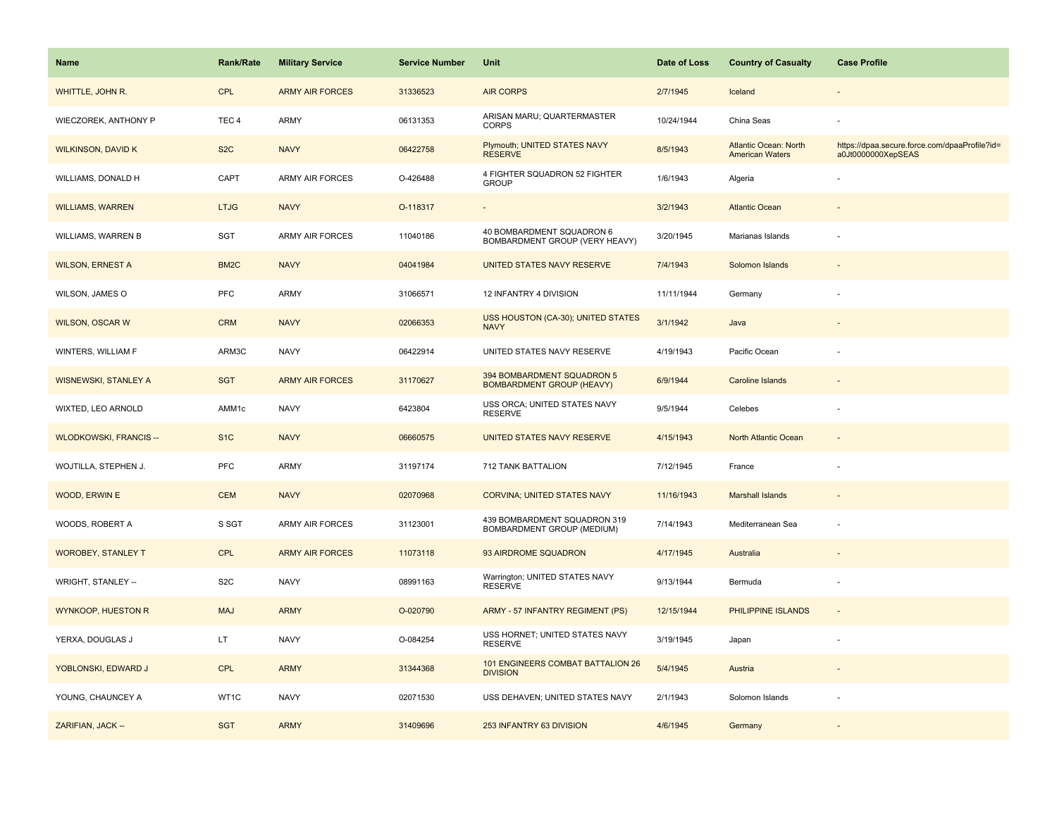| <b>Name</b>                   | Rank/Rate         | <b>Military Service</b> | <b>Service Number</b> | Unit                                                           | Date of Loss | <b>Country of Casualty</b>                             | <b>Case Profile</b>                                                 |
|-------------------------------|-------------------|-------------------------|-----------------------|----------------------------------------------------------------|--------------|--------------------------------------------------------|---------------------------------------------------------------------|
| WHITTLE, JOHN R.              | CPL               | <b>ARMY AIR FORCES</b>  | 31336523              | <b>AIR CORPS</b>                                               | 2/7/1945     | Iceland                                                |                                                                     |
| WIECZOREK, ANTHONY P          | TEC <sub>4</sub>  | ARMY                    | 06131353              | ARISAN MARU; QUARTERMASTER<br><b>CORPS</b>                     | 10/24/1944   | China Seas                                             |                                                                     |
| <b>WILKINSON, DAVID K</b>     | S <sub>2</sub> C  | <b>NAVY</b>             | 06422758              | Plymouth; UNITED STATES NAVY<br><b>RESERVE</b>                 | 8/5/1943     | <b>Atlantic Ocean: North</b><br><b>American Waters</b> | https://dpaa.secure.force.com/dpaaProfile?id=<br>a0Jt0000000XepSEAS |
| WILLIAMS, DONALD H            | CAPT              | <b>ARMY AIR FORCES</b>  | O-426488              | 4 FIGHTER SQUADRON 52 FIGHTER<br><b>GROUP</b>                  | 1/6/1943     | Algeria                                                |                                                                     |
| <b>WILLIAMS, WARREN</b>       | <b>LTJG</b>       | <b>NAVY</b>             | O-118317              |                                                                | 3/2/1943     | <b>Atlantic Ocean</b>                                  |                                                                     |
| WILLIAMS, WARREN B            | SGT               | ARMY AIR FORCES         | 11040186              | 40 BOMBARDMENT SQUADRON 6<br>BOMBARDMENT GROUP (VERY HEAVY)    | 3/20/1945    | Marianas Islands                                       |                                                                     |
| <b>WILSON, ERNEST A</b>       | BM <sub>2</sub> C | <b>NAVY</b>             | 04041984              | <b>UNITED STATES NAVY RESERVE</b>                              | 7/4/1943     | Solomon Islands                                        |                                                                     |
| WILSON, JAMES O               | <b>PFC</b>        | <b>ARMY</b>             | 31066571              | 12 INFANTRY 4 DIVISION                                         | 11/11/1944   | Germany                                                |                                                                     |
| <b>WILSON, OSCAR W</b>        | <b>CRM</b>        | <b>NAVY</b>             | 02066353              | USS HOUSTON (CA-30); UNITED STATES<br><b>NAVY</b>              | 3/1/1942     | Java                                                   |                                                                     |
| WINTERS, WILLIAM F            | ARM3C             | <b>NAVY</b>             | 06422914              | UNITED STATES NAVY RESERVE                                     | 4/19/1943    | Pacific Ocean                                          |                                                                     |
| <b>WISNEWSKI, STANLEY A</b>   | <b>SGT</b>        | <b>ARMY AIR FORCES</b>  | 31170627              | 394 BOMBARDMENT SQUADRON 5<br><b>BOMBARDMENT GROUP (HEAVY)</b> | 6/9/1944     | <b>Caroline Islands</b>                                |                                                                     |
| WIXTED, LEO ARNOLD            | AMM1c             | <b>NAVY</b>             | 6423804               | USS ORCA; UNITED STATES NAVY<br><b>RESERVE</b>                 | 9/5/1944     | Celebes                                                |                                                                     |
| <b>WLODKOWSKI, FRANCIS --</b> | S <sub>1</sub> C  | <b>NAVY</b>             | 06660575              | UNITED STATES NAVY RESERVE                                     | 4/15/1943    | <b>North Atlantic Ocean</b>                            |                                                                     |
| WOJTILLA, STEPHEN J.          | PFC               | ARMY                    | 31197174              | 712 TANK BATTALION                                             | 7/12/1945    | France                                                 |                                                                     |
| <b>WOOD, ERWIN E</b>          | <b>CEM</b>        | <b>NAVY</b>             | 02070968              | <b>CORVINA: UNITED STATES NAVY</b>                             | 11/16/1943   | <b>Marshall Islands</b>                                |                                                                     |
| WOODS, ROBERT A               | S SGT             | <b>ARMY AIR FORCES</b>  | 31123001              | 439 BOMBARDMENT SQUADRON 319<br>BOMBARDMENT GROUP (MEDIUM)     | 7/14/1943    | Mediterranean Sea                                      | $\overline{\phantom{a}}$                                            |
| <b>WOROBEY, STANLEY T</b>     | <b>CPL</b>        | <b>ARMY AIR FORCES</b>  | 11073118              | 93 AIRDROME SQUADRON                                           | 4/17/1945    | Australia                                              |                                                                     |
| WRIGHT, STANLEY --            | S <sub>2</sub> C  | <b>NAVY</b>             | 08991163              | Warrington; UNITED STATES NAVY<br><b>RESERVE</b>               | 9/13/1944    | Bermuda                                                | ÷,                                                                  |
| <b>WYNKOOP, HUESTON R</b>     | <b>MAJ</b>        | <b>ARMY</b>             | O-020790              | ARMY - 57 INFANTRY REGIMENT (PS)                               | 12/15/1944   | PHILIPPINE ISLANDS                                     |                                                                     |
| YERXA, DOUGLAS J              | LT.               | <b>NAVY</b>             | O-084254              | USS HORNET; UNITED STATES NAVY<br><b>RESERVE</b>               | 3/19/1945    | Japan                                                  |                                                                     |
| YOBLONSKI, EDWARD J           | <b>CPL</b>        | <b>ARMY</b>             | 31344368              | 101 ENGINEERS COMBAT BATTALION 26<br><b>DIVISION</b>           | 5/4/1945     | Austria                                                |                                                                     |
| YOUNG, CHAUNCEY A             | WT1C              | <b>NAVY</b>             | 02071530              | USS DEHAVEN; UNITED STATES NAVY                                | 2/1/1943     | Solomon Islands                                        |                                                                     |
| ZARIFIAN, JACK --             | <b>SGT</b>        | <b>ARMY</b>             | 31409696              | 253 INFANTRY 63 DIVISION                                       | 4/6/1945     | Germany                                                |                                                                     |